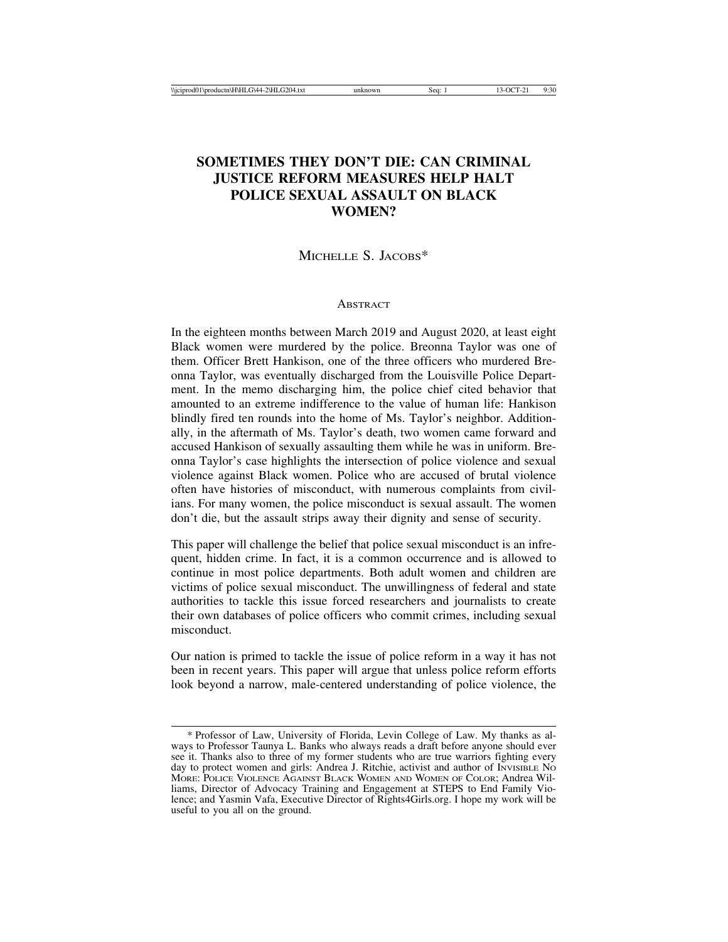# **SOMETIMES THEY DON'T DIE: CAN CRIMINAL JUSTICE REFORM MEASURES HELP HALT POLICE SEXUAL ASSAULT ON BLACK WOMEN?**

MICHELLE S. JACOBS\*

#### **ABSTRACT**

In the eighteen months between March 2019 and August 2020, at least eight Black women were murdered by the police. Breonna Taylor was one of them. Officer Brett Hankison, one of the three officers who murdered Breonna Taylor, was eventually discharged from the Louisville Police Department. In the memo discharging him, the police chief cited behavior that amounted to an extreme indifference to the value of human life: Hankison blindly fired ten rounds into the home of Ms. Taylor's neighbor. Additionally, in the aftermath of Ms. Taylor's death, two women came forward and accused Hankison of sexually assaulting them while he was in uniform. Breonna Taylor's case highlights the intersection of police violence and sexual violence against Black women. Police who are accused of brutal violence often have histories of misconduct, with numerous complaints from civilians. For many women, the police misconduct is sexual assault. The women don't die, but the assault strips away their dignity and sense of security.

This paper will challenge the belief that police sexual misconduct is an infrequent, hidden crime. In fact, it is a common occurrence and is allowed to continue in most police departments. Both adult women and children are victims of police sexual misconduct. The unwillingness of federal and state authorities to tackle this issue forced researchers and journalists to create their own databases of police officers who commit crimes, including sexual misconduct.

Our nation is primed to tackle the issue of police reform in a way it has not been in recent years. This paper will argue that unless police reform efforts look beyond a narrow, male-centered understanding of police violence, the

<sup>\*</sup> Professor of Law, University of Florida, Levin College of Law. My thanks as always to Professor Taunya L. Banks who always reads a draft before anyone should ever see it. Thanks also to three of my former students who are true warriors fighting every day to protect women and girls: Andrea J. Ritchie, activist and author of INVISIBLE No MORE: POLICE VIOLENCE AGAINST BLACK WOMEN AND WOMEN OF COLOR; Andrea Williams, Director of Advocacy Training and Engagement at STEPS to End Family Violence; and Yasmin Vafa, Executive Director of Rights4Girls.org. I hope my work will be useful to you all on the ground.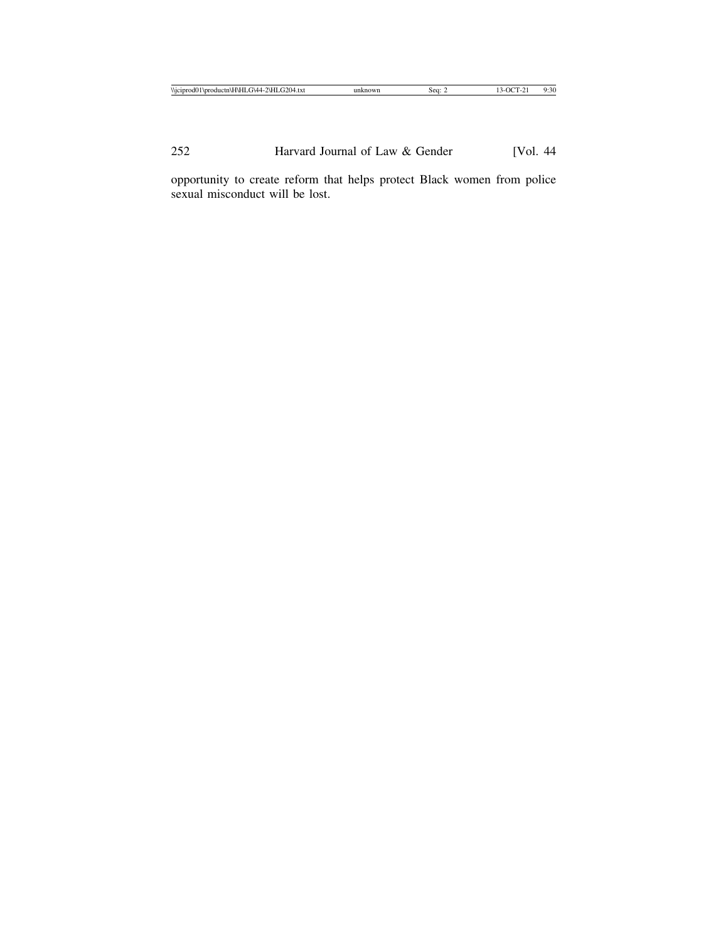opportunity to create reform that helps protect Black women from police sexual misconduct will be lost.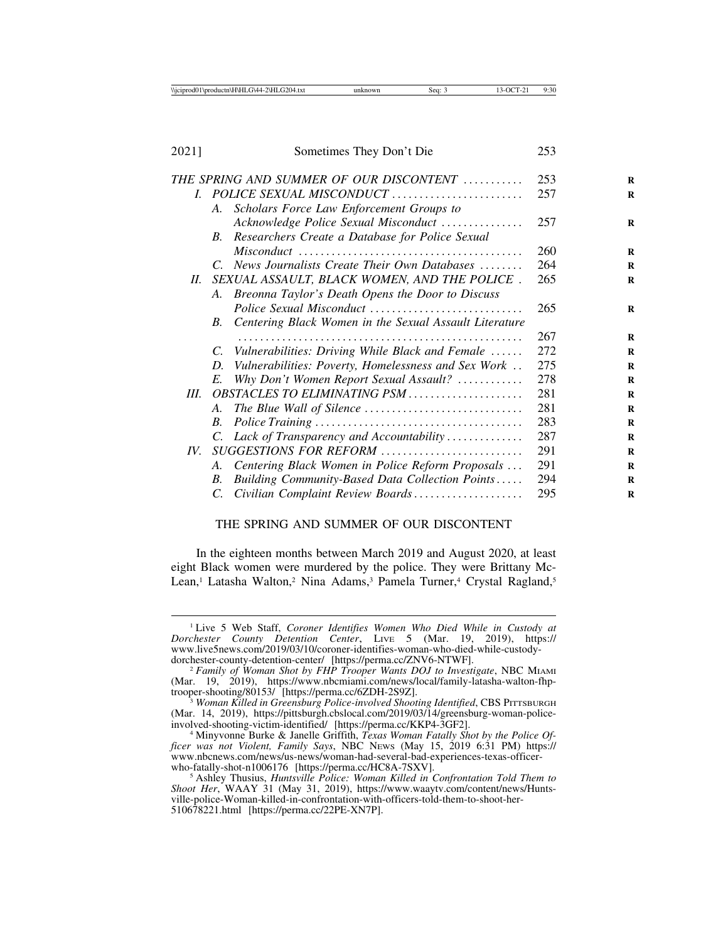2021] Sometimes They Don't Die 253

|      | THE SPRING AND SUMMER OF OUR DISCONTENT                        | 253 |
|------|----------------------------------------------------------------|-----|
|      | I. POLICE SEXUAL MISCONDUCT                                    | 257 |
|      | Scholars Force Law Enforcement Groups to<br>A.                 |     |
|      | Acknowledge Police Sexual Misconduct                           | 257 |
|      | Researchers Create a Database for Police Sexual<br>$B_{\cdot}$ |     |
|      |                                                                | 260 |
|      | C. News Journalists Create Their Own Databases                 | 264 |
| H.   | SEXUAL ASSAULT, BLACK WOMEN, AND THE POLICE.                   | 265 |
|      | A. Breonna Taylor's Death Opens the Door to Discuss            |     |
|      |                                                                | 265 |
|      | Centering Black Women in the Sexual Assault Literature<br>B.   |     |
|      |                                                                | 267 |
|      | C. Vulnerabilities: Driving While Black and Female             | 272 |
|      | Vulnerabilities: Poverty, Homelessness and Sex Work<br>D.      | 275 |
|      | Why Don't Women Report Sexual Assault?<br>E.                   | 278 |
| III. | OBSTACLES TO ELIMINATING PSM                                   | 281 |
|      | A.                                                             | 281 |
|      | B.                                                             | 283 |
|      | C. Lack of Transparency and Accountability                     | 287 |
| IV.  | SUGGESTIONS FOR REFORM                                         | 291 |
|      | Centering Black Women in Police Reform Proposals<br>А.         | 291 |
|      | Building Community-Based Data Collection Points<br>B.          | 294 |
|      | Civilian Complaint Review Boards<br>C.                         | 295 |
|      |                                                                |     |

#### THE SPRING AND SUMMER OF OUR DISCONTENT

In the eighteen months between March 2019 and August 2020, at least eight Black women were murdered by the police. They were Brittany Mc-Lean,<sup>1</sup> Latasha Walton,<sup>2</sup> Nina Adams,<sup>3</sup> Pamela Turner,<sup>4</sup> Crystal Ragland,<sup>5</sup>

<sup>1</sup> Live 5 Web Staff, *Coroner Identifies Women Who Died While in Custody at Dorchester County Detention Center*, LIVE 5 (Mar. 19, 2019), https:// www.live5news.com/2019/03/10/coroner-identifies-woman-who-died-while-custody-<br>dorchester-county-detention-center/ [https://perma.cc/ZNV6-NTWF].

<sup>&</sup>lt;sup>2</sup> Family of Woman Shot by FHP Trooper Wants DOJ to Investigate, NBC MIAMI (Mar. 19, 2019), https://www.nbcmiami.com/news/local/family-latasha-walton-fhp-<br>trooper-shooting/80153/ [https://perma.cc/6ZDH-2S9Z].

<sup>&</sup>lt;sup>3</sup> Woman Killed in Greensburg Police-involved Shooting Identified, CBS PITTSBURGH (Mar. 14, 2019), https://pittsburgh.cbslocal.com/2019/03/14/greensburg-woman-police-<br>involved-shooting-victim-identified/ [https://perma.cc/KKP4-3GF2].

<sup>&</sup>lt;sup>4</sup> Minyvonne Burke & Janelle Griffith, *Texas Woman Fatally Shot by the Police Officer was not Violent, Family Says*, NBC NEWS (May 15, 2019 6:31 PM) https:// www.nbcnews.com/news/us-news/woman-had-several-bad-experiences-texas-officer-

<sup>&</sup>lt;sup>5</sup> Ashley Thusius, *Huntsville Police: Woman Killed in Confrontation Told Them to Shoot Her*, WAAY 31 (May 31, 2019), https://www.waaytv.com/content/news/Huntsville-police-Woman-killed-in-confrontation-with-officers-told-them-to-shoot-her-510678221.html [https://perma.cc/22PE-XN7P].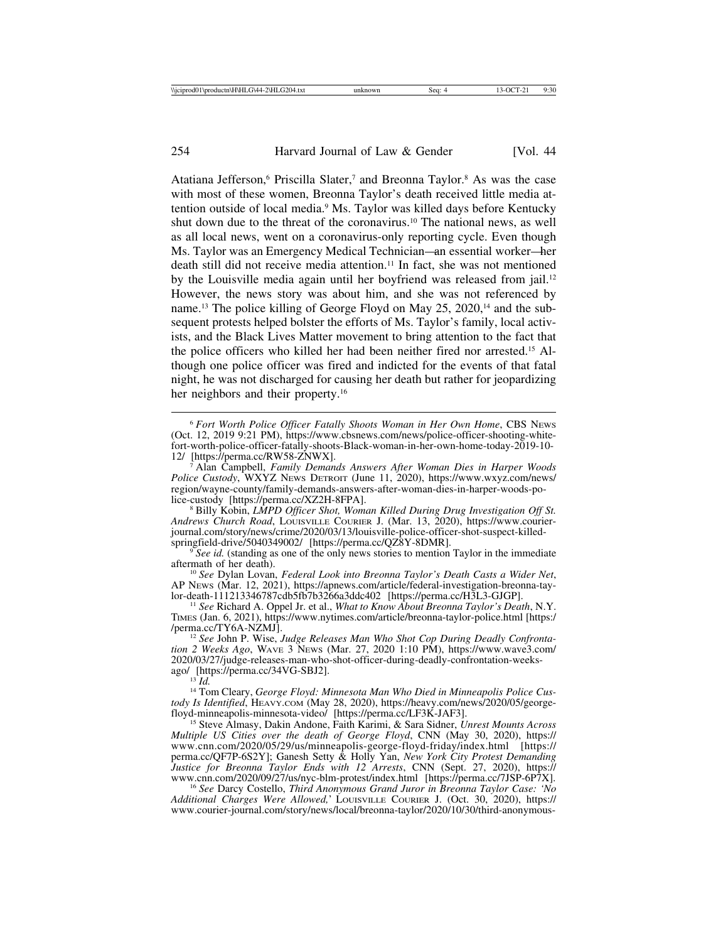Atatiana Jefferson,<sup>6</sup> Priscilla Slater,<sup>7</sup> and Breonna Taylor.<sup>8</sup> As was the case with most of these women, Breonna Taylor's death received little media attention outside of local media.9 Ms. Taylor was killed days before Kentucky shut down due to the threat of the coronavirus.10 The national news, as well as all local news, went on a coronavirus-only reporting cycle. Even though Ms. Taylor was an Emergency Medical Technician—an essential worker—her death still did not receive media attention.<sup>11</sup> In fact, she was not mentioned by the Louisville media again until her boyfriend was released from jail.12 However, the news story was about him, and she was not referenced by name.13 The police killing of George Floyd on May 25, 2020,14 and the subsequent protests helped bolster the efforts of Ms. Taylor's family, local activists, and the Black Lives Matter movement to bring attention to the fact that the police officers who killed her had been neither fired nor arrested.15 Although one police officer was fired and indicted for the events of that fatal night, he was not discharged for causing her death but rather for jeopardizing her neighbors and their property.<sup>16</sup>

<sup>6</sup> *Fort Worth Police Officer Fatally Shoots Woman in Her Own Home*, CBS NEWS (Oct. 12, 2019 9:21 PM), https://www.cbsnews.com/news/police-officer-shooting-whitefort-worth-police-officer-fatally-shoots-Black-woman-in-her-own-home-today-2019-10-

Alan Campbell, *Family Demands Answers After Woman Dies in Harper Woods Police Custody*, WXYZ NEWS DETROIT (June 11, 2020), https://www.wxyz.com/news/ region/wayne-county/family-demands-answers-after-woman-dies-in-harper-woods-po-

<sup>8</sup> Billy Kobin, *LMPD Officer Shot, Woman Killed During Drug Investigation Off St. Andrews Church Road*, LOUISVILLE COURIER J. (Mar. 13, 2020), https://www.courierjournal.com/story/news/crime/2020/03/13/louisville-police-officer-shot-suspect-killed-<br>springfield-drive/5040349002/ [https://perma.cc/QZ8Y-8DMR].

<sup>9</sup> *See id.* (standing as one of the only news stories to mention Taylor in the immediate aftermath of her death).

<sup>10</sup> See Dylan Lovan, *Federal Look into Breonna Taylor's Death Casts a Wider Net*, AP News (Mar. 12, 2021), https://apnews.com/article/federal-investigation-breonna-tay-<br>lor-death-111213346787cdb5fb7b3266a3ddc402 [https://perma.cc/H3L3-GJGP].

<sup>11</sup> See Richard A. Oppel Jr. et al., *What to Know About Breonna Taylor's Death*, N.Y. TIMES (Jan. 6, 2021), https://www.nytimes.com/article/breonna-taylor-police.html [https:/

<sup>12</sup> See John P. Wise, *Judge Releases Man Who Shot Cop During Deadly Confrontation 2 Weeks Ago*, WAVE 3 NEWS (Mar. 27, 2020 1:10 PM), https://www.wave3.com/ 2020/03/27/judge-releases-man-who-shot-officer-during-deadly-confrontation-weeks-<br>ago/ [https://perma.cc/34VG-SBJ2].<br> $^{13}$  Id.

<sup>14</sup> Tom Cleary, *George Floyd: Minnesota Man Who Died in Minneapolis Police Custody Is Identified*, HEAVY.COM (May 28, 2020), https://heavy.com/news/2020/05/george-floyd-minneapolis-minnesota-video/ [https://perma.cc/LF3K-JAF3].

<sup>15</sup> Steve Almasy, Dakin Andone, Faith Karimi, & Sara Sidner, *Unrest Mounts Across Multiple US Cities over the death of George Floyd*, CNN (May 30, 2020), https:// www.cnn.com/2020/05/29/us/minneapolis-george-floyd-friday/index.html [https:// perma.cc/QF7P-6S2Y]; Ganesh Setty & Holly Yan, *New York City Protest Demanding Justice for Breonna Taylor Ends with 12 Arrests*, CNN (Sept. 27, 2020), https://

<sup>16</sup> See Darcy Costello, Third Anonymous Grand Juror in Breonna Taylor Case: 'No *Additional Charges Were Allowed,*' LOUISVILLE COURIER J. (Oct. 30, 2020), https:// www.courier-journal.com/story/news/local/breonna-taylor/2020/10/30/third-anonymous-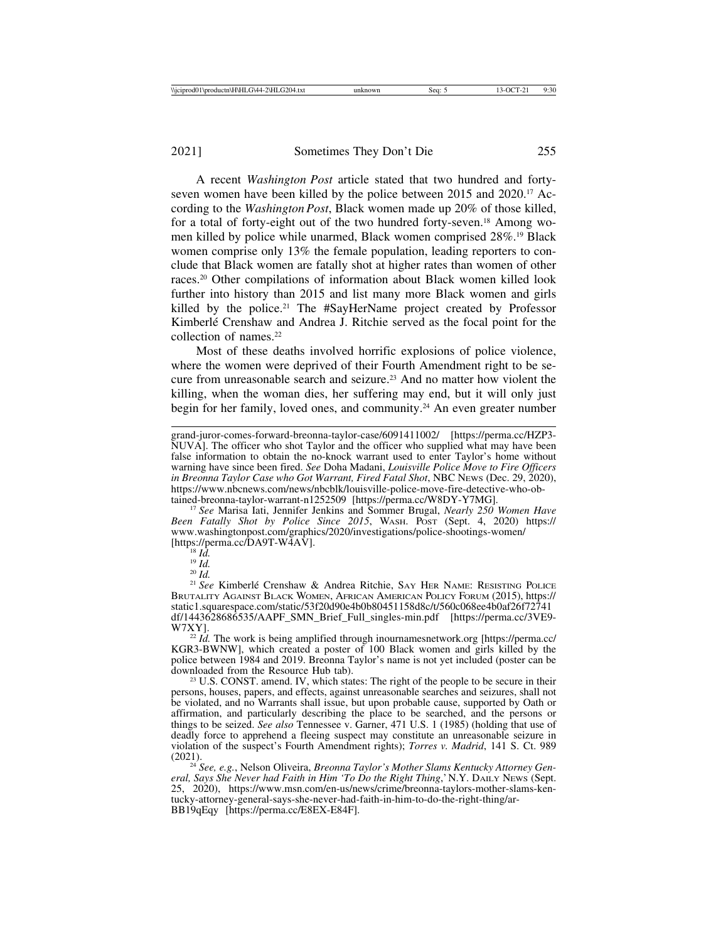A recent *Washington Post* article stated that two hundred and fortyseven women have been killed by the police between 2015 and 2020.<sup>17</sup> According to the *Washington Post*, Black women made up 20% of those killed, for a total of forty-eight out of the two hundred forty-seven.18 Among women killed by police while unarmed, Black women comprised 28%.19 Black women comprise only 13% the female population, leading reporters to conclude that Black women are fatally shot at higher rates than women of other races.20 Other compilations of information about Black women killed look further into history than 2015 and list many more Black women and girls killed by the police.21 The #SayHerName project created by Professor Kimberlé Crenshaw and Andrea J. Ritchie served as the focal point for the collection of names.<sup>22</sup>

Most of these deaths involved horrific explosions of police violence, where the women were deprived of their Fourth Amendment right to be secure from unreasonable search and seizure.23 And no matter how violent the killing, when the woman dies, her suffering may end, but it will only just begin for her family, loved ones, and community.24 An even greater number

<sup>17</sup> See Marisa Iati, Jennifer Jenkins and Sommer Brugal, *Nearly 250 Women Have Been Fatally Shot by Police Since 2015*, WASH. POST (Sept. 4, 2020) https:// www.washingtonpost.com/graphics/2020/investigations/police-shootings-women/

<sup>18</sup> *Id.* <sup>19</sup> *Id.* 20 *Id.* 21 *Id.* 20 *Id.* 20 *Id.* 20 *Id.* 20 *Id.* 20 *Id.* 21 *See* Kimberlé Crenshaw & Andrea Ritchie, SAY HER NAME: RESISTING POLICE BRUTALITY AGAINST BLACK WOMEN, AFRICAN AMERICAN POLICY FORUM (2015), https:// static1.squarespace.com/static/53f20d90e4b0b80451158d8c/t/560c068ee4b0af26f72741 df/1443628686535/AAPF\_SMN\_Brief\_Full\_singles-min.pdf [https://perma.cc/3VE9-

 $^{22}$  *Id.* The work is being amplified through inournames network.org [https://perma.cc/ KGR3-BWNW], which created a poster of 100 Black women and girls killed by the police between 1984 and 2019. Breonna Taylor's name is not yet included (poster can be

 $23$  U.S. CONST. amend. IV, which states: The right of the people to be secure in their persons, houses, papers, and effects, against unreasonable searches and seizures, shall not be violated, and no Warrants shall issue, but upon probable cause, supported by Oath or affirmation, and particularly describing the place to be searched, and the persons or things to be seized. *See also* Tennessee v. Garner, 471 U.S. 1 (1985) (holding that use of deadly force to apprehend a fleeing suspect may constitute an unreasonable seizure in violation of the suspect's Fourth Amendment rights); *Torres v. Madrid*, 141 S. Ct. 989 (2021). <sup>24</sup> *See, e.g.*, Nelson Oliveira, *Breonna Taylor's Mother Slams Kentucky Attorney Gen-*

*eral, Says She Never had Faith in Him 'To Do the Right Thing*,' N.Y. DAILY NEWS (Sept. 25, 2020), https://www.msn.com/en-us/news/crime/breonna-taylors-mother-slams-kentucky-attorney-general-says-she-never-had-faith-in-him-to-do-the-right-thing/ar-BB19qEqy [https://perma.cc/E8EX-E84F].

grand-juror-comes-forward-breonna-taylor-case/6091411002/ [https://perma.cc/HZP3- NUVA]. The officer who shot Taylor and the officer who supplied what may have been false information to obtain the no-knock warrant used to enter Taylor's home without warning have since been fired. *See* Doha Madani, *Louisville Police Move to Fire Officers* in Breonna Taylor Case who Got Warrant, Fired Fatal Shot, NBC News (Dec. 29, 2020), https://www.nbcnews.com/news/nbcblk/louisville-police-move-fire-detective-who-ob-<br>tained-breonna-taylor-warrant-n1252509 [https://perma.cc/W8DY-Y7MG].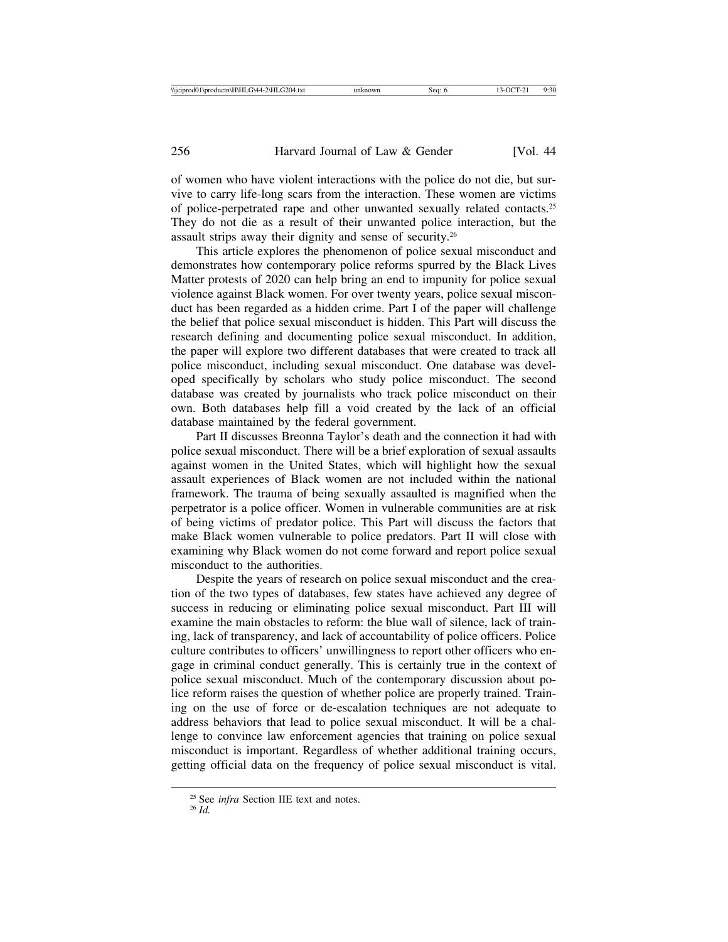of women who have violent interactions with the police do not die, but survive to carry life-long scars from the interaction. These women are victims of police-perpetrated rape and other unwanted sexually related contacts.25 They do not die as a result of their unwanted police interaction, but the assault strips away their dignity and sense of security.26

This article explores the phenomenon of police sexual misconduct and demonstrates how contemporary police reforms spurred by the Black Lives Matter protests of 2020 can help bring an end to impunity for police sexual violence against Black women. For over twenty years, police sexual misconduct has been regarded as a hidden crime. Part I of the paper will challenge the belief that police sexual misconduct is hidden. This Part will discuss the research defining and documenting police sexual misconduct. In addition, the paper will explore two different databases that were created to track all police misconduct, including sexual misconduct. One database was developed specifically by scholars who study police misconduct. The second database was created by journalists who track police misconduct on their own. Both databases help fill a void created by the lack of an official database maintained by the federal government.

Part II discusses Breonna Taylor's death and the connection it had with police sexual misconduct. There will be a brief exploration of sexual assaults against women in the United States, which will highlight how the sexual assault experiences of Black women are not included within the national framework. The trauma of being sexually assaulted is magnified when the perpetrator is a police officer. Women in vulnerable communities are at risk of being victims of predator police. This Part will discuss the factors that make Black women vulnerable to police predators. Part II will close with examining why Black women do not come forward and report police sexual misconduct to the authorities.

Despite the years of research on police sexual misconduct and the creation of the two types of databases, few states have achieved any degree of success in reducing or eliminating police sexual misconduct. Part III will examine the main obstacles to reform: the blue wall of silence, lack of training, lack of transparency, and lack of accountability of police officers. Police culture contributes to officers' unwillingness to report other officers who engage in criminal conduct generally. This is certainly true in the context of police sexual misconduct. Much of the contemporary discussion about police reform raises the question of whether police are properly trained. Training on the use of force or de-escalation techniques are not adequate to address behaviors that lead to police sexual misconduct. It will be a challenge to convince law enforcement agencies that training on police sexual misconduct is important. Regardless of whether additional training occurs, getting official data on the frequency of police sexual misconduct is vital.

<sup>25</sup> See *infra* Section IIE text and notes. <sup>26</sup> *Id.*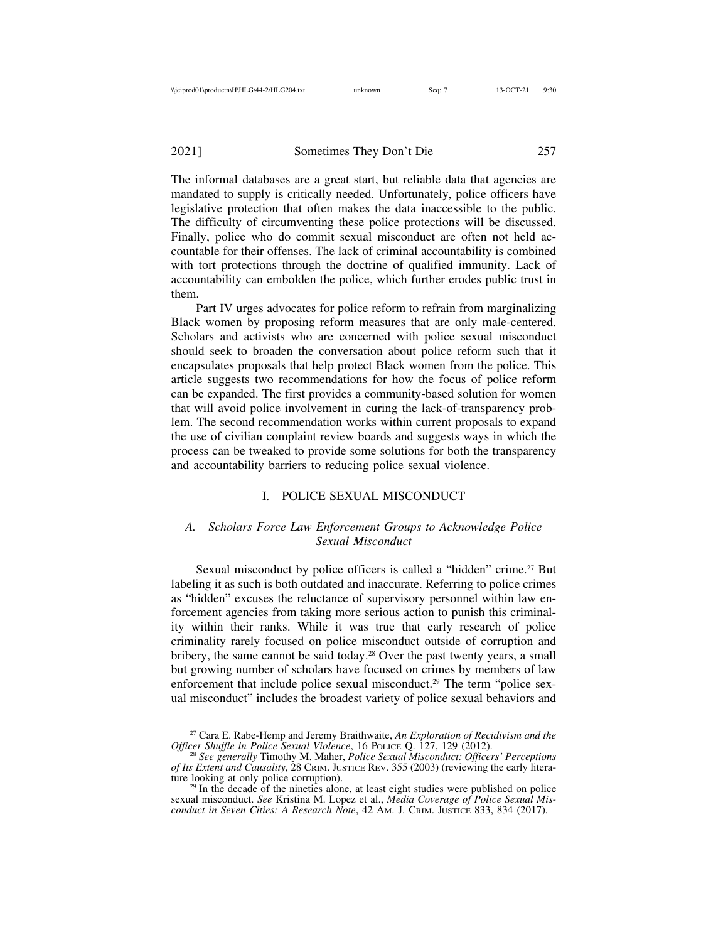The informal databases are a great start, but reliable data that agencies are mandated to supply is critically needed. Unfortunately, police officers have legislative protection that often makes the data inaccessible to the public. The difficulty of circumventing these police protections will be discussed. Finally, police who do commit sexual misconduct are often not held accountable for their offenses. The lack of criminal accountability is combined with tort protections through the doctrine of qualified immunity. Lack of accountability can embolden the police, which further erodes public trust in them.

Part IV urges advocates for police reform to refrain from marginalizing Black women by proposing reform measures that are only male-centered. Scholars and activists who are concerned with police sexual misconduct should seek to broaden the conversation about police reform such that it encapsulates proposals that help protect Black women from the police. This article suggests two recommendations for how the focus of police reform can be expanded. The first provides a community-based solution for women that will avoid police involvement in curing the lack-of-transparency problem. The second recommendation works within current proposals to expand the use of civilian complaint review boards and suggests ways in which the process can be tweaked to provide some solutions for both the transparency and accountability barriers to reducing police sexual violence.

## I. POLICE SEXUAL MISCONDUCT

## *A. Scholars Force Law Enforcement Groups to Acknowledge Police Sexual Misconduct*

Sexual misconduct by police officers is called a "hidden" crime.<sup>27</sup> But labeling it as such is both outdated and inaccurate. Referring to police crimes as "hidden" excuses the reluctance of supervisory personnel within law enforcement agencies from taking more serious action to punish this criminality within their ranks. While it was true that early research of police criminality rarely focused on police misconduct outside of corruption and bribery, the same cannot be said today.28 Over the past twenty years, a small but growing number of scholars have focused on crimes by members of law enforcement that include police sexual misconduct.<sup>29</sup> The term "police sexual misconduct" includes the broadest variety of police sexual behaviors and

<sup>&</sup>lt;sup>27</sup> Cara E. Rabe-Hemp and Jeremy Braithwaite, *An Exploration of Recidivism and the Officer Shuffle in Police Sexual Violence*, 16 Police Q. 127, 129 (2012).

<sup>&</sup>lt;sup>28</sup> See generally Timothy M. Maher, *Police Sexual Misconduct: Officers' Perceptions of Its Extent and Causality*, 28 CRIM. JUSTICE REV. 355 (2003) (reviewing the early literature looking at only police corruption).

 $29$  In the decade of the nineties alone, at least eight studies were published on police sexual misconduct. *See* Kristina M. Lopez et al., *Media Coverage of Police Sexual Misconduct in Seven Cities: A Research Note*, 42 AM. J. CRIM. JUSTICE 833, 834 (2017).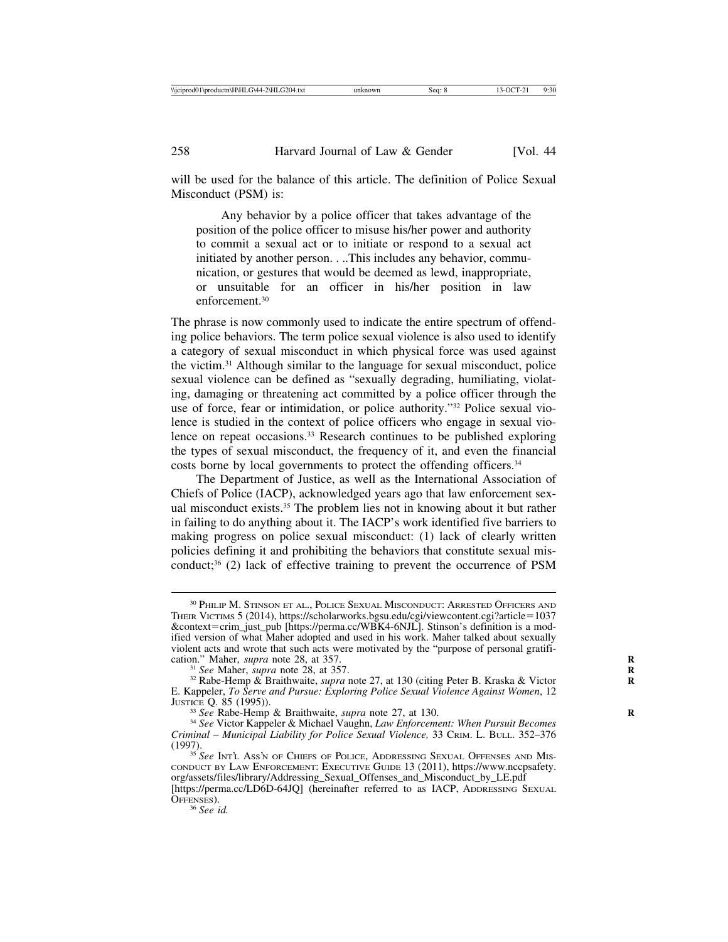will be used for the balance of this article. The definition of Police Sexual Misconduct (PSM) is:

Any behavior by a police officer that takes advantage of the position of the police officer to misuse his/her power and authority to commit a sexual act or to initiate or respond to a sexual act initiated by another person. . ..This includes any behavior, communication, or gestures that would be deemed as lewd, inappropriate, or unsuitable for an officer in his/her position in law enforcement.30

The phrase is now commonly used to indicate the entire spectrum of offending police behaviors. The term police sexual violence is also used to identify a category of sexual misconduct in which physical force was used against the victim.31 Although similar to the language for sexual misconduct, police sexual violence can be defined as "sexually degrading, humiliating, violating, damaging or threatening act committed by a police officer through the use of force, fear or intimidation, or police authority."32 Police sexual violence is studied in the context of police officers who engage in sexual violence on repeat occasions.<sup>33</sup> Research continues to be published exploring the types of sexual misconduct, the frequency of it, and even the financial costs borne by local governments to protect the offending officers.34

The Department of Justice, as well as the International Association of Chiefs of Police (IACP), acknowledged years ago that law enforcement sexual misconduct exists.35 The problem lies not in knowing about it but rather in failing to do anything about it. The IACP's work identified five barriers to making progress on police sexual misconduct: (1) lack of clearly written policies defining it and prohibiting the behaviors that constitute sexual misconduct;<sup>36</sup> (2) lack of effective training to prevent the occurrence of PSM

<sup>30</sup> PHILIP M. STINSON ET AL., POLICE SEXUAL MISCONDUCT: ARRESTED OFFICERS AND THEIR VICTIMS 5 (2014), https://scholarworks.bgsu.edu/cgi/viewcontent.cgi?article=1037 &context=crim\_just\_pub [https://perma.cc/WBK4-6NJL]. Stinson's definition is a modified version of what Maher adopted and used in his work. Maher talked about sexually violent acts and wrote that such acts were motivated by the "purpose of personal gratification." Maher, *supra* note 28, at 357.

<sup>&</sup>lt;sup>31</sup> *See* Maher, *supra* note 28, at 357. **R** 32 Rabe-Hemp & Braithwaite, *supra* note 27, at 130 (citing Peter B. Kraska & Victor **R** E. Kappeler, *To Serve and Pursue: Exploring Police Sexual Violence Against Women*, 12

<sup>&</sup>lt;sup>33</sup> *See* Rabe-Hemp & Braithwaite, *supra* note 27, at 130.<br><sup>34</sup> *See* Victor Kappeler & Michael Vaughn, *Law Enforcement: When Pursuit Becomes Criminal* – *Municipal Liability for Police Sexual Violence,* 33 CRIM. L. BULL. 352–376

<sup>&</sup>lt;sup>35</sup> See INT'L Ass'N OF CHIEFS OF POLICE, ADDRESSING SEXUAL OFFENSES AND MIS-CONDUCT BY LAW ENFORCEMENT: EXECUTIVE GUIDE 13 (2011), https://www.nccpsafety. org/assets/files/library/Addressing\_Sexual\_Offenses\_and\_Misconduct\_by\_LE.pdf

<sup>[</sup>https://perma.cc/LD6D-64JQ] (hereinafter referred to as IACP, ADDRESSING SEXUAL OFFENSES). <sup>36</sup> *See id.*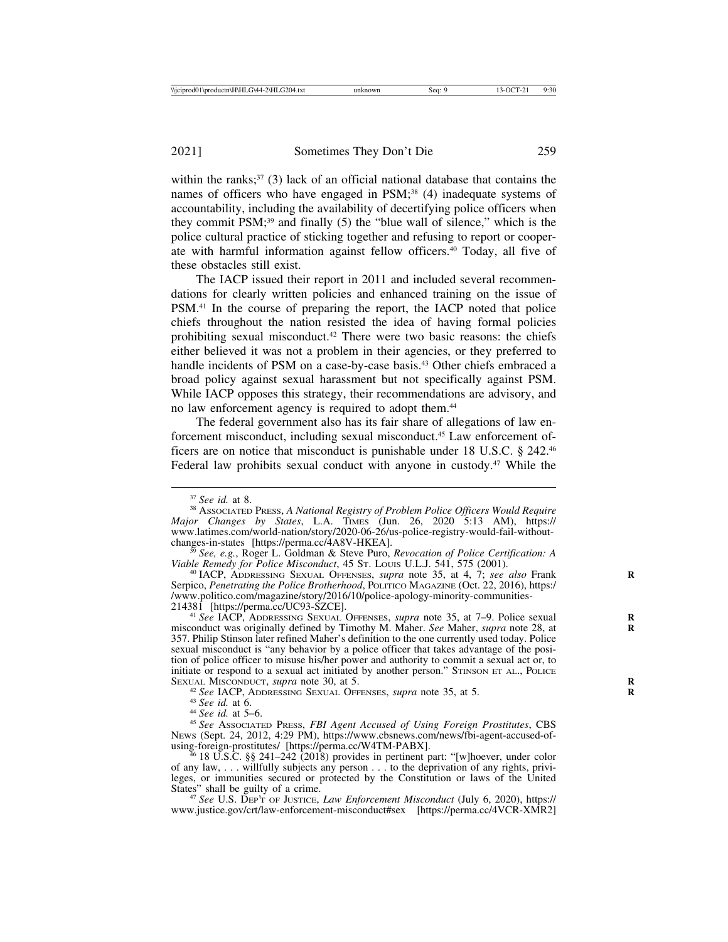within the ranks; $37$  (3) lack of an official national database that contains the names of officers who have engaged in PSM;<sup>38</sup> (4) inadequate systems of accountability, including the availability of decertifying police officers when they commit  $PSM$ ;<sup>39</sup> and finally (5) the "blue wall of silence," which is the police cultural practice of sticking together and refusing to report or cooperate with harmful information against fellow officers.40 Today, all five of these obstacles still exist.

The IACP issued their report in 2011 and included several recommendations for clearly written policies and enhanced training on the issue of PSM.41 In the course of preparing the report, the IACP noted that police chiefs throughout the nation resisted the idea of having formal policies prohibiting sexual misconduct.42 There were two basic reasons: the chiefs either believed it was not a problem in their agencies, or they preferred to handle incidents of PSM on a case-by-case basis.<sup>43</sup> Other chiefs embraced a broad policy against sexual harassment but not specifically against PSM. While IACP opposes this strategy, their recommendations are advisory, and no law enforcement agency is required to adopt them.44

The federal government also has its fair share of allegations of law enforcement misconduct, including sexual misconduct.45 Law enforcement officers are on notice that misconduct is punishable under 18 U.S.C. § 242.46 Federal law prohibits sexual conduct with anyone in custody.<sup>47</sup> While the

<sup>&</sup>lt;sup>37</sup> *See id.* at 8.<br><sup>38</sup> Associated Press, *A National Registry of Problem Police Officers Would Require Major Changes by States*, L.A. TIMES (Jun. 26, 2020 5:13 AM), https:// www.latimes.com/world-nation/story/2020-06-26/us-police-registry-would-fail-withoutchanges-in-states [https://perma.cc/4A8V-HKEA]. <sup>39</sup> *See, e.g.*, Roger L. Goldman & Steve Puro, *Revocation of Police Certification: A*

*Viable Remedy for Police Misconduct*, 45 ST. Louis U.L.J. 541, 575 (2001).<br><sup>40</sup> IACP, ADDRESSING SEXUAL OFFENSES, *supra* note 35, at 4, 7; *see also* Frank

Serpico, *Penetrating the Police Brotherhood*, POLITICO MAGAZINE (Oct. 22, 2016), https:/ /www.politico.com/magazine/story/2016/10/police-apology-minority-communities-

<sup>&</sup>lt;sup>41</sup> See IACP, ADDRESSING SEXUAL OFFENSES, *supra* note 35, at 7–9. Police sexual misconduct was originally defined by Timothy M. Maher. *See* Maher, *supra* note 28, at **R** 357. Philip Stinson later refined Maher's definition to the one currently used today. Police sexual misconduct is "any behavior by a police officer that takes advantage of the position of police officer to misuse his/her power and authority to commit a sexual act or, to initiate or respond to a sexual act initiated by another person." STINSON ET AL., POLICE SEXUAL MISCONDUCT, *supra* note 30, at 5.

<sup>&</sup>lt;sup>42</sup> See IACP, ADDRESSING SEXUAL OFFENSES, *supra* note 35, at 5.<br><sup>43</sup> See id. at 6.<br><sup>44</sup> See id. at 5–6.<br><sup>45</sup> See Associated Press, *FBI Agent Accused of Using Foreign Prostitutes*, CBS NEWS (Sept. 24, 2012, 4:29 PM), https://www.cbsnews.com/news/fbi-agent-accused-of-

 $6.18$  U.S.C. §§ 241–242 (2018) provides in pertinent part: "[w]hoever, under color of any law, . . . willfully subjects any person . . . to the deprivation of any rights, privileges, or immunities secured or protected by the Constitution or laws of the United

<sup>&</sup>lt;sup>47</sup> See U.S. DEP'T OF JUSTICE, *Law Enforcement Misconduct* (July 6, 2020), https:// www.justice.gov/crt/law-enforcement-misconduct#sex [https://perma.cc/4VCR-XMR2]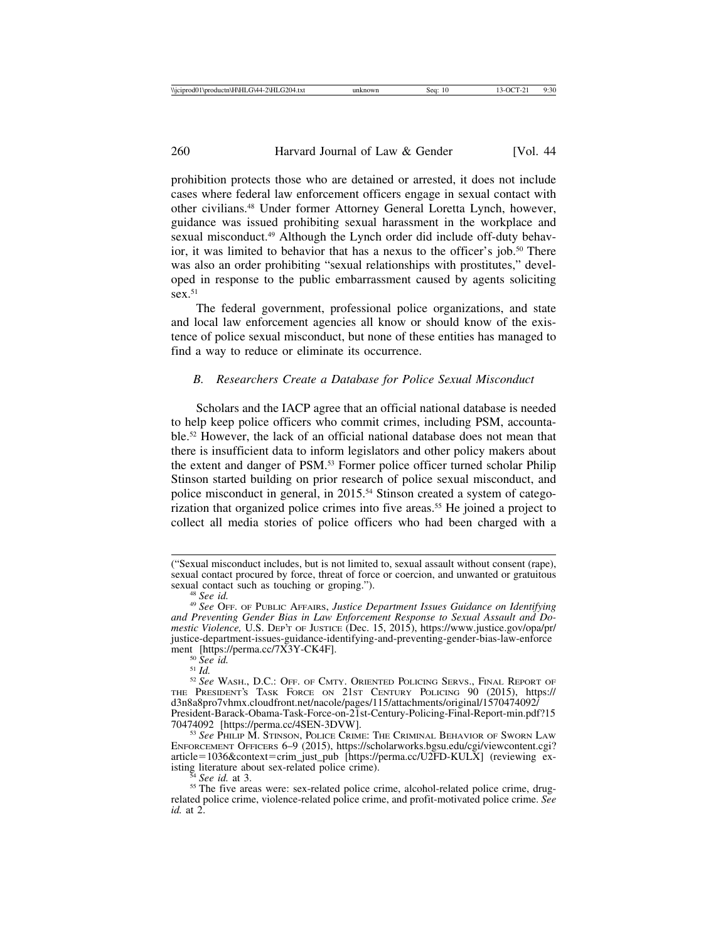prohibition protects those who are detained or arrested, it does not include cases where federal law enforcement officers engage in sexual contact with other civilians.48 Under former Attorney General Loretta Lynch, however, guidance was issued prohibiting sexual harassment in the workplace and sexual misconduct.<sup>49</sup> Although the Lynch order did include off-duty behavior, it was limited to behavior that has a nexus to the officer's job.50 There was also an order prohibiting "sexual relationships with prostitutes," developed in response to the public embarrassment caused by agents soliciting  $sex<sup>.51</sup>$ 

The federal government, professional police organizations, and state and local law enforcement agencies all know or should know of the existence of police sexual misconduct, but none of these entities has managed to find a way to reduce or eliminate its occurrence.

#### *B. Researchers Create a Database for Police Sexual Misconduct*

Scholars and the IACP agree that an official national database is needed to help keep police officers who commit crimes, including PSM, accountable.52 However, the lack of an official national database does not mean that there is insufficient data to inform legislators and other policy makers about the extent and danger of PSM.53 Former police officer turned scholar Philip Stinson started building on prior research of police sexual misconduct, and police misconduct in general, in 2015.54 Stinson created a system of categorization that organized police crimes into five areas.<sup>55</sup> He joined a project to collect all media stories of police officers who had been charged with a

<sup>(&</sup>quot;Sexual misconduct includes, but is not limited to, sexual assault without consent (rape), sexual contact procured by force, threat of force or coercion, and unwanted or gratuitous sexual contact such as touching or groping.").

<sup>&</sup>lt;sup>48</sup> See id.<br><sup>49</sup> See OFF. OF PUBLIC AFFAIRS, *Justice Department Issues Guidance on Identifying and Preventing Gender Bias in Law Enforcement Response to Sexual Assault and Domestic Violence,* U.S. DEP'T OF JUSTICE (Dec. 15, 2015), https://www.justice.gov/opa/pr/ justice-department-issues-guidance-identifying-and-preventing-gender-bias-law-enforce<br>ment [https://perma.cc/7X3Y-CK4F].

<sup>&</sup>lt;sup>50</sup> See id.<br><sup>51</sup> Id.<br><sup>52</sup> See Wash., D.C.: Off. of Cmty. Oriented Policing Servs., Final Report of THE PRESIDENT'S TASK FORCE ON 21ST CENTURY POLICING 90 (2015), https:// d3n8a8pro7vhmx.cloudfront.net/nacole/pages/115/attachments/original/1570474092/ President-Barack-Obama-Task-Force-on-21st-Century-Policing-Final-Report-min.pdf?15

<sup>&</sup>lt;sup>53</sup> See PHILIP M. STINSON, POLICE CRIME: THE CRIMINAL BEHAVIOR OF SWORN LAW ENFORCEMENT OFFICERS 6–9 (2015), https://scholarworks.bgsu.edu/cgi/viewcontent.cgi? article=1036&context=crim\_just\_pub [https://perma.cc/U2FD-KULX] (reviewing ex-<br>isting literature about sex-related police crime).

<sup>&</sup>lt;sup>54</sup> *See id.* at 3. **See id.** at 3. **See id.** at 3. **See id.** at 3. **See id.** at 3. **55** The five areas were: sex-related police crime, alcohol-related police crime, drugrelated police crime, violence-related police crime, and profit-motivated police crime. *See id.* at 2.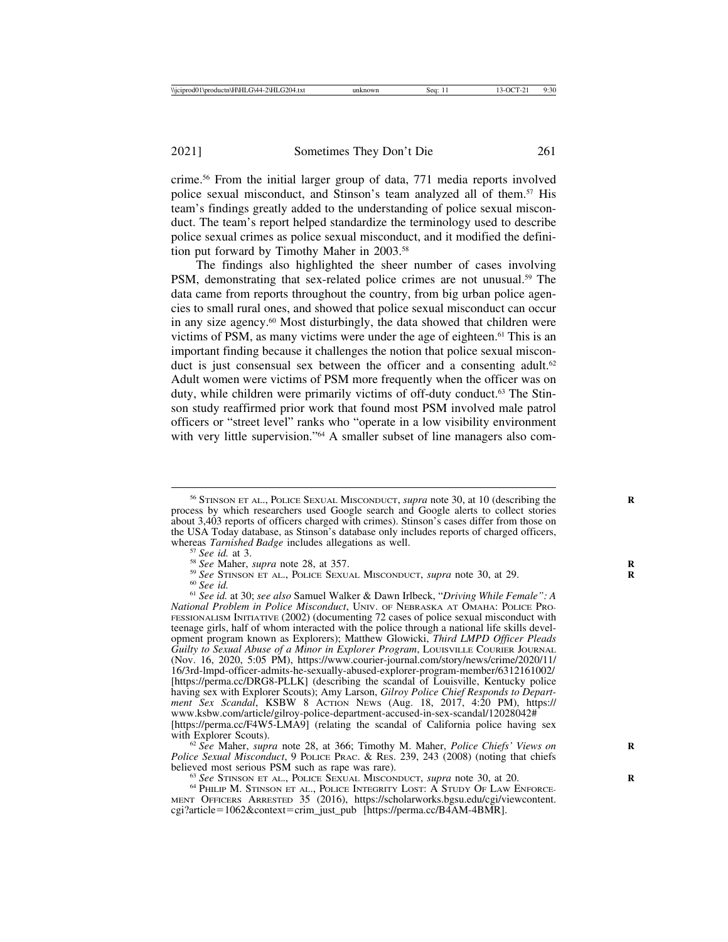crime.56 From the initial larger group of data, 771 media reports involved police sexual misconduct, and Stinson's team analyzed all of them.57 His team's findings greatly added to the understanding of police sexual misconduct. The team's report helped standardize the terminology used to describe police sexual crimes as police sexual misconduct, and it modified the definition put forward by Timothy Maher in 2003.58

The findings also highlighted the sheer number of cases involving PSM, demonstrating that sex-related police crimes are not unusual.59 The data came from reports throughout the country, from big urban police agencies to small rural ones, and showed that police sexual misconduct can occur in any size agency.60 Most disturbingly, the data showed that children were victims of PSM, as many victims were under the age of eighteen.<sup>61</sup> This is an important finding because it challenges the notion that police sexual misconduct is just consensual sex between the officer and a consenting adult.<sup>62</sup> Adult women were victims of PSM more frequently when the officer was on duty, while children were primarily victims of off-duty conduct.63 The Stinson study reaffirmed prior work that found most PSM involved male patrol officers or "street level" ranks who "operate in a low visibility environment with very little supervision."<sup>64</sup> A smaller subset of line managers also com-

with Explorer Scouts).<br><sup>62</sup> *See* Maher, *supra* note 28, at 366; Timothy M. Maher, *Police Chiefs' Views on Police Sexual Misconduct*, 9 POLICE PRAC. & RES. 239, 243 (2008) (noting that chiefs believed most serious PSM such as rape was rare).

<sup>63</sup> See Stinson et al., Police Sexual Misconduct, *supra* note 30, at 20. *CA* PHILIP M. Stinson et al., Police Integrity Lost: A Study Of Law Enforce-MENT OFFICERS ARRESTED 35 (2016), https://scholarworks.bgsu.edu/cgi/viewcontent. cgi?article=1062&context=crim\_just\_pub [https://perma.cc/B4AM-4BMR].

<sup>&</sup>lt;sup>56</sup> STINSON ET AL., POLICE SEXUAL MISCONDUCT, *supra* note 30, at 10 (describing the process by which researchers used Google search and Google alerts to collect stories about 3,403 reports of officers charged with crimes). Stinson's cases differ from those on the USA Today database, as Stinson's database only includes reports of charged officers, whereas *Tarnished Badge* includes allegations as well.

<sup>&</sup>lt;sup>57</sup> See id. at 3.<br><sup>58</sup> See Maher, *supra* note 28, at 357.<br><sup>59</sup> See STINSON ET AL., POLICE SEXUAL MISCONDUCT, *supra* note 30, at 29.<br><sup>60</sup> See id. at 30; *see also* Samuel Walker & Dawn Irlbeck, "*Driving While Female*": *National Problem in Police Misconduct*, UNIV. OF NEBRASKA AT OMAHA: POLICE PRO-FESSIONALISM INITIATIVE (2002) (documenting 72 cases of police sexual misconduct with teenage girls, half of whom interacted with the police through a national life skills development program known as Explorers); Matthew Glowicki, *Third LMPD Officer Pleads Guilty to Sexual Abuse of a Minor in Explorer Program*, LOUISVILLE COURIER JOURNAL (Nov. 16, 2020, 5:05 PM), https://www.courier-journal.com/story/news/crime/2020/11/ 16/3rd-lmpd-officer-admits-he-sexually-abused-explorer-program-member/6312161002/ [https://perma.cc/DRG8-PLLK] (describing the scandal of Louisville, Kentucky police having sex with Explorer Scouts); Amy Larson, *Gilroy Police Chief Responds to Department Sex Scandal*, KSBW 8 ACTION NEWS (Aug. 18, 2017, 4:20 PM), https:// www.ksbw.com/article/gilroy-police-department-accused-in-sex-scandal/12028042# [https://perma.cc/F4W5-LMA9] (relating the scandal of California police having sex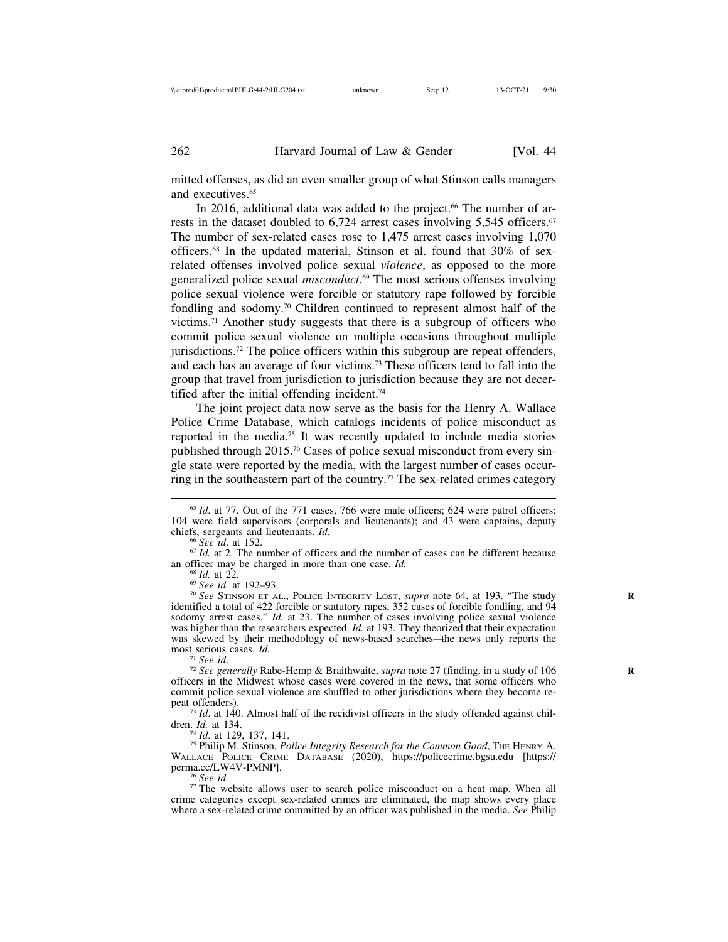mitted offenses, as did an even smaller group of what Stinson calls managers and executives.65

In 2016, additional data was added to the project.<sup>66</sup> The number of arrests in the dataset doubled to 6,724 arrest cases involving 5,545 officers.<sup>67</sup> The number of sex-related cases rose to 1,475 arrest cases involving 1,070 officers.68 In the updated material, Stinson et al. found that 30% of sexrelated offenses involved police sexual *violence*, as opposed to the more generalized police sexual *misconduct*. 69 The most serious offenses involving police sexual violence were forcible or statutory rape followed by forcible fondling and sodomy.70 Children continued to represent almost half of the victims.71 Another study suggests that there is a subgroup of officers who commit police sexual violence on multiple occasions throughout multiple jurisdictions.72 The police officers within this subgroup are repeat offenders, and each has an average of four victims.73 These officers tend to fall into the group that travel from jurisdiction to jurisdiction because they are not decertified after the initial offending incident.74

The joint project data now serve as the basis for the Henry A. Wallace Police Crime Database, which catalogs incidents of police misconduct as reported in the media.75 It was recently updated to include media stories published through 2015.76 Cases of police sexual misconduct from every single state were reported by the media, with the largest number of cases occurring in the southeastern part of the country.77 The sex-related crimes category

<sup>68</sup> Id. at 22.<br><sup>69</sup> *See id.* at 192–93.<br><sup>70</sup> *See* STINSON ET AL., POLICE INTEGRITY LOST, *supra* note 64, at 193. "The study identified a total of 422 forcible or statutory rapes, 352 cases of forcible fondling, and 94 sodomy arrest cases." *Id.* at 23. The number of cases involving police sexual violence was higher than the researchers expected. *Id.* at 193. They theorized that their expectation was skewed by their methodology of news-based searches—the news only reports the most serious cases. *Id.* 

<sup>71</sup> *See id. In. I See id. In.* Rabe-Hemp & Braithwaite, *supra* note 27 (finding, in a study of 106 *R*<sub>*R*</sub> *R*<sub>*R*</sub> *R*<sub>*R*</sub> *R*<sub>*R*</sub> *R*<sub>*R*</sub> *R*<sub>*R*</sub> *R*<sub>*R*</sub> *R*<sub>*R*</sub> *R*<sub>*R*</sub> *R*<sub>*R*</sub> *R*<sub>*R*</sub> *R*<sub>*R*</sub> *R*<sub></sub> officers in the Midwest whose cases were covered in the news, that some officers who commit police sexual violence are shuffled to other jurisdictions where they become re-

peat offenders).<br><sup>73</sup> *Id*. at 140. Almost half of the recidivist officers in the study offended against chil-<br>dren. *Id.* at 134.

<sup>74</sup> *Id.* at 129, 137, 141.<br><sup>75</sup> Philip M. Stinson, *Police Integrity Research for the Common Good*, THE HENRY A. WALLACE POLICE CRIME DATABASE (2020), https://policecrime.bgsu.edu [https://

<sup>76</sup> See id.<br><sup>77</sup> The website allows user to search police misconduct on a heat map. When all crime categories except sex-related crimes are eliminated, the map shows every place where a sex-related crime committed by an officer was published in the media. *See* Philip

<sup>&</sup>lt;sup>65</sup> *Id.* at 77. Out of the 771 cases, 766 were male officers; 624 were patrol officers; 104 were field supervisors (corporals and lieutenants); and 43 were captains, deputy chiefs, sergeants and lieutenants.  $Id$ .

<sup>&</sup>lt;sup>66</sup> *See id.* at 152. The number of officers and the number of cases can be different because an officer may be charged in more than one case. *Id.*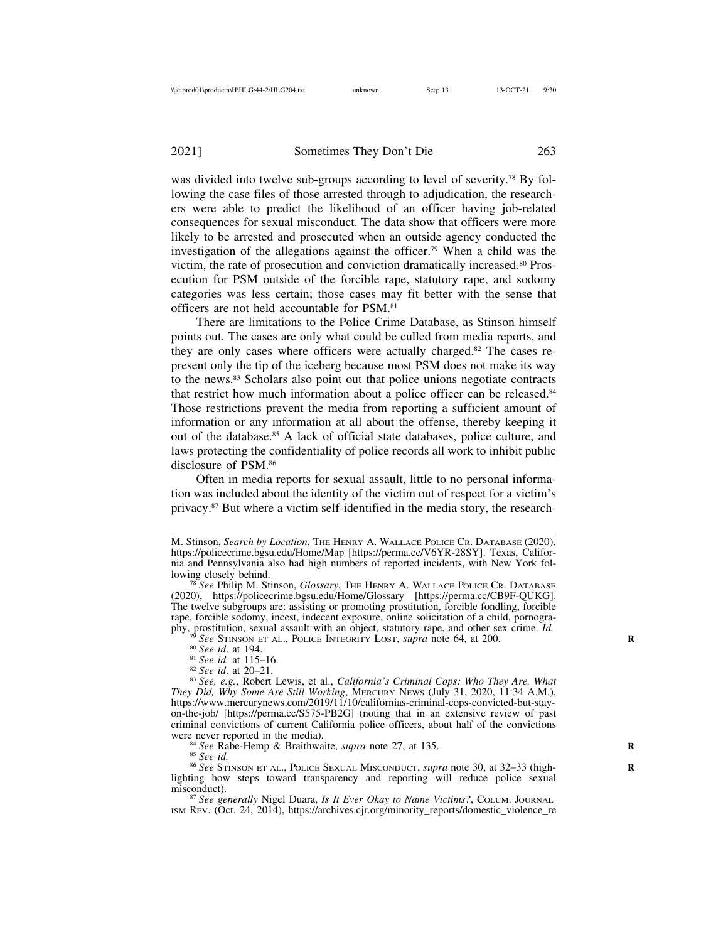was divided into twelve sub-groups according to level of severity.<sup>78</sup> By following the case files of those arrested through to adjudication, the researchers were able to predict the likelihood of an officer having job-related consequences for sexual misconduct. The data show that officers were more likely to be arrested and prosecuted when an outside agency conducted the investigation of the allegations against the officer.79 When a child was the victim, the rate of prosecution and conviction dramatically increased.80 Prosecution for PSM outside of the forcible rape, statutory rape, and sodomy categories was less certain; those cases may fit better with the sense that officers are not held accountable for PSM.81

There are limitations to the Police Crime Database, as Stinson himself points out. The cases are only what could be culled from media reports, and they are only cases where officers were actually charged.82 The cases represent only the tip of the iceberg because most PSM does not make its way to the news.83 Scholars also point out that police unions negotiate contracts that restrict how much information about a police officer can be released.<sup>84</sup> Those restrictions prevent the media from reporting a sufficient amount of information or any information at all about the offense, thereby keeping it out of the database.85 A lack of official state databases, police culture, and laws protecting the confidentiality of police records all work to inhibit public disclosure of PSM.86

Often in media reports for sexual assault, little to no personal information was included about the identity of the victim out of respect for a victim's privacy.87 But where a victim self-identified in the media story, the research-

ISM REV. (Oct. 24, 2014), https://archives.cjr.org/minority\_reports/domestic\_violence\_re

M. Stinson, *Search by Location*, THE HENRY A. WALLACE POLICE CR. DATABASE (2020), https://policecrime.bgsu.edu/Home/Map [https://perma.cc/V6YR-28SY]. Texas, California and Pennsylvania also had high numbers of reported incidents, with New York fol-

<sup>&</sup>lt;sup>78</sup> See Philip M. Stinson, *Glossary*, THE HENRY A. WALLACE POLICE CR. DATABASE (2020), https://policecrime.bgsu.edu/Home/Glossary [https://perma.cc/CB9F-QUKG]. The twelve subgroups are: assisting or promoting prostitution, forcible fondling, forcible rape, forcible sodomy, incest, indecent exposure, online solicitation of a child, pornography, prostitution, sexual assault with an object, statutory rape, and other sex crime. *Id.* 

<sup>&</sup>lt;sup>79</sup> See STINSON ET AL., POLICE INTEGRITY LOST, *supra* note 64, at 200.<br><sup>80</sup> See id. at 194.<br><sup>81</sup> See id. at 115–16.<br><sup>82</sup> See id. at 20–21.<br><sup>83</sup> See, e.g., Robert Lewis, et al., *California's Criminal Cops: Who They Are, They Did, Why Some Are Still Working*, MERCURY NEWS (July 31, 2020, 11:34 A.M.), https://www.mercurynews.com/2019/11/10/californias-criminal-cops-convicted-but-stayon-the-job/ [https://perma.cc/S575-PB2G] (noting that in an extensive review of past criminal convictions of current California police officers, about half of the convictions

<sup>&</sup>lt;sup>84</sup> See Rabe-Hemp & Braithwaite, *supra* note 27, at 135.<br><sup>85</sup> See id.<br><sup>86</sup> See STINSON ET AL., POLICE SEXUAL MISCONDUCT, *supra* note 30, at 32–33 (highlighting how steps toward transparency and reporting will reduce police sexual misconduct). <sup>87</sup> *See generally* Nigel Duara, *Is It Ever Okay to Name Victims?*, COLUM. JOURNAL-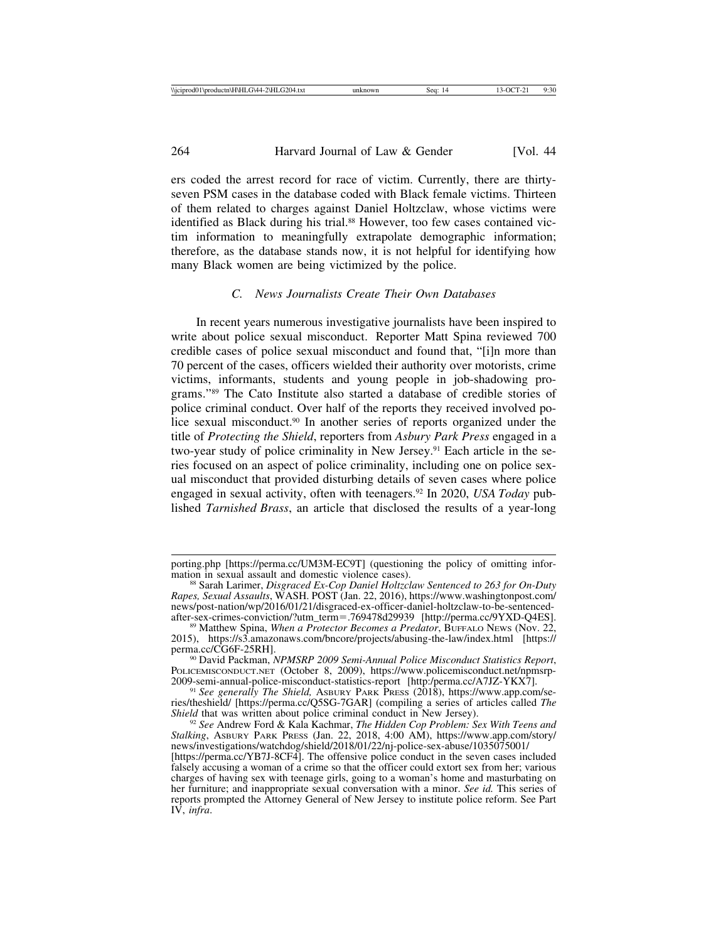ers coded the arrest record for race of victim. Currently, there are thirtyseven PSM cases in the database coded with Black female victims. Thirteen of them related to charges against Daniel Holtzclaw, whose victims were identified as Black during his trial.<sup>88</sup> However, too few cases contained victim information to meaningfully extrapolate demographic information; therefore, as the database stands now, it is not helpful for identifying how many Black women are being victimized by the police.

## *C. News Journalists Create Their Own Databases*

In recent years numerous investigative journalists have been inspired to write about police sexual misconduct. Reporter Matt Spina reviewed 700 credible cases of police sexual misconduct and found that, "[i]n more than 70 percent of the cases, officers wielded their authority over motorists, crime victims, informants, students and young people in job-shadowing programs."89 The Cato Institute also started a database of credible stories of police criminal conduct. Over half of the reports they received involved police sexual misconduct.<sup>90</sup> In another series of reports organized under the title of *Protecting the Shield*, reporters from *Asbury Park Press* engaged in a two-year study of police criminality in New Jersey.<sup>91</sup> Each article in the series focused on an aspect of police criminality, including one on police sexual misconduct that provided disturbing details of seven cases where police engaged in sexual activity, often with teenagers.92 In 2020, *USA Today* published *Tarnished Brass*, an article that disclosed the results of a year-long

porting.php [https://perma.cc/UM3M-EC9T] (questioning the policy of omitting infor-<br>mation in sexual assault and domestic violence cases).

<sup>&</sup>lt;sup>88</sup> Sarah Larimer, *Disgraced Ex-Cop Daniel Holtzclaw Sentenced to 263 for On-Duty Rapes, Sexual Assaults*, WASH. POST (Jan. 22, 2016), https://www.washingtonpost.com/ news/post-nation/wp/2016/01/21/disgraced-ex-officer-daniel-holtzclaw-to-be-sentencedafter-sex-crimes-conviction/?utm\_term=.769478d29939 [http://perma.cc/9YXD-Q4ES]. <sup>89</sup> Matthew Spina, *When a Protector Becomes a Predator*, BUFFALO NEWS (Nov. 22,

<sup>2015),</sup> https://s3.amazonaws.com/bncore/projects/abusing-the-law/index.html [https://

<sup>&</sup>lt;sup>90</sup> David Packman, *NPMSRP 2009 Semi-Annual Police Misconduct Statistics Report*, POLICEMISCONDUCT.NET (October 8, 2009), https://www.policemisconduct.net/npmsrp-2009-semi-annual-police-misconduct-statistics-report [http:/perma.cc/A7JZ-YKX7].

<sup>&</sup>lt;sup>91</sup> See generally The Shield, ASBURY PARK PRESS (2018), https://www.app.com/series/theshield/ [https://perma.cc/Q5SG-7GAR] (compiling a series of articles called *The*

<sup>&</sup>lt;sup>92</sup> See Andrew Ford & Kala Kachmar, *The Hidden Cop Problem: Sex With Teens and Stalking*, ASBURY PARK PRESS (Jan. 22, 2018, 4:00 AM), https://www.app.com/story/ news/investigations/watchdog/shield/2018/01/22/nj-police-sex-abuse/1035075001/

<sup>[</sup>https://perma.cc/YB7J-8CF4]. The offensive police conduct in the seven cases included falsely accusing a woman of a crime so that the officer could extort sex from her; various charges of having sex with teenage girls, going to a woman's home and masturbating on her furniture; and inappropriate sexual conversation with a minor. *See id.* This series of reports prompted the Attorney General of New Jersey to institute police reform. See Part IV, *infra*.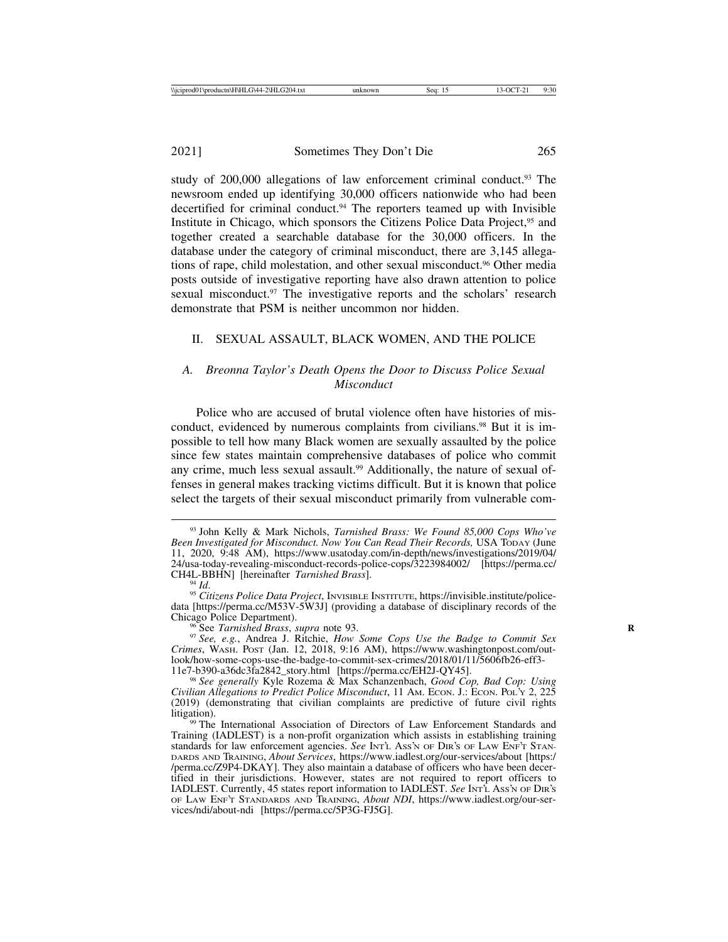study of 200,000 allegations of law enforcement criminal conduct.<sup>93</sup> The newsroom ended up identifying 30,000 officers nationwide who had been decertified for criminal conduct.94 The reporters teamed up with Invisible Institute in Chicago, which sponsors the Citizens Police Data Project,95 and together created a searchable database for the 30,000 officers. In the database under the category of criminal misconduct, there are 3,145 allegations of rape, child molestation, and other sexual misconduct.96 Other media posts outside of investigative reporting have also drawn attention to police sexual misconduct.<sup>97</sup> The investigative reports and the scholars' research demonstrate that PSM is neither uncommon nor hidden.

#### II. SEXUAL ASSAULT, BLACK WOMEN, AND THE POLICE

## *A. Breonna Taylor's Death Opens the Door to Discuss Police Sexual Misconduct*

Police who are accused of brutal violence often have histories of misconduct, evidenced by numerous complaints from civilians.<sup>98</sup> But it is impossible to tell how many Black women are sexually assaulted by the police since few states maintain comprehensive databases of police who commit any crime, much less sexual assault.<sup>99</sup> Additionally, the nature of sexual offenses in general makes tracking victims difficult. But it is known that police select the targets of their sexual misconduct primarily from vulnerable com-

<sup>93</sup> John Kelly & Mark Nichols, *Tarnished Brass: We Found 85,000 Cops Who've Been Investigated for Misconduct. Now You Can Read Their Records,* USA TODAY (June 11, 2020, 9:48 AM), https://www.usatoday.com/in-depth/news/investigations/2019/04/ 24/usa-today-revealing-misconduct-records-police-cops/3223984002/ [https://perma.cc/<br>CH4L-BBHN] [hereinafter *Tarnished Brass*].

<sup>&</sup>lt;sup>94</sup> Id.<br><sup>95</sup> Citiz*ens Police Data Project*, Invisible Institute, https://invisible.institute/policedata [https://perma.cc/M53V-5W3J] (providing a database of disciplinary records of the Chicago Police Department).

<sup>&</sup>lt;sup>96</sup> See *Tarnished Brass*, *supra* note 93. *Phone Cops Use the Badge to Commit Sex Ree, e.g.*, Andrea J. Ritchie, *How Some Cops Use the Badge to Commit Sex Crimes*, WASH. POST (Jan. 12, 2018, 9:16 AM), https://www.washingtonpost.com/outlook/how-some-cops-use-the-badge-to-commit-sex-crimes/2018/01/11/5606fb26-eff3-

<sup>11</sup>e7-b390-a36dc3fa2842\_story.html [https://perma.cc/EH2J-QY45]. <sup>98</sup> *See generally* Kyle Rozema & Max Schanzenbach, *Good Cop, Bad Cop: Using Civilian Allegations to Predict Police Misconduct*, 11 AM. ECON. J.: ECON. POL'Y 2, 225 (2019) (demonstrating that civilian complaints are predictive of future civil rights litigation).<br><sup>99</sup> The International Association of Directors of Law Enforcement Standards and

Training (IADLEST) is a non-profit organization which assists in establishing training standards for law enforcement agencies. See INT'L Ass'N OF DIR'S OF LAW ENF'T STAN-DARDS AND TRAINING, *About Services*, https://www.iadlest.org/our-services/about [https:/ /perma.cc/Z9P4-DKAY]. They also maintain a database of officers who have been decertified in their jurisdictions. However, states are not required to report officers to IADLEST. Currently, 45 states report information to IADLEST. *See* INT'L ASS'N OF DIR'S OF LAW ENF'T STANDARDS AND TRAINING, *About NDI*, https://www.iadlest.org/our-services/ndi/about-ndi [https://perma.cc/5P3G-FJ5G].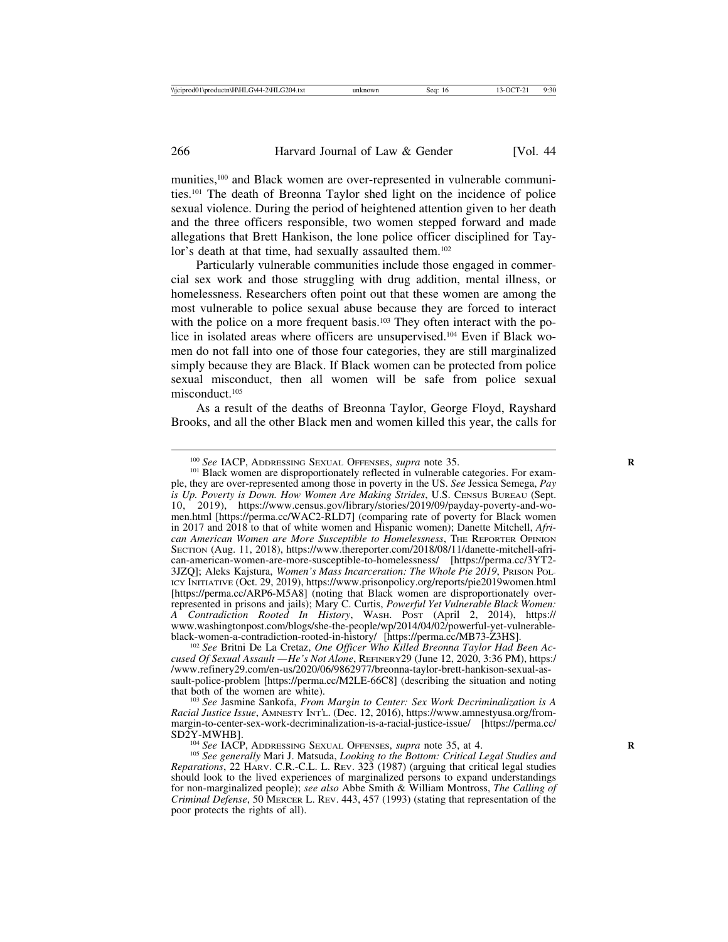munities,100 and Black women are over-represented in vulnerable communities.101 The death of Breonna Taylor shed light on the incidence of police sexual violence. During the period of heightened attention given to her death and the three officers responsible, two women stepped forward and made allegations that Brett Hankison, the lone police officer disciplined for Taylor's death at that time, had sexually assaulted them.<sup>102</sup>

Particularly vulnerable communities include those engaged in commercial sex work and those struggling with drug addition, mental illness, or homelessness. Researchers often point out that these women are among the most vulnerable to police sexual abuse because they are forced to interact with the police on a more frequent basis.<sup>103</sup> They often interact with the police in isolated areas where officers are unsupervised.104 Even if Black women do not fall into one of those four categories, they are still marginalized simply because they are Black. If Black women can be protected from police sexual misconduct, then all women will be safe from police sexual misconduct.<sup>105</sup>

As a result of the deaths of Breonna Taylor, George Floyd, Rayshard Brooks, and all the other Black men and women killed this year, the calls for

<sup>100</sup> *See* IACP, ADDRESSING SEXUAL OFFENSES, *supra* note 35.<br><sup>101</sup> Black women are disproportionately reflected in vulnerable categories. For example, they are over-represented among those in poverty in the US. *See* Jessica Semega, *Pay is Up. Poverty is Down. How Women Are Making Strides*, U.S. CENSUS BUREAU (Sept. 10, 2019), https://www.census.gov/library/stories/2019/09/payday-poverty-and-women.html [https://perma.cc/WAC2-RLD7] (comparing rate of poverty for Black women in 2017 and 2018 to that of white women and Hispanic women); Danette Mitchell, *African American Women are More Susceptible to Homelessness*, THE REPORTER OPINION SECTION (Aug. 11, 2018), https://www.thereporter.com/2018/08/11/danette-mitchell-african-american-women-are-more-susceptible-to-homelessness/ [https://perma.cc/3YT2- 3JZQ]; Aleks Kajstura, *Women's Mass Incarceration: The Whole Pie 2019*, PRISON POL-ICY INITIATIVE (Oct. 29, 2019), https://www.prisonpolicy.org/reports/pie2019women.html [https://perma.cc/ARP6-M5A8] (noting that Black women are disproportionately overrepresented in prisons and jails); Mary C. Curtis, *Powerful Yet Vulnerable Black Women: A Contradiction Rooted In History*, WASH. POST (April 2, 2014), https:// www.washingtonpost.com/blogs/she-the-people/wp/2014/04/02/powerful-yet-vulnerable-<br>black-women-a-contradiction-rooted-in-history/ [https://perma.cc/MB73-Z3HS].

<sup>102</sup> See Britni De La Cretaz, *One Officer Who Killed Breonna Taylor Had Been Accused Of Sexual Assault — He's Not Alone*, REFINERY29 (June 12, 2020, 3:36 PM), https:/ /www.refinery29.com/en-us/2020/06/9862977/breonna-taylor-brett-hankison-sexual-assault-police-problem [https://perma.cc/M2LE-66C8] (describing the situation and noting that both of the women are white). <sup>103</sup> *See* Jasmine Sankofa, *From Margin to Center: Sex Work Decriminalization is A*

*Racial Justice Issue*, AMNESTY INT'L. (Dec. 12, 2016), https://www.amnestyusa.org/frommargin-to-center-sex-work-decriminalization-is-a-racial-justice-issue/ [https://perma.cc/

<sup>&</sup>lt;sup>104</sup> *See* IACP, ADDRESSING SEXUAL OFFENSES, *supra* note 35, at 4.<br><sup>105</sup> *See generally* Mari J. Matsuda, *Looking to the Bottom: Critical Legal Studies and Reparations*, 22 HARV. C.R.-C.L. L. REV. 323 (1987) (arguing that critical legal studies should look to the lived experiences of marginalized persons to expand understandings for non-marginalized people); *see also* Abbe Smith & William Montross, *The Calling of Criminal Defense*, 50 MERCER L. REV. 443, 457 (1993) (stating that representation of the poor protects the rights of all).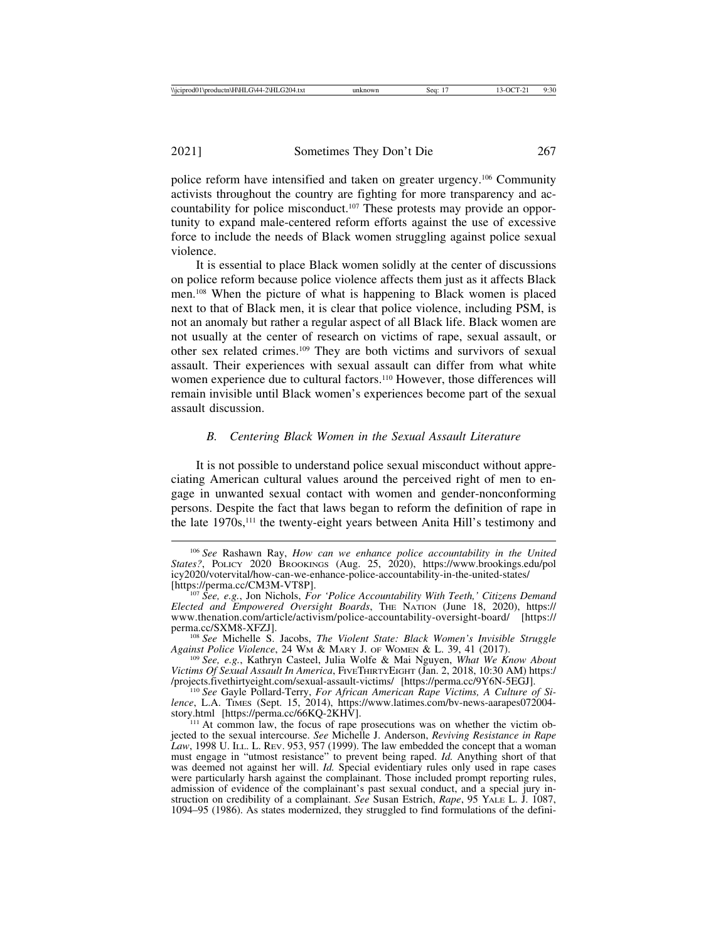police reform have intensified and taken on greater urgency.106 Community activists throughout the country are fighting for more transparency and accountability for police misconduct.107 These protests may provide an opportunity to expand male-centered reform efforts against the use of excessive force to include the needs of Black women struggling against police sexual violence.

It is essential to place Black women solidly at the center of discussions on police reform because police violence affects them just as it affects Black men.108 When the picture of what is happening to Black women is placed next to that of Black men, it is clear that police violence, including PSM, is not an anomaly but rather a regular aspect of all Black life. Black women are not usually at the center of research on victims of rape, sexual assault, or other sex related crimes.109 They are both victims and survivors of sexual assault. Their experiences with sexual assault can differ from what white women experience due to cultural factors.<sup>110</sup> However, those differences will remain invisible until Black women's experiences become part of the sexual assault discussion.

# *B. Centering Black Women in the Sexual Assault Literature*

It is not possible to understand police sexual misconduct without appreciating American cultural values around the perceived right of men to engage in unwanted sexual contact with women and gender-nonconforming persons. Despite the fact that laws began to reform the definition of rape in the late 1970s,111 the twenty-eight years between Anita Hill's testimony and

<sup>106</sup> *See* Rashawn Ray, *How can we enhance police accountability in the United States?*, POLICY 2020 BROOKINGS (Aug. 25, 2020), https://www.brookings.edu/pol icy2020/votervital/how-can-we-enhance-police-accountability-in-the-united-states/

<sup>&</sup>lt;sup>107</sup> *See, e.g.*, Jon Nichols, *For 'Police Accountability With Teeth,' Citizens Demand Elected and Empowered Oversight Boards*, THE NATION (June 18, 2020), https:// www.thenation.com/article/activism/police-accountability-oversight-board/ [https://<br>perma.cc/SXM8-XFZJ].

<sup>&</sup>lt;sup>108</sup> See Michelle S. Jacobs, *The Violent State: Black Women's Invisible Struggle Against Police Violence*, 24 WM & MARY J. OF WOMEN & L. 39, 41 (2017).

<sup>&</sup>lt;sup>109</sup> See, e.g., Kathryn Casteel, Julia Wolfe & Mai Nguyen, *What We Know About Victims Of Sexual Assault In America*, FIVETHIRTYEIGHT (Jan. 2, 2018, 10:30 AM) https:/ /projects.fivethirtyeight.com/sexual-assault-victims/ [https://perma.cc/9Y6N-5EGJ]. <sup>110</sup> *See* Gayle Pollard-Terry, *For African American Rape Victims, A Culture of Si-*

*lence*, L.A. TIMES (Sept. 15, 2014), https://www.latimes.com/bv-news-aarapes072004-<br>story.html [https://perma.cc/66KQ-2KHV].

 $111$  At common law, the focus of rape prosecutions was on whether the victim objected to the sexual intercourse. *See* Michelle J. Anderson, *Reviving Resistance in Rape Law*, 1998 U. ILL. L. REV. 953, 957 (1999). The law embedded the concept that a woman must engage in "utmost resistance" to prevent being raped. *Id.* Anything short of that was deemed not against her will. *Id.* Special evidentiary rules only used in rape cases were particularly harsh against the complainant. Those included prompt reporting rules, admission of evidence of the complainant's past sexual conduct, and a special jury instruction on credibility of a complainant. *See* Susan Estrich, *Rape*, 95 YALE L. J. 1087, 1094–95 (1986). As states modernized, they struggled to find formulations of the defini-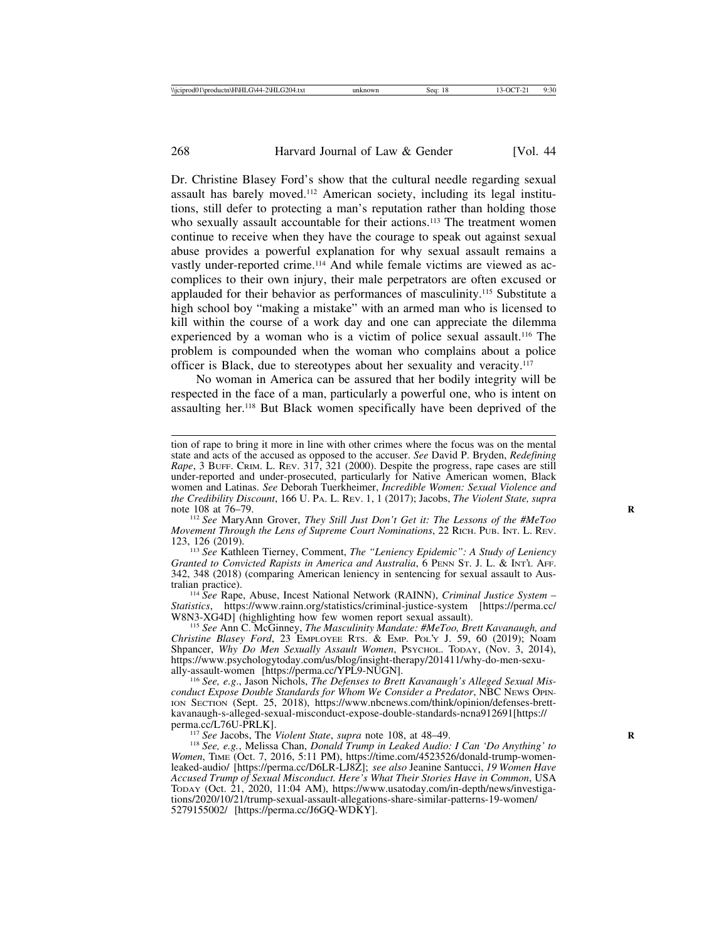Dr. Christine Blasey Ford's show that the cultural needle regarding sexual assault has barely moved.112 American society, including its legal institutions, still defer to protecting a man's reputation rather than holding those who sexually assault accountable for their actions.<sup>113</sup> The treatment women continue to receive when they have the courage to speak out against sexual abuse provides a powerful explanation for why sexual assault remains a vastly under-reported crime.114 And while female victims are viewed as accomplices to their own injury, their male perpetrators are often excused or applauded for their behavior as performances of masculinity.115 Substitute a high school boy "making a mistake" with an armed man who is licensed to kill within the course of a work day and one can appreciate the dilemma experienced by a woman who is a victim of police sexual assault.116 The problem is compounded when the woman who complains about a police officer is Black, due to stereotypes about her sexuality and veracity.117

No woman in America can be assured that her bodily integrity will be respected in the face of a man, particularly a powerful one, who is intent on assaulting her.118 But Black women specifically have been deprived of the

<sup>112</sup> See MaryAnn Grover, *They Still Just Don't Get it: The Lessons of the #MeToo Movement Through the Lens of Supreme Court Nominations*, 22 RICH. PUB. INT. L. REV. 123, 126 (2019).

123, 126 (2019). <sup>113</sup> *See* Kathleen Tierney, Comment, *The "Leniency Epidemic": A Study of Leniency Granted to Convicted Rapists in America and Australia*, 6 PENN ST. J. L. & INT'L AFF. 342, 348 (2018) (comparing American leniency in sentencing for sexual assault to Aus-

<sup>114</sup> See Rape, Abuse, Incest National Network (RAINN), *Criminal Justice System – Statistics*, https://www.rainn.org/statistics/criminal-justice-system [https://perma.cc/

<sup>115</sup> See Ann C. McGinney, *The Masculinity Mandate: #MeToo, Brett Kavanaugh, and Christine Blasey Ford*, 23 EMPLOYEE RTS. & EMP. POL'Y J. 59, 60 (2019); Noam Shpancer, *Why Do Men Sexually Assault Women*, PSYCHOL. TODAY, (Nov. 3, 2014), https://www.psychologytoday.com/us/blog/insight-therapy/201411/why-do-men-sexu-

<sup>116</sup> See, e.g., Jason Nichols, *The Defenses to Brett Kavanaugh's Alleged Sexual Misconduct Expose Double Standards for Whom We Consider a Predator*, NBC NEWS OPIN-ION SECTION (Sept. 25, 2018), https://www.nbcnews.com/think/opinion/defenses-brettkavanaugh-s-alleged-sexual-misconduct-expose-double-standards-ncna912691[https://

<sup>117</sup> *See* Jacobs, The *Violent State*, *supra* note 108, at 48–49. *Readershippersippersippersippersippersippersippersippersippersippersippersippersippersippersippersippersippersippersippersippersippersippersippersippers Women*, TIME (Oct. 7, 2016, 5:11 PM), https://time.com/4523526/donald-trump-womenleaked-audio/ [https://perma.cc/D6LR-LJ8Z]; *see also* Jeanine Santucci, *19 Women Have Accused Trump of Sexual Misconduct. Here's What Their Stories Have in Common*, USA TODAY (Oct. 21, 2020, 11:04 AM), https://www.usatoday.com/in-depth/news/investigations/2020/10/21/trump-sexual-assault-allegations-share-similar-patterns-19-women/ 5279155002/ [https://perma.cc/J6GQ-WDKY].

tion of rape to bring it more in line with other crimes where the focus was on the mental state and acts of the accused as opposed to the accuser. *See* David P. Bryden, *Redefining Rape*, 3 BUFF. CRIM. L. REV. 317, 321 (2000). Despite the progress, rape cases are still under-reported and under-prosecuted, particularly for Native American women, Black women and Latinas. *See* Deborah Tuerkheimer, *Incredible Women: Sexual Violence and the Credibility Discount*, 166 U. PA. L. REV. 1, 1 (2017); Jacobs, *The Violent State, supra*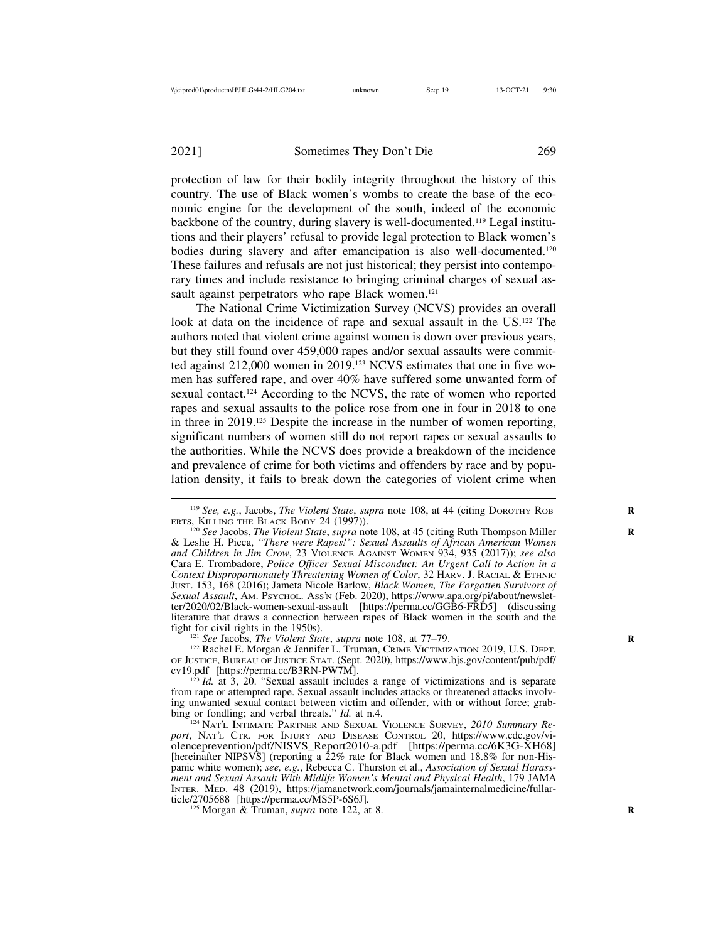protection of law for their bodily integrity throughout the history of this country. The use of Black women's wombs to create the base of the economic engine for the development of the south, indeed of the economic backbone of the country, during slavery is well-documented.119 Legal institutions and their players' refusal to provide legal protection to Black women's bodies during slavery and after emancipation is also well-documented.120 These failures and refusals are not just historical; they persist into contemporary times and include resistance to bringing criminal charges of sexual assault against perpetrators who rape Black women.<sup>121</sup>

The National Crime Victimization Survey (NCVS) provides an overall look at data on the incidence of rape and sexual assault in the US.<sup>122</sup> The authors noted that violent crime against women is down over previous years, but they still found over 459,000 rapes and/or sexual assaults were committed against 212,000 women in 2019.123 NCVS estimates that one in five women has suffered rape, and over 40% have suffered some unwanted form of sexual contact.<sup>124</sup> According to the NCVS, the rate of women who reported rapes and sexual assaults to the police rose from one in four in 2018 to one in three in 2019.125 Despite the increase in the number of women reporting, significant numbers of women still do not report rapes or sexual assaults to the authorities. While the NCVS does provide a breakdown of the incidence and prevalence of crime for both victims and offenders by race and by population density, it fails to break down the categories of violent crime when

<sup>&</sup>lt;sup>119</sup> *See, e.g.*, Jacobs, *The Violent State*, *supra* note 108, at 44 (citing DOROTHY ROB-<br>**ERTS.** KILLING THE BLACK BODY 24 (1997)).

<sup>&</sup>lt;sup>120</sup> See Jacobs, *The Violent State*, *supra* note 108, at 45 (citing Ruth Thompson Miller & Leslie H. Picca, *"There were Rapes!": Sexual Assaults of African American Women and Children in Jim Crow*, 23 VIOLENCE AGAINST WOMEN 934, 935 (2017)); *see also* Cara E. Trombadore, *Police Officer Sexual Misconduct: An Urgent Call to Action in a Context Disproportionately Threatening Women of Color*, 32 HARV. J. RACIAL & ETHNIC JUST. 153, 168 (2016); Jameta Nicole Barlow, *Black Women, The Forgotten Survivors of Sexual Assault*, AM. PSYCHOL. ASS'N (Feb. 2020), https://www.apa.org/pi/about/newsletter/2020/02/Black-women-sexual-assault [https://perma.cc/GGB6-FRD5] (discussing literature that draws a connection between rapes of Black women in the south and the

<sup>&</sup>lt;sup>121</sup> *See* Jacobs, *The Violent State*, *supra* note 108, at 77–79.<br><sup>122</sup> Rachel E. Morgan & Jennifer L. Truman, CRIME VICTIMIZATION 2019, U.S. DEPT. OF JUSTICE, BUREAU OF JUSTICE STAT. (Sept. 2020), https://www.bjs.gov/content/pub/pdf/

 $123$  *Id.* at 3, 20. "Sexual assault includes a range of victimizations and is separate from rape or attempted rape. Sexual assault includes attacks or threatened attacks involving unwanted sexual contact between victim and offender, with or without force; grab-<br>bing or fondling; and verbal threats."  $Id$ . at n.4.

<sup>&</sup>lt;sup>124</sup> NAT'L INTIMATE PARTNER AND SEXUAL VIOLENCE SURVEY, 2010 Summary Re*port*, NAT'L CTR. FOR INJURY AND DISEASE CONTROL 20, https://www.cdc.gov/violenceprevention/pdf/NISVS\_Report2010-a.pdf [https://perma.cc/6K3G-XH68] [hereinafter NIPSVS] (reporting a 22% rate for Black women and 18.8% for non-Hispanic white women); *see, e.g.*, Rebecca C. Thurston et al., *Association of Sexual Harassment and Sexual Assault With Midlife Women's Mental and Physical Health*, 179 JAMA INTER. MED. 48 (2019), https://jamanetwork.com/journals/jamainternalmedicine/fullar-ticle/2705688 [https://perma.cc/MS5P-6S6J].

<sup>&</sup>lt;sup>125</sup> Morgan & Truman, *supra* note 122, at 8.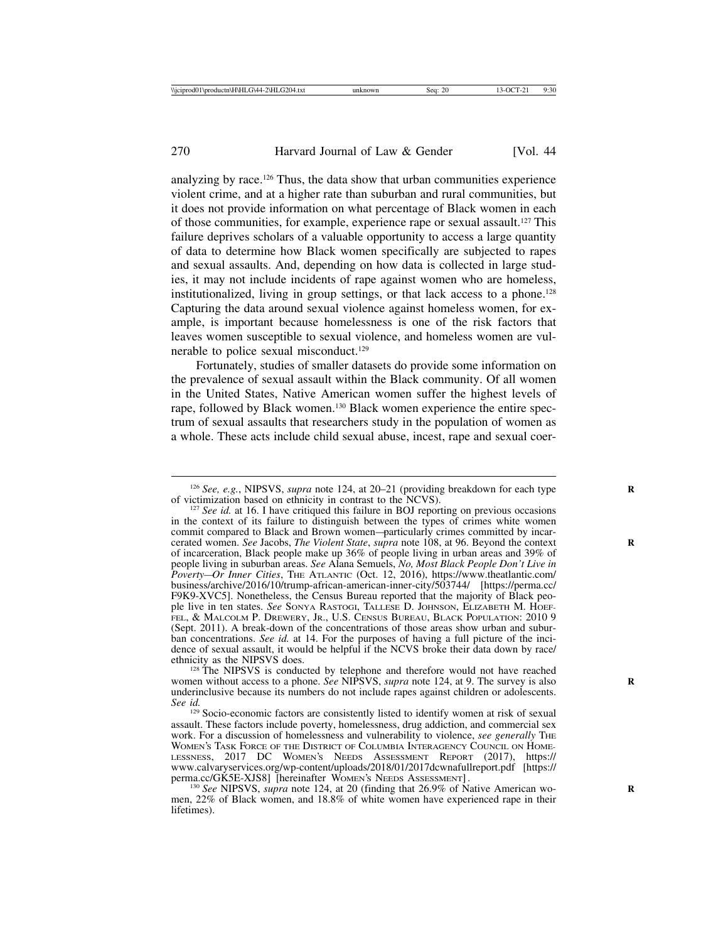analyzing by race.126 Thus, the data show that urban communities experience violent crime, and at a higher rate than suburban and rural communities, but it does not provide information on what percentage of Black women in each of those communities, for example, experience rape or sexual assault.127 This failure deprives scholars of a valuable opportunity to access a large quantity of data to determine how Black women specifically are subjected to rapes and sexual assaults. And, depending on how data is collected in large studies, it may not include incidents of rape against women who are homeless, institutionalized, living in group settings, or that lack access to a phone.128 Capturing the data around sexual violence against homeless women, for example, is important because homelessness is one of the risk factors that leaves women susceptible to sexual violence, and homeless women are vulnerable to police sexual misconduct.129

Fortunately, studies of smaller datasets do provide some information on the prevalence of sexual assault within the Black community. Of all women in the United States, Native American women suffer the highest levels of rape, followed by Black women.130 Black women experience the entire spectrum of sexual assaults that researchers study in the population of women as a whole. These acts include child sexual abuse, incest, rape and sexual coer-

 $128$  The NIPSVS is conducted by telephone and therefore would not have reached women without access to a phone. *See* NIPSVS, *supra* note 124, at 9. The survey is also underinclusive because its numbers do not include rapes against children or adolescents.<br>See id.

<sup>&</sup>lt;sup>126</sup> *See, e.g.*, NIPSVS, *supra* note 124, at 20–21 (providing breakdown for each type of victimization based on ethnicity in contrast to the NCVS).

 $127$  *See id.* at 16. I have critiqued this failure in BOJ reporting on previous occasions in the context of its failure to distinguish between the types of crimes white women commit compared to Black and Brown women—particularly crimes committed by incarcerated women. See Jacobs, *The Violent State*, *supra* note 108, at 96. Beyond the context of incarceration, Black people make up 36% of people living in urban areas and 39% of people living in suburban areas. *See* Alana Semuels, *No, Most Black People Don't Live in Poverty—Or Inner Cities*, THE ATLANTIC (Oct. 12, 2016), https://www.theatlantic.com/ business/archive/2016/10/trump-african-american-inner-city/503744/ [https://perma.cc/ F9K9-XVC5]. Nonetheless, the Census Bureau reported that the majority of Black people live in ten states. *See* SONYA RASTOGI, TALLESE D. JOHNSON, ELIZABETH M. HOEF-FEL, & MALCOLM P. DREWERY, JR., U.S. CENSUS BUREAU, BLACK POPULATION: 2010 9 (Sept. 2011). A break-down of the concentrations of those areas show urban and suburban concentrations. *See id.* at 14. For the purposes of having a full picture of the incidence of sexual assault, it would be helpful if the NCVS broke their data down by race/ ethnicity as the NIPSVS does.

<sup>&</sup>lt;sup>129</sup> Socio-economic factors are consistently listed to identify women at risk of sexual assault. These factors include poverty, homelessness, drug addiction, and commercial sex work. For a discussion of homelessness and vulnerability to violence, *see generally* THE WOMEN'S TASK FORCE OF THE DISTRICT OF COLUMBIA INTERAGENCY COUNCIL ON HOME-LESSNESS, 2017 DC WOMEN'S NEEDS ASSESSMENT REPORT (2017), https:// www.calvaryservices.org/wp-content/uploads/2018/01/2017dcwnafullreport.pdf [https://<br>perma.cc/GK5E-XJS8] [hereinafter WOMEN's NEEDS ASSESSMENT].

<sup>&</sup>lt;sup>130</sup> See NIPSVS, *supra* note 124, at 20 (finding that 26.9% of Native American women, 22% of Black women, and 18.8% of white women have experienced rape in their lifetimes).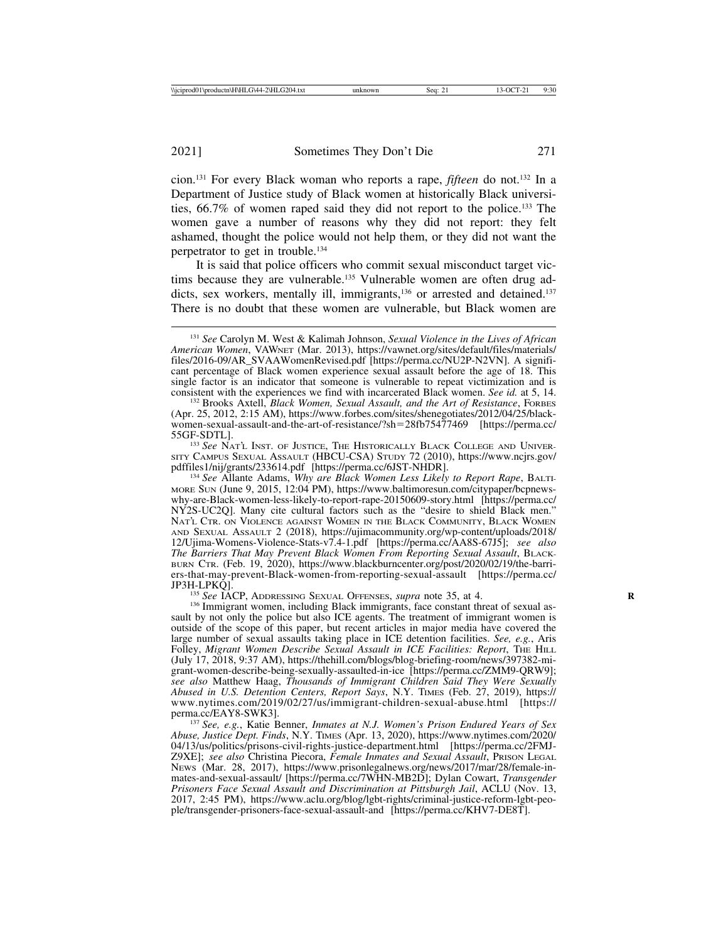cion.131 For every Black woman who reports a rape, *fifteen* do not.132 In a Department of Justice study of Black women at historically Black universities, 66.7% of women raped said they did not report to the police.133 The women gave a number of reasons why they did not report: they felt ashamed, thought the police would not help them, or they did not want the perpetrator to get in trouble.134

It is said that police officers who commit sexual misconduct target victims because they are vulnerable.135 Vulnerable women are often drug addicts, sex workers, mentally ill, immigrants,<sup>136</sup> or arrested and detained.<sup>137</sup> There is no doubt that these women are vulnerable, but Black women are

(Apr. 25, 2012, 2:15 AM), https://www.forbes.com/sites/shenegotiates/2012/04/25/blackwomen-sexual-assault-and-the-art-of-resistance/?sh=28fb75477469 [https://perma.cc/<br>55GF-SDTL].

<sup>133</sup> See NAT'L INST. OF JUSTICE, THE HISTORICALLY BLACK COLLEGE AND UNIVER-SITY CAMPUS SEXUAL ASSAULT (HBCU-CSA) STUDY 72 (2010), https://www.ncjrs.gov/<br>pdffiles1/nij/grants/233614.pdf [https://perma.cc/6JST-NHDR].

<sup>134</sup> See Allante Adams, *Why are Black Women Less Likely to Report Rape*, BALTI-MORE SUN (June 9, 2015, 12:04 PM), https://www.baltimoresun.com/citypaper/bcpnewswhy-are-Black-women-less-likely-to-report-rape-20150609-story.html [https://perma.cc/ NY2S-UC2Q]. Many cite cultural factors such as the "desire to shield Black men." NAT'L CTR. ON VIOLENCE AGAINST WOMEN IN THE BLACK COMMUNITY, BLACK WOMEN AND SEXUAL ASSAULT 2 (2018), https://ujimacommunity.org/wp-content/uploads/2018/ 12/Ujima-Womens-Violence-Stats-v7.4-1.pdf [https://perma.cc/AA8S-67J5]; *see also The Barriers That May Prevent Black Women From Reporting Sexual Assault*, BLACK-BURN CTR. (Feb. 19, 2020), https://www.blackburncenter.org/post/2020/02/19/the-barriers-that-may-prevent-Black-women-from-reporting-sexual-assault [https://perma.cc/

<sup>135</sup> *See* IACP, ADDRESSING SEXUAL OFFENSES, *supra* note 35, at 4. <sup>136</sup> Immigrant women, including Black immigrants, face constant threat of sexual assault by not only the police but also ICE agents. The treatment of immigrant women is outside of the scope of this paper, but recent articles in major media have covered the large number of sexual assaults taking place in ICE detention facilities. *See, e.g.*, Aris Folley, *Migrant Women Describe Sexual Assault in ICE Facilities: Report*, The H<sub>ILL</sub> (July 17, 2018, 9:37 AM), https://thehill.com/blogs/blog-briefing-room/news/397382-migrant-women-describe-being-sexually-assaulted-in-ice [https://perma.cc/ZMM9-QRW9]; *see also* Matthew Haag, *Thousands of Immigrant Children Said They Were Sexually Abused in U.S. Detention Centers, Report Says*, N.Y. TIMES (Feb. 27, 2019), https:// www.nytimes.com/2019/02/27/us/immigrant-children-sexual-abuse.html [https:// perma.cc/EAY8-SWK3]. <sup>137</sup> *See, e.g.*, Katie Benner, *Inmates at N.J. Women's Prison Endured Years of Sex*

*Abuse, Justice Dept. Finds*, N.Y. TIMES (Apr. 13, 2020), https://www.nytimes.com/2020/ 04/13/us/politics/prisons-civil-rights-justice-department.html [https://perma.cc/2FMJ-Z9XE]; *see also* Christina Piecora, *Female Inmates and Sexual Assault*, PRISON LEGAL NEWS (Mar. 28, 2017), https://www.prisonlegalnews.org/news/2017/mar/28/female-inmates-and-sexual-assault/ [https://perma.cc/7WHN-MB2D]; Dylan Cowart, *Transgender Prisoners Face Sexual Assault and Discrimination at Pittsburgh Jail*, ACLU (Nov. 13, 2017, 2:45 PM), https://www.aclu.org/blog/lgbt-rights/criminal-justice-reform-lgbt-people/transgender-prisoners-face-sexual-assault-and [https://perma.cc/KHV7-DE8T].

<sup>131</sup> *See* Carolyn M. West & Kalimah Johnson, *Sexual Violence in the Lives of African American Women*, VAWNET (Mar. 2013), https://vawnet.org/sites/default/files/materials/ files/2016-09/AR\_SVAAWomenRevised.pdf [https://perma.cc/NU2P-N2VN]. A significant percentage of Black women experience sexual assault before the age of 18. This single factor is an indicator that someone is vulnerable to repeat victimization and is consistent with the experiences we find with incarcerated Black women. *See id.* at 5, 14. <sup>132</sup> Brooks Axtell, *Black Women, Sexual Assault, and the Art of Resistance*, FORBES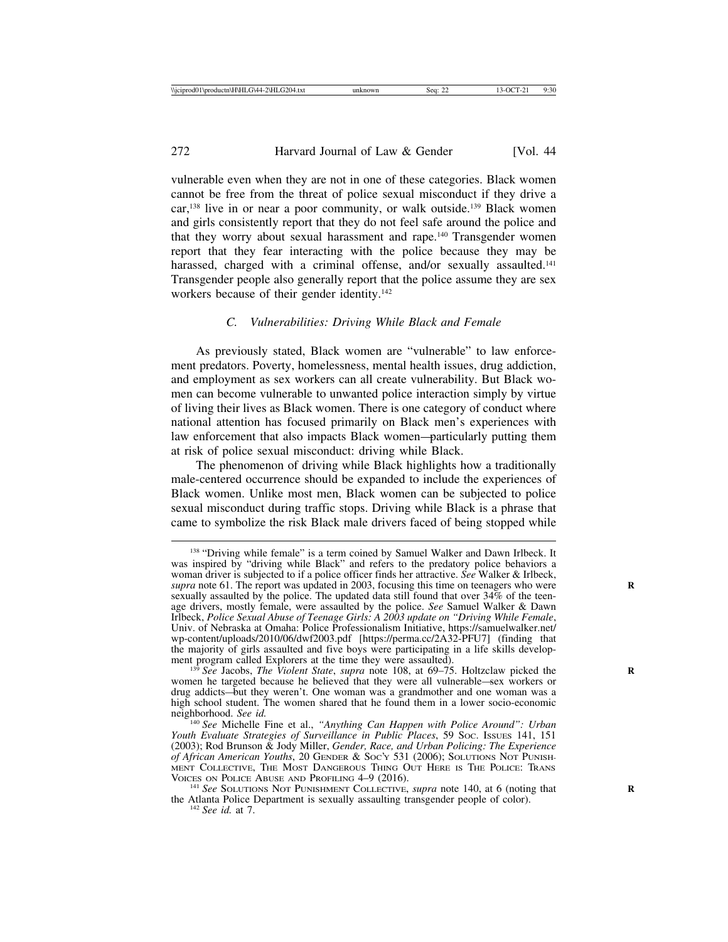vulnerable even when they are not in one of these categories. Black women cannot be free from the threat of police sexual misconduct if they drive a car,<sup>138</sup> live in or near a poor community, or walk outside.<sup>139</sup> Black women and girls consistently report that they do not feel safe around the police and that they worry about sexual harassment and rape.140 Transgender women report that they fear interacting with the police because they may be harassed, charged with a criminal offense, and/or sexually assaulted.<sup>141</sup> Transgender people also generally report that the police assume they are sex workers because of their gender identity.<sup>142</sup>

# *C. Vulnerabilities: Driving While Black and Female*

As previously stated, Black women are "vulnerable" to law enforcement predators. Poverty, homelessness, mental health issues, drug addiction, and employment as sex workers can all create vulnerability. But Black women can become vulnerable to unwanted police interaction simply by virtue of living their lives as Black women. There is one category of conduct where national attention has focused primarily on Black men's experiences with law enforcement that also impacts Black women—particularly putting them at risk of police sexual misconduct: driving while Black.

The phenomenon of driving while Black highlights how a traditionally male-centered occurrence should be expanded to include the experiences of Black women. Unlike most men, Black women can be subjected to police sexual misconduct during traffic stops. Driving while Black is a phrase that came to symbolize the risk Black male drivers faced of being stopped while

<sup>&</sup>lt;sup>138</sup> "Driving while female" is a term coined by Samuel Walker and Dawn Irlbeck. It was inspired by "driving while Black" and refers to the predatory police behaviors a woman driver is subjected to if a police officer finds her attractive. *See* Walker & Irlbeck, *supra* note 61. The report was updated in 2003, focusing this time on teenagers who were sexually assaulted by the police. The updated data still found that over 34% of the teenage drivers, mostly female, were assaulted by the police. *See* Samuel Walker & Dawn Irlbeck, *Police Sexual Abuse of Teenage Girls: A 2003 update on "Driving While Female*, Univ. of Nebraska at Omaha: Police Professionalism Initiative, https://samuelwalker.net/ wp-content/uploads/2010/06/dwf2003.pdf [https://perma.cc/2A32-PFU7] (finding that the majority of girls assaulted and five boys were participating in a life skills develop-

<sup>&</sup>lt;sup>139</sup> *See* Jacobs, *The Violent State, supra* note 108, at 69–75. Holtzclaw picked the women he targeted because he believed that they were all vulnerable—sex workers or drug addicts—but they weren't. One woman was a grandmother and one woman was a high school student. The women shared that he found them in a lower socio-economic neighborhood. *See id.* <sup>140</sup> *See* Michelle Fine et al., *"Anything Can Happen with Police Around": Urban*

*Youth Evaluate Strategies of Surveillance in Public Places*, 59 SOC. ISSUES 141, 151 (2003); Rod Brunson & Jody Miller, *Gender, Race, and Urban Policing: The Experience of African American Youths*, 20 GENDER & SOC'Y 531 (2006); SOLUTIONS NOT PUNISH-MENT COLLECTIVE, THE MOST DANGEROUS THING OUT HERE IS THE POLICE: TRANS VOICES ON POLICE ABUSE AND PROFILING 4–9 (2016).<br><sup>141</sup> *See* SOLUTIONS NOT PUNISHMENT COLLECTIVE, *supra* note 140, at 6 (noting that

the Atlanta Police Department is sexually assaulting transgender people of color). <sup>142</sup> *See id.* at 7.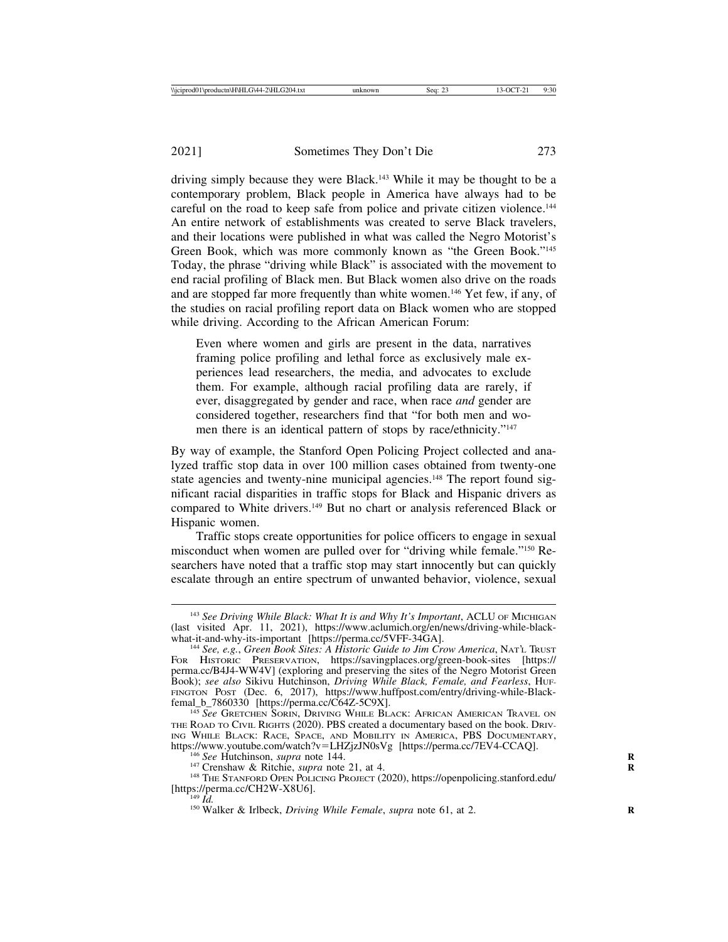driving simply because they were Black.<sup>143</sup> While it may be thought to be a contemporary problem, Black people in America have always had to be careful on the road to keep safe from police and private citizen violence.144 An entire network of establishments was created to serve Black travelers, and their locations were published in what was called the Negro Motorist's Green Book, which was more commonly known as "the Green Book."145 Today, the phrase "driving while Black" is associated with the movement to end racial profiling of Black men. But Black women also drive on the roads and are stopped far more frequently than white women.146 Yet few, if any, of the studies on racial profiling report data on Black women who are stopped while driving. According to the African American Forum:

Even where women and girls are present in the data, narratives framing police profiling and lethal force as exclusively male experiences lead researchers, the media, and advocates to exclude them. For example, although racial profiling data are rarely, if ever, disaggregated by gender and race, when race *and* gender are considered together, researchers find that "for both men and women there is an identical pattern of stops by race/ethnicity."147

By way of example, the Stanford Open Policing Project collected and analyzed traffic stop data in over 100 million cases obtained from twenty-one state agencies and twenty-nine municipal agencies.<sup>148</sup> The report found significant racial disparities in traffic stops for Black and Hispanic drivers as compared to White drivers.<sup>149</sup> But no chart or analysis referenced Black or Hispanic women.

Traffic stops create opportunities for police officers to engage in sexual misconduct when women are pulled over for "driving while female."150 Researchers have noted that a traffic stop may start innocently but can quickly escalate through an entire spectrum of unwanted behavior, violence, sexual

<sup>&</sup>lt;sup>143</sup> See Driving While Black: What It is and Why It's Important, ACLU OF MICHIGAN (last visited Apr. 11, 2021), https://www.aclumich.org/en/news/driving-while-black-<br>what-it-and-why-its-important [https://perma.cc/5VFF-34GA].

<sup>&</sup>lt;sup>144</sup> See, e.g., *Green Book Sites: A Historic Guide to Jim Crow America*, NAT'L TRUST FOR HISTORIC PRESERVATION, https://savingplaces.org/green-book-sites [https:// perma.cc/B4J4-WW4V] (exploring and preserving the sites of the Negro Motorist Green Book); *see also* Sikivu Hutchinson, *Driving While Black, Female, and Fearless*, HUF-FINGTON POST (Dec. 6, 2017), https://www.huffpost.com/entry/driving-while-Black-femal b 7860330 [https://perma.cc/C64Z-5C9X].

<sup>&</sup>lt;sup>145</sup> See GRETCHEN SORIN, DRIVING WHILE BLACK: AFRICAN AMERICAN TRAVEL ON THE ROAD TO CIVIL RIGHTS (2020). PBS created a documentary based on the book. DRIV-ING WHILE BLACK: RACE, SPACE, AND MOBILITY IN AMERICA, PBS DOCUMENTARY, https://www.youtube.com/watch?v=LHZjzJN0sVg [https://perma.cc/7EV4-CCAQ].

<sup>&</sup>lt;sup>146</sup> See Hutchinson, *supra* note 144.<br><sup>147</sup> Crenshaw & Ritchie, *supra* note 21, at 4.<br><sup>148</sup> THE STANFORD OPEN POLICING PROJECT (2020), https://openpolicing.stanford.edu/<br>[https://perma.cc/CH2W-X8U6].

<sup>&</sup>lt;sup>149</sup> *Id.* **Walker & Irlbeck**, *Driving While Female*, *supra* note 61, at 2.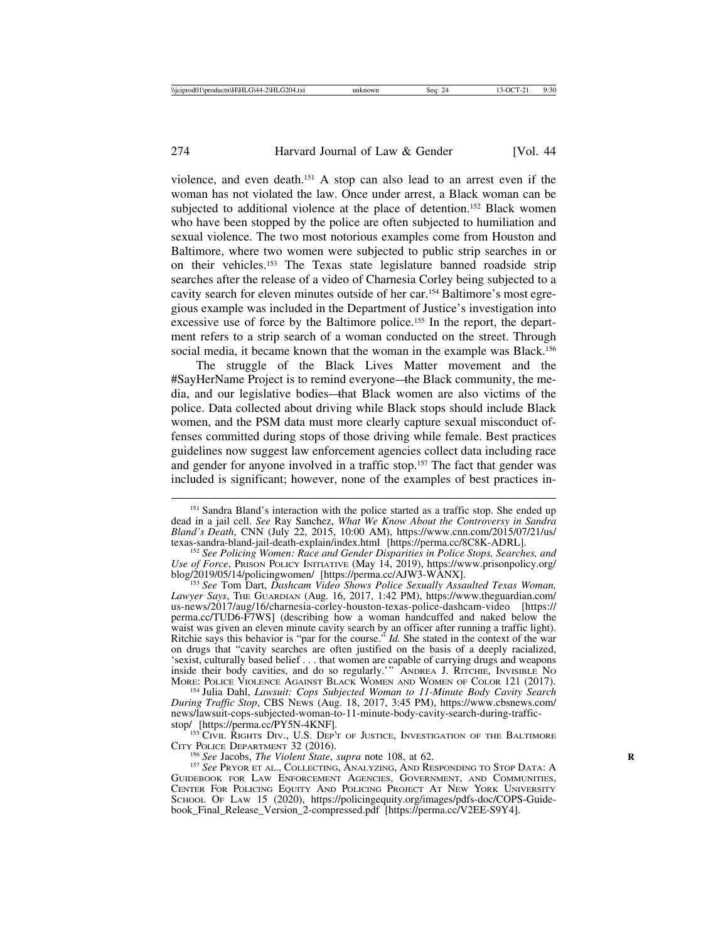violence, and even death.151 A stop can also lead to an arrest even if the woman has not violated the law. Once under arrest, a Black woman can be subjected to additional violence at the place of detention.<sup>152</sup> Black women who have been stopped by the police are often subjected to humiliation and sexual violence. The two most notorious examples come from Houston and Baltimore, where two women were subjected to public strip searches in or on their vehicles.153 The Texas state legislature banned roadside strip searches after the release of a video of Charnesia Corley being subjected to a cavity search for eleven minutes outside of her car.154 Baltimore's most egregious example was included in the Department of Justice's investigation into excessive use of force by the Baltimore police.155 In the report, the department refers to a strip search of a woman conducted on the street. Through social media, it became known that the woman in the example was Black.<sup>156</sup>

The struggle of the Black Lives Matter movement and the #SayHerName Project is to remind everyone—the Black community, the media, and our legislative bodies—that Black women are also victims of the police. Data collected about driving while Black stops should include Black women, and the PSM data must more clearly capture sexual misconduct offenses committed during stops of those driving while female. Best practices guidelines now suggest law enforcement agencies collect data including race and gender for anyone involved in a traffic stop.<sup>157</sup> The fact that gender was included is significant; however, none of the examples of best practices in-

<sup>154</sup> Julia Dahl, *Lawsuit: Cops Subjected Woman to 11-Minute Body Cavity Search During Traffic Stop*, CBS NEWS (Aug. 18, 2017, 3:45 PM), https://www.cbsnews.com/ news/lawsuit-cops-subjected-woman-to-11-minute-body-cavity-search-during-traffic-<br>stop/ [https://perma.cc/PY5N-4KNF].

<sup>155</sup> CIVIL RIGHTS DIV., U.S. DEP'T OF JUSTICE, INVESTIGATION OF THE BALTIMORE CITY POLICE DEPARTMENT 32 (2016).<br><sup>156</sup> *See* Jacobs, *The Violent State*, *supra* note 108, at 62. <sup>157</sup> *See* PRYOR ET AL., COLLECTING, ANALYZING, AND RESPONDING TO STOP DATA: A

GUIDEBOOK FOR LAW ENFORCEMENT AGENCIES, GOVERNMENT, AND COMMUNITIES, CENTER FOR POLICING EQUITY AND POLICING PROJECT AT NEW YORK UNIVERSITY SCHOOL OF LAW 15 (2020), https://policingequity.org/images/pdfs-doc/COPS-Guidebook\_Final\_Release\_Version\_2-compressed.pdf [https://perma.cc/V2EE-S9Y4].

<sup>&</sup>lt;sup>151</sup> Sandra Bland's interaction with the police started as a traffic stop. She ended up dead in a jail cell. *See* Ray Sanchez, *What We Know About the Controversy in Sandra Bland's Death*, CNN (July 22, 2015, 10:00 AM), https://www.cnn.com/2015/07/21/us/ texas-sandra-bland-jail-death-explain/index.html [https://perma.cc/8C8K-ADRL]. <sup>152</sup> *See Policing Women: Race and Gender Disparities in Police Stops, Searches, and*

*Use of Force*, PRISON POLICY INITIATIVE (May 14, 2019), https://www.prisonpolicy.org/<br>blog/2019/05/14/policingwomen/ [https://perma.cc/AJW3-WANX].

<sup>&</sup>lt;sup>153</sup> See Tom Dart, *Dashcam Video Shows Police Sexually Assaulted Texas Woman, Lawyer Says*, THE GUARDIAN (Aug. 16, 2017, 1:42 PM), https://www.theguardian.com/ us-news/2017/aug/16/charnesia-corley-houston-texas-police-dashcam-video [https:// perma.cc/TUD6-F7WS] (describing how a woman handcuffed and naked below the waist was given an eleven minute cavity search by an officer after running a traffic light). Ritchie says this behavior is "par for the course." *Id.* She stated in the context of the war on drugs that "cavity searches are often justified on the basis of a deeply racialized, 'sexist, culturally based belief . . . that women are capable of carrying drugs and weapons inside their body cavities, and do so regularly.'" ANDREA J. RITCHIE, INVISIBLE NO MORE: POLICE VIOLENCE AGAINST BLACK WOMEN AND WOMEN OF COLOR 121 (2017).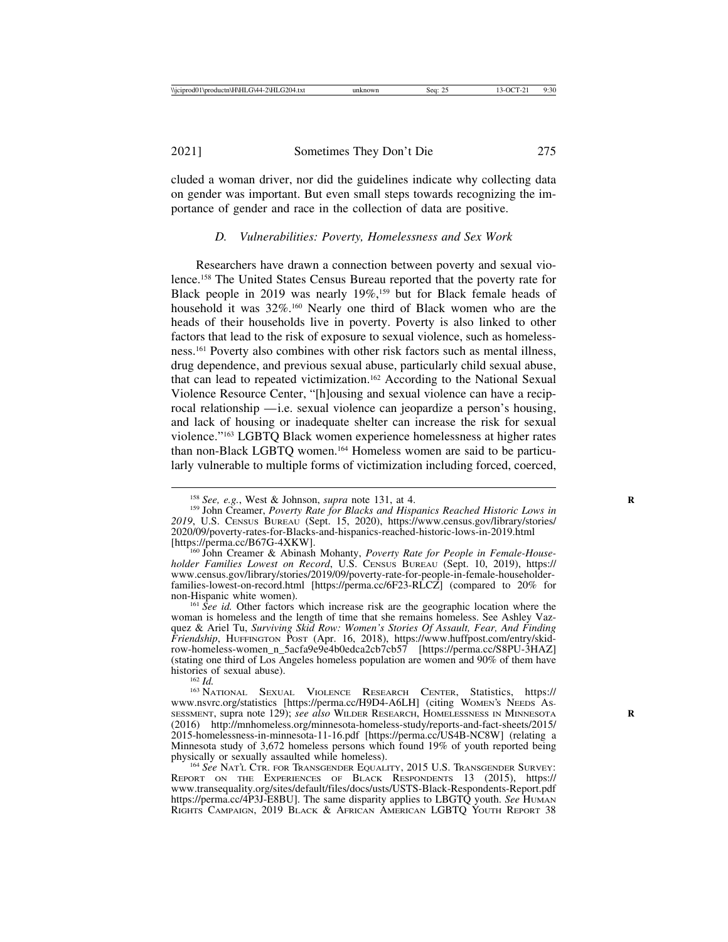cluded a woman driver, nor did the guidelines indicate why collecting data on gender was important. But even small steps towards recognizing the importance of gender and race in the collection of data are positive.

#### *D. Vulnerabilities: Poverty, Homelessness and Sex Work*

Researchers have drawn a connection between poverty and sexual violence.158 The United States Census Bureau reported that the poverty rate for Black people in 2019 was nearly 19%,<sup>159</sup> but for Black female heads of household it was  $32\%$ <sup>160</sup> Nearly one third of Black women who are the heads of their households live in poverty. Poverty is also linked to other factors that lead to the risk of exposure to sexual violence, such as homelessness.161 Poverty also combines with other risk factors such as mental illness, drug dependence, and previous sexual abuse, particularly child sexual abuse, that can lead to repeated victimization.162 According to the National Sexual Violence Resource Center, "[h]ousing and sexual violence can have a reciprocal relationship — i.e. sexual violence can jeopardize a person's housing, and lack of housing or inadequate shelter can increase the risk for sexual violence."163 LGBTQ Black women experience homelessness at higher rates than non-Black LGBTQ women.164 Homeless women are said to be particularly vulnerable to multiple forms of victimization including forced, coerced,

<sup>&</sup>lt;sup>158</sup> *See, e.g.*, West & Johnson, *supra* note 131, at 4.<br><sup>159</sup> John Creamer, *Poverty Rate for Blacks and Hispanics Reached Historic Lows in 2019*, U.S. CENSUS BUREAU (Sept. 15, 2020), https://www.census.gov/library/stories/ 2020/09/poverty-rates-for-Blacks-and-hispanics-reached-historic-lows-in-2019.html

<sup>&</sup>lt;sup>160</sup> John Creamer & Abinash Mohanty, *Poverty Rate for People in Female-Householder Families Lowest on Record*, U.S. CENSUS BUREAU (Sept. 10, 2019), https:// www.census.gov/library/stories/2019/09/poverty-rate-for-people-in-female-householderfamilies-lowest-on-record.html [https://perma.cc/6F23-RLCZ] (compared to 20% for non-Hispanic white women).

<sup>&</sup>lt;sup>161</sup> *See id.* Other factors which increase risk are the geographic location where the woman is homeless and the length of time that she remains homeless. See Ashley Vazquez & Ariel Tu, *Surviving Skid Row: Women's Stories Of Assault, Fear, And Finding Friendship*, HUFFINGTON POST (Apr. 16, 2018), https://www.huffpost.com/entry/skidrow-homeless-women\_n\_5acfa9e9e4b0edca2cb7cb57 [https://perma.cc/S8PU-3HAZ] (stating one third of Los Angeles homeless population are women and 90% of them have histories of sexual abuse).<br><sup>162</sup> *Id.* <sup>163</sup> NATIONAL SEXUAL VIOLENCE RESEARCH CENTER, Statistics, https://

www.nsvrc.org/statistics [https://perma.cc/H9D4-A6LH] (citing WOMEN'S NEEDS AS-SESSMENT, supra note 129); *see also* WILDER RESEARCH, HOMELESSNESS IN MINNESOTA **R** (2016) http://mnhomeless.org/minnesota-homeless-study/reports-and-fact-sheets/2015/ 2015-homelessness-in-minnesota-11-16.pdf [https://perma.cc/US4B-NC8W] (relating a Minnesota study of 3,672 homeless persons which found 19% of youth reported being physically or sexually assaulted while homeless).

<sup>&</sup>lt;sup>164</sup> See NAT'L CTR. FOR TRANSGENDER EQUALITY, 2015 U.S. TRANSGENDER SURVEY: REPORT ON THE EXPERIENCES OF BLACK RESPONDENTS 13 (2015), https:// www.transequality.org/sites/default/files/docs/usts/USTS-Black-Respondents-Report.pdf https://perma.cc/4P3J-E8BU]. The same disparity applies to LBGTQ youth. *See* HUMAN RIGHTS CAMPAIGN, 2019 BLACK & AFRICAN AMERICAN LGBTQ YOUTH REPORT 38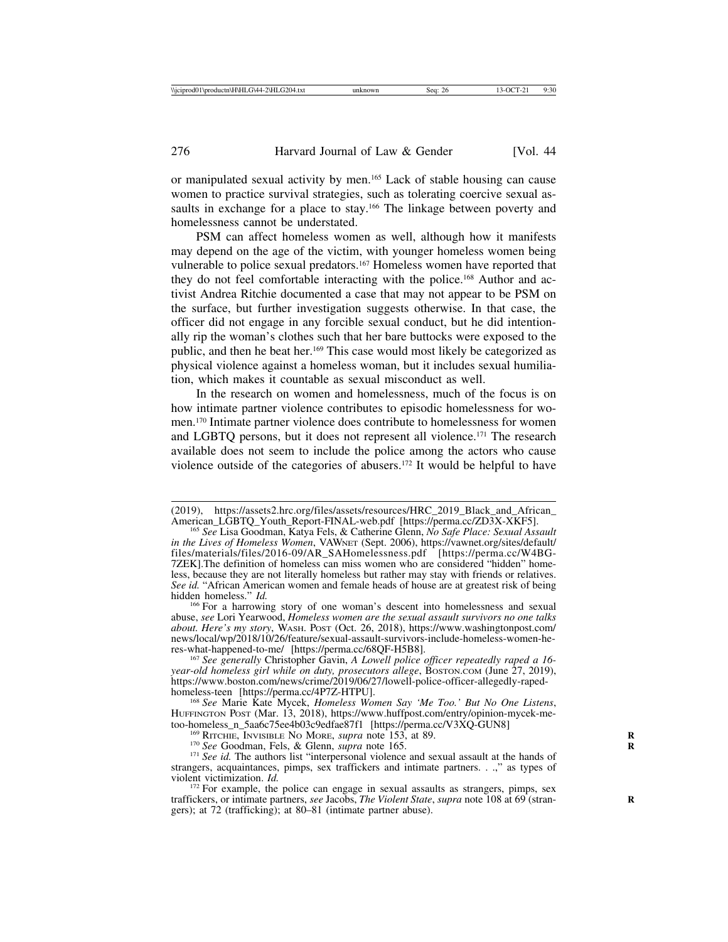or manipulated sexual activity by men.165 Lack of stable housing can cause women to practice survival strategies, such as tolerating coercive sexual assaults in exchange for a place to stay.<sup>166</sup> The linkage between poverty and homelessness cannot be understated.

PSM can affect homeless women as well, although how it manifests may depend on the age of the victim, with younger homeless women being vulnerable to police sexual predators.<sup>167</sup> Homeless women have reported that they do not feel comfortable interacting with the police.<sup>168</sup> Author and activist Andrea Ritchie documented a case that may not appear to be PSM on the surface, but further investigation suggests otherwise. In that case, the officer did not engage in any forcible sexual conduct, but he did intentionally rip the woman's clothes such that her bare buttocks were exposed to the public, and then he beat her.169 This case would most likely be categorized as physical violence against a homeless woman, but it includes sexual humiliation, which makes it countable as sexual misconduct as well.

In the research on women and homelessness, much of the focus is on how intimate partner violence contributes to episodic homelessness for women.170 Intimate partner violence does contribute to homelessness for women and LGBTQ persons, but it does not represent all violence.171 The research available does not seem to include the police among the actors who cause violence outside of the categories of abusers.172 It would be helpful to have

<sup>166</sup> For a harrowing story of one woman's descent into homelessness and sexual abuse, *see* Lori Yearwood, *Homeless women are the sexual assault survivors no one talks about. Here's my story*, WASH. POST (Oct. 26, 2018), https://www.washingtonpost.com/ news/local/wp/2018/10/26/feature/sexual-assault-survivors-include-homeless-women-he-<br>res-what-happened-to-me/ [https://perma.cc/68QF-H5B8].

<sup>167</sup> See generally Christopher Gavin, *A Lowell police officer repeatedly raped a 16*year-old homeless girl while on duty, prosecutors allege, BOSTON.cOM (June 27, 2019), https://www.boston.com/news/crime/2019/06/27/lowell-police-officer-allegedly-raped-

<sup>168</sup> See Marie Kate Mycek, *Homeless Women Say 'Me Too.' But No One Listens*, HUFFINGTON POST (Mar. 13, 2018), https://www.huffpost.com/entry/opinion-mycek-me-<br>too-homeless\_n\_5aa6c75ee4b03c9edfae87f1 [https://perma.cc/V3XQ-GUN8]

<sup>169</sup> RITCHIE, INVISIBLE NO MORE, *supra* note 153, at 89.<br><sup>170</sup> See Goodman, Fels, & Glenn, *supra* note 165.<br><sup>171</sup> See id. The authors list "interpersonal violence and sexual assault at the hands of strangers, acquaintances, pimps, sex traffickers and intimate partners. . .," as types of violent victimization.  $Id$ .

<sup>172</sup> For example, the police can engage in sexual assaults as strangers, pimps, sex traffickers, or intimate partners, *see* Jacobs, *The Violent State*, *supra* note 108 at 69 (stran- **R** gers); at 72 (trafficking); at 80–81 (intimate partner abuse).

<sup>(2019),</sup> https://assets2.hrc.org/files/assets/resources/HRC\_2019\_Black\_and\_African\_ American\_LGBTQ\_Youth\_Report-FINAL-web.pdf [https://perma.cc/ZD3X-XKF5]. <sup>165</sup> *See* Lisa Goodman, Katya Fels, & Catherine Glenn, *No Safe Place: Sexual Assault*

*in the Lives of Homeless Women*, VAWNET (Sept. 2006), https://vawnet.org/sites/default/ files/materials/files/2016-09/AR\_SAHomelessness.pdf [https://perma.cc/W4BG-7ZEK].The definition of homeless can miss women who are considered "hidden" homeless, because they are not literally homeless but rather may stay with friends or relatives. See id. "African American women and female heads of house are at greatest risk of being hidden homeless." *Id.*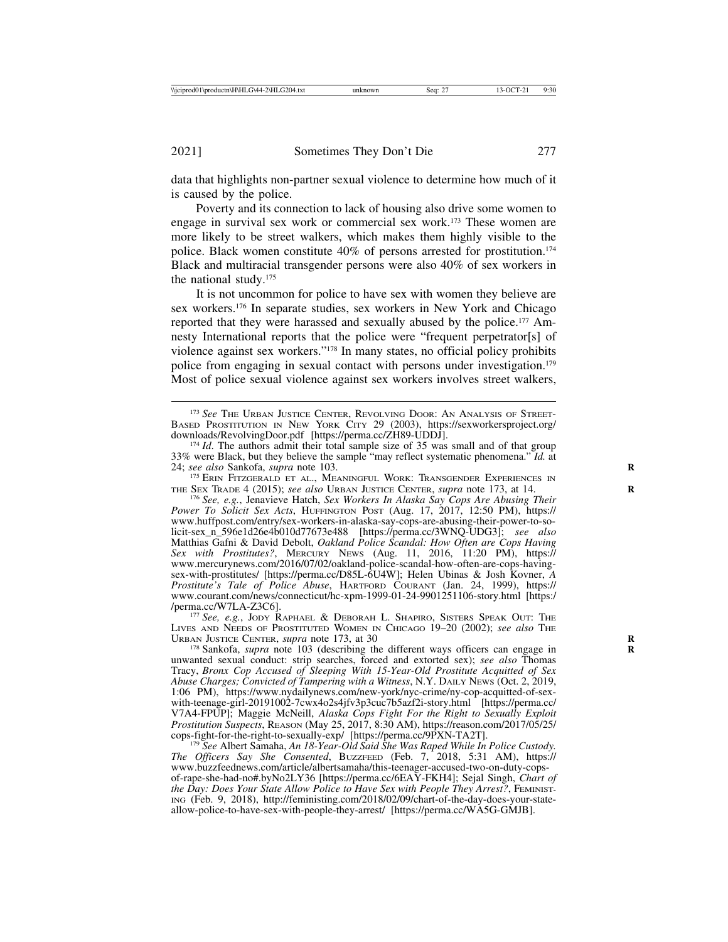data that highlights non-partner sexual violence to determine how much of it is caused by the police.

Poverty and its connection to lack of housing also drive some women to engage in survival sex work or commercial sex work.173 These women are more likely to be street walkers, which makes them highly visible to the police. Black women constitute 40% of persons arrested for prostitution.<sup>174</sup> Black and multiracial transgender persons were also 40% of sex workers in the national study.175

It is not uncommon for police to have sex with women they believe are sex workers.176 In separate studies, sex workers in New York and Chicago reported that they were harassed and sexually abused by the police.177 Amnesty International reports that the police were "frequent perpetrator[s] of violence against sex workers."178 In many states, no official policy prohibits police from engaging in sexual contact with persons under investigation.179 Most of police sexual violence against sex workers involves street walkers,

<sup>175</sup> ERIN FITZGERALD ET AL., MEANINGFUL WORK: TRANSGENDER EXPERIENCES IN THE SEX TRADE 4 (2015); *see also* URBAN JUSTICE CENTER, *supra* note 173, at 14. **<sup>R</sup>** <sup>176</sup> *See, e.g.*, Jenavieve Hatch, *Sex Workers In Alaska Say Cops Are Abusing Their*

<sup>177</sup> See, e.g., JODY RAPHAEL & DEBORAH L. SHAPIRO, SISTERS SPEAK OUT: THE LIVES AND NEEDS OF PROSTITUTED WOMEN IN CHICAGO 19-20 (2002); *see also* The URBAN JUSTICE CENTER, *supra* note 173, at 30

<sup>178</sup> Sankofa, *supra* note 103 (describing the different ways officers can engage in unwanted sexual conduct: strip searches, forced and extorted sex); *see also* Thomas Tracy, *Bronx Cop Accused of Sleeping With 15-Year-Old Prostitute Acquitted of Sex Abuse Charges; Convicted of Tampering with a Witness, N.Y. DAILY NEWS (Oct. 2, 2019,* 1:06 PM), https://www.nydailynews.com/new-york/nyc-crime/ny-cop-acquitted-of-sexwith-teenage-girl-20191002-7cwx4o2s4jfv3p3cuc7b5azf2i-story.html [https://perma.cc/ V7A4-FPUP]; Maggie McNeill, *Alaska Cops Fight For the Right to Sexually Exploit Prostitution Suspects*, REASON (May 25, 2017, 8:30 AM), https://reason.com/2017/05/25/ cops-fight-for-the-right-to-sexually-exp/ [https://perma.cc/9PXN-TA2T].

<sup>179</sup> See Albert Samaha, *An 18-Year-Old Said She Was Raped While In Police Custody. The Officers Say She Consented*, BUZZFEED (Feb. 7, 2018, 5:31 AM), https:// www.buzzfeednews.com/article/albertsamaha/this-teenager-accused-two-on-duty-copsof-rape-she-had-no#.byNo2LY36 [https://perma.cc/6EAY-FKH4]; Sejal Singh, *Chart of the Day: Does Your State Allow Police to Have Sex with People They Arrest?*, FEMINIST-ING (Feb. 9, 2018), http://feministing.com/2018/02/09/chart-of-the-day-does-your-stateallow-police-to-have-sex-with-people-they-arrest/ [https://perma.cc/WA5G-GMJB].

<sup>173</sup> *See* THE URBAN JUSTICE CENTER, REVOLVING DOOR: AN ANALYSIS OF STREET-BASED PROSTITUTION IN NEW YORK CITY 29 (2003), https://sexworkersproject.org/<br>downloads/RevolvingDoor.pdf [https://perma.cc/ZH89-UDDJ].

<sup>&</sup>lt;sup>174</sup> *Id*. The authors admit their total sample size of 35 was small and of that group 33% were Black, but they believe the sample "may reflect systematic phenomena."  $\overline{Id}$ . at 24; see also Sankofa, supra note 103.

*Power To Solicit Sex Acts*, HUFFINGTON POST (Aug. 17, 2017, 12:50 PM), https:// www.huffpost.com/entry/sex-workers-in-alaska-say-cops-are-abusing-their-power-to-solicit-sex\_n\_596e1d26e4b010d77673e488 [https://perma.cc/3WNQ-UDG3]; *see also* Matthias Gafni & David Debolt, *Oakland Police Scandal: How Often are Cops Having Sex with Prostitutes?*, MERCURY NEWS (Aug. 11, 2016, 11:20 PM), https:// www.mercurynews.com/2016/07/02/oakland-police-scandal-how-often-are-cops-havingsex-with-prostitutes/ [https://perma.cc/D85L-6U4W]; Helen Ubinas & Josh Kovner, *A Prostitute's Tale of Police Abuse*, HARTFORD COURANT (Jan. 24, 1999), https:// www.courant.com/news/connecticut/hc-xpm-1999-01-24-9901251106-story.html [https:/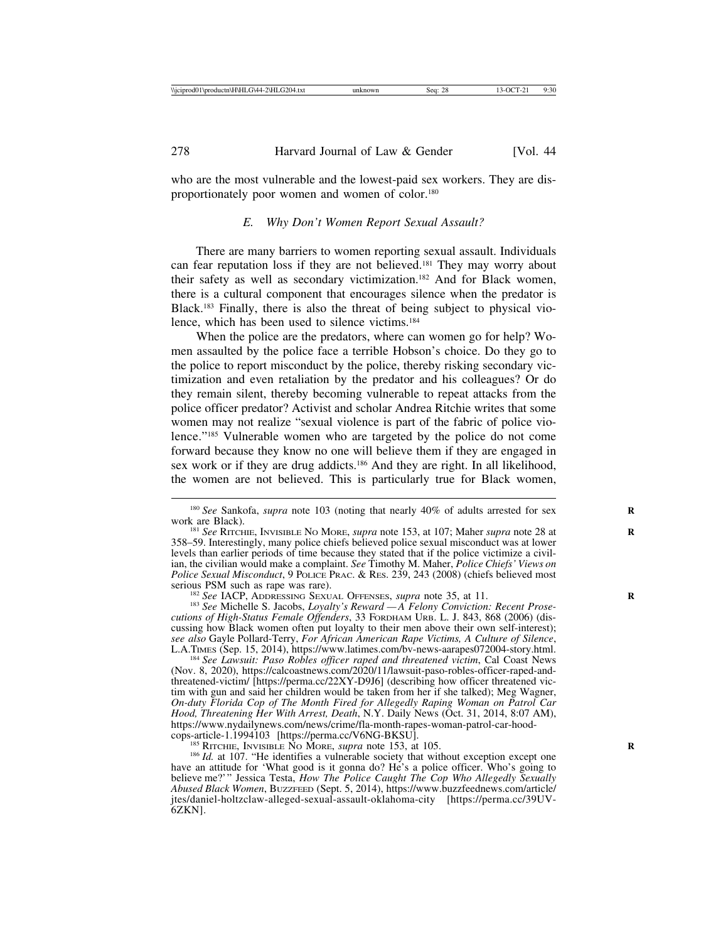who are the most vulnerable and the lowest-paid sex workers. They are disproportionately poor women and women of color.180

## *E. Why Don't Women Report Sexual Assault?*

There are many barriers to women reporting sexual assault. Individuals can fear reputation loss if they are not believed.181 They may worry about their safety as well as secondary victimization.182 And for Black women, there is a cultural component that encourages silence when the predator is Black.183 Finally, there is also the threat of being subject to physical violence, which has been used to silence victims.184

When the police are the predators, where can women go for help? Women assaulted by the police face a terrible Hobson's choice. Do they go to the police to report misconduct by the police, thereby risking secondary victimization and even retaliation by the predator and his colleagues? Or do they remain silent, thereby becoming vulnerable to repeat attacks from the police officer predator? Activist and scholar Andrea Ritchie writes that some women may not realize "sexual violence is part of the fabric of police violence."185 Vulnerable women who are targeted by the police do not come forward because they know no one will believe them if they are engaged in sex work or if they are drug addicts.<sup>186</sup> And they are right. In all likelihood, the women are not believed. This is particularly true for Black women,

<sup>182</sup> *See* IACP, ADDRESSING SEXUAL OFFENSES, *supra* note 35, at 11.<br><sup>183</sup> *See* Michelle S. Jacobs, *Loyalty's Reward — A Felony Conviction: Recent Prosecutions of High-Status Female Offenders*, 33 FORDHAM URB. L. J. 843, 868 (2006) (discussing how Black women often put loyalty to their men above their own self-interest); see also Gayle Pollard-Terry, For African American Rape Victims, A Culture of Silence, L.A.TIMES (Sep. 15, 2014), https://www.latimes.com/bv-news-aarapes072004-story.html.<br><sup>184</sup> See Lawsuit: Paso Robles officer raped and t

(Nov. 8, 2020), https://calcoastnews.com/2020/11/lawsuit-paso-robles-officer-raped-andthreatened-victim/ [https://perma.cc/22XY-D9J6] (describing how officer threatened victim with gun and said her children would be taken from her if she talked); Meg Wagner, *On-duty Florida Cop of The Month Fired for Allegedly Raping Woman on Patrol Car Hood, Threatening Her With Arrest, Death*, N.Y. Daily News (Oct. 31, 2014, 8:07 AM), https://www.nydailynews.com/news/crime/fla-month-rapes-woman-patrol-car-hood-cops-article-1.1994103 [https://perma.cc/V6NG-BKSU].

<sup>185</sup> RITCHIE, INVISIBLE NO MORE, *supra* note 153, at 105. *R* 105. *R* 107. *R* identifies a vulnerable society that without exception except one have an attitude for 'What good is it gonna do? He's a police officer. Who's going to believe me?'" Jessica Testa, *How The Police Caught The Cop Who Allegedly Sexually Abused Black Women*, BUZZFEED (Sept. 5, 2014), https://www.buzzfeednews.com/article/ jtes/daniel-holtzclaw-alleged-sexual-assault-oklahoma-city [https://perma.cc/39UV-6ZKN].

<sup>&</sup>lt;sup>180</sup> *See* Sankofa, *supra* note 103 (noting that nearly 40% of adults arrested for sex work are Black).

<sup>&</sup>lt;sup>181</sup> *See* RITCHIE, INVISIBLE NO MORE, *supra* note 153, at 107; Maher *supra* note 28 at 358–59. Interestingly, many police chiefs believed police sexual misconduct was at lower levels than earlier periods of time because they stated that if the police victimize a civilian, the civilian would make a complaint. *See* Timothy M. Maher, *Police Chiefs' Views on Police Sexual Misconduct*, 9 POLICE PRAC. & RES. 239, 243 (2008) (chiefs believed most serious PSM such as rape was rare).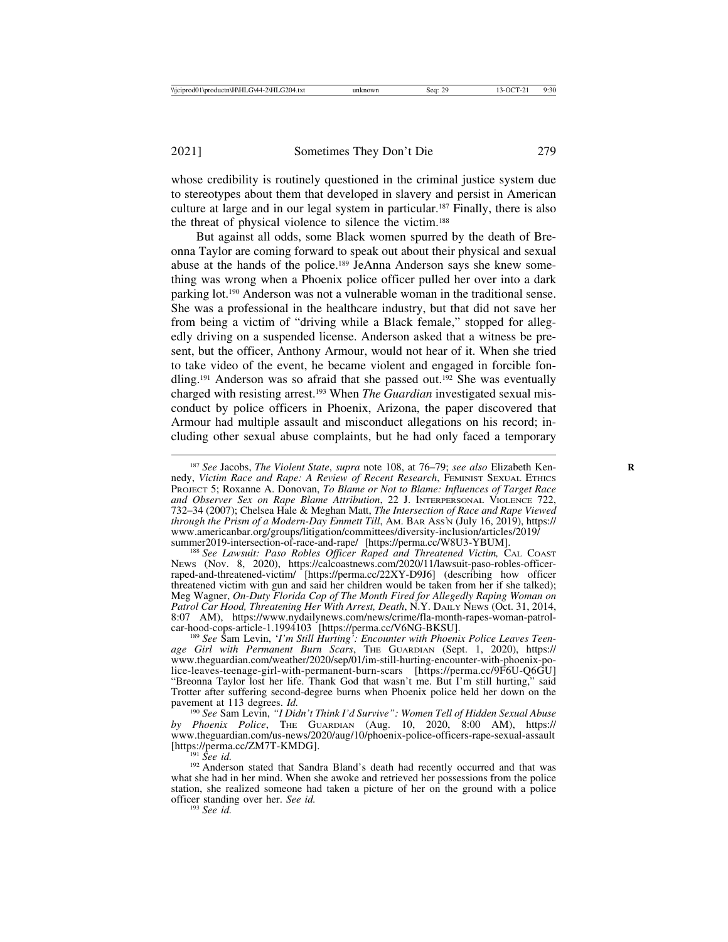whose credibility is routinely questioned in the criminal justice system due to stereotypes about them that developed in slavery and persist in American culture at large and in our legal system in particular.187 Finally, there is also the threat of physical violence to silence the victim.188

But against all odds, some Black women spurred by the death of Breonna Taylor are coming forward to speak out about their physical and sexual abuse at the hands of the police.189 JeAnna Anderson says she knew something was wrong when a Phoenix police officer pulled her over into a dark parking lot.190 Anderson was not a vulnerable woman in the traditional sense. She was a professional in the healthcare industry, but that did not save her from being a victim of "driving while a Black female," stopped for allegedly driving on a suspended license. Anderson asked that a witness be present, but the officer, Anthony Armour, would not hear of it. When she tried to take video of the event, he became violent and engaged in forcible fondling.191 Anderson was so afraid that she passed out.192 She was eventually charged with resisting arrest.193 When *The Guardian* investigated sexual misconduct by police officers in Phoenix, Arizona, the paper discovered that Armour had multiple assault and misconduct allegations on his record; including other sexual abuse complaints, but he had only faced a temporary

<sup>188</sup> See Lawsuit: Paso Robles Officer Raped and Threatened Victim, CAL COAST NEWS (Nov. 8, 2020), https://calcoastnews.com/2020/11/lawsuit-paso-robles-officerraped-and-threatened-victim/ [https://perma.cc/22XY-D9J6] (describing how officer threatened victim with gun and said her children would be taken from her if she talked); Meg Wagner, *On-Duty Florida Cop of The Month Fired for Allegedly Raping Woman on Patrol Car Hood, Threatening Her With Arrest, Death*, N.Y. DAILY NEWS (Oct. 31, 2014, 8:07 AM), https://www.nydailynews.com/news/crime/fla-month-rapes-woman-patrol-<br>car-hood-cops-article-1.1994103 [https://perma.cc/V6NG-BKSU].

<sup>189</sup> See Sam Levin, '*I'm Still Hurting*': *Encounter with Phoenix Police Leaves Teenage Girl with Permanent Burn Scars*, THE GUARDIAN (Sept. 1, 2020), https:// www.theguardian.com/weather/2020/sep/01/im-still-hurting-encounter-with-phoenix-police-leaves-teenage-girl-with-permanent-burn-scars [https://perma.cc/9F6U-Q6GU] "Breonna Taylor lost her life. Thank God that wasn't me. But I'm still hurting," said Trotter after suffering second-degree burns when Phoenix police held her down on the pavement at 113 degrees. *Id.* 

pavement at 113 degrees. *Id.* <sup>190</sup> *See* Sam Levin, *"I Didn't Think I'd Survive": Women Tell of Hidden Sexual Abuse by Phoenix Police*, THE GUARDIAN (Aug. 10, 2020, 8:00 AM), https:// www.theguardian.com/us-news/2020/aug/10/phoenix-police-officers-rape-sexual-assault

<sup>191</sup> *See id.* 192 *See id.* 192 Anderson stated that Sandra Bland's death had recently occurred and that was what she had in her mind. When she awoke and retrieved her possessions from the police station, she realized someone had taken a picture of her on the ground with a police officer standing over her. *See id.* <sup>193</sup> *See id.*

<sup>&</sup>lt;sup>187</sup> See Jacobs, *The Violent State*, *supra* note 108, at 76–79; *see also* Elizabeth Kennedy, *Victim Race and Rape: A Review of Recent Research*, FEMINIST SEXUAL ETHICS PROJECT 5; Roxanne A. Donovan, *To Blame or Not to Blame: Influences of Target Race and Observer Sex on Rape Blame Attribution*, 22 J. INTERPERSONAL VIOLENCE 722, 732–34 (2007); Chelsea Hale & Meghan Matt, *The Intersection of Race and Rape Viewed through the Prism of a Modern-Day Emmett Till*, AM. BAR ASS'N (July 16, 2019), https:// www.americanbar.org/groups/litigation/committees/diversity-inclusion/articles/2019/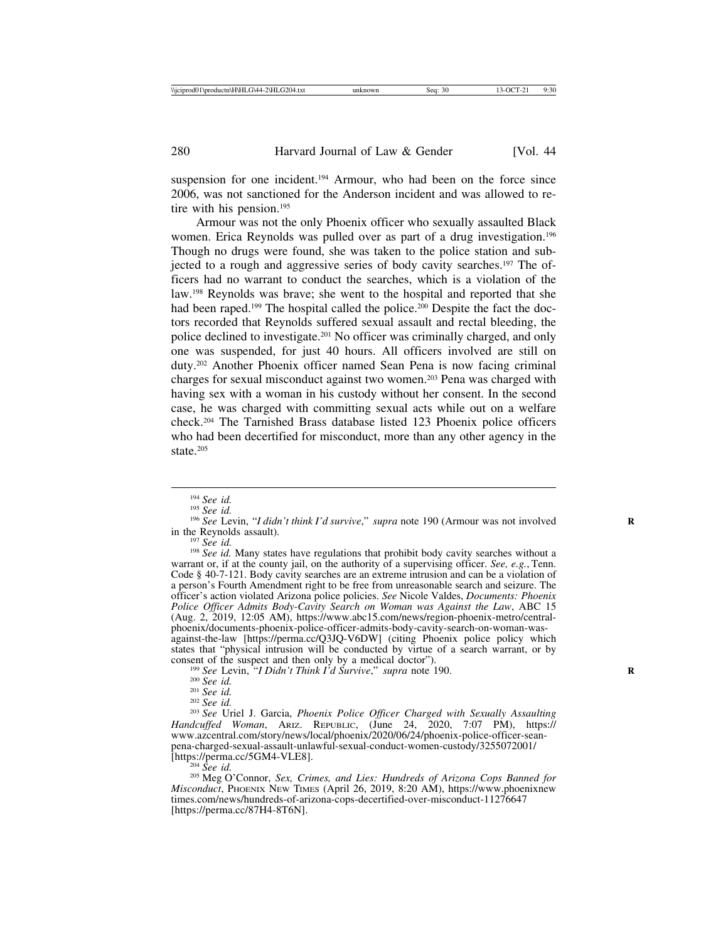suspension for one incident.<sup>194</sup> Armour, who had been on the force since 2006, was not sanctioned for the Anderson incident and was allowed to retire with his pension.<sup>195</sup>

Armour was not the only Phoenix officer who sexually assaulted Black women. Erica Reynolds was pulled over as part of a drug investigation.<sup>196</sup> Though no drugs were found, she was taken to the police station and subjected to a rough and aggressive series of body cavity searches.197 The officers had no warrant to conduct the searches, which is a violation of the law.198 Reynolds was brave; she went to the hospital and reported that she had been raped.<sup>199</sup> The hospital called the police.<sup>200</sup> Despite the fact the doctors recorded that Reynolds suffered sexual assault and rectal bleeding, the police declined to investigate.201 No officer was criminally charged, and only one was suspended, for just 40 hours. All officers involved are still on duty.202 Another Phoenix officer named Sean Pena is now facing criminal charges for sexual misconduct against two women.203 Pena was charged with having sex with a woman in his custody without her consent. In the second case, he was charged with committing sexual acts while out on a welfare check.204 The Tarnished Brass database listed 123 Phoenix police officers who had been decertified for misconduct, more than any other agency in the state.205

<sup>197</sup> *See id.* Many states have regulations that prohibit body cavity searches without a<br><sup>198</sup> *See id.* Many states have regulations that prohibit body cavity searches without a warrant or, if at the county jail, on the authority of a supervising officer. *See, e.g.*, Tenn. Code § 40-7-121. Body cavity searches are an extreme intrusion and can be a violation of a person's Fourth Amendment right to be free from unreasonable search and seizure. The officer's action violated Arizona police policies. *See* Nicole Valdes, *Documents: Phoenix Police Officer Admits Body-Cavity Search on Woman was Against the Law*, ABC 15 (Aug. 2, 2019, 12:05 AM), https://www.abc15.com/news/region-phoenix-metro/centralphoenix/documents-phoenix-police-officer-admits-body-cavity-search-on-woman-wasagainst-the-law [https://perma.cc/Q3JQ-V6DW] (citing Phoenix police policy which states that "physical intrusion will be conducted by virtue of a search warrant, or by consent of the suspect and then only by a medical doctor").

<sup>199</sup> See Levin, <sup>26</sup>*I* Didn't Think I'd Survive," supra note 190.<br>
<sup>200</sup> See id.<br>
<sup>201</sup> See id.<br>
<sup>202</sup> See id.<br>
<sup>202</sup> See Uriel J. Garcia, *Phoenix Police Officer Charged with Sexually Assaulting Handcuffed Woman*, ARIZ. REPUBLIC, (June 24, 2020, 7:07 PM), https:// www.azcentral.com/story/news/local/phoenix/2020/06/24/phoenix-police-officer-seanpena-charged-sexual-assault-unlawful-sexual-conduct-women-custody/3255072001/

<sup>204</sup> See id.<br><sup>205</sup> Meg O'Connor, *Sex, Crimes, and Lies: Hundreds of Arizona Cops Banned for Misconduct*, PHOENIX NEW TIMES (April 26, 2019, 8:20 AM), https://www.phoenixnew times.com/news/hundreds-of-arizona-cops-decertified-over-misconduct-11276647 [https://perma.cc/87H4-8T6N].

<sup>&</sup>lt;sup>194</sup> *See id.* <sup>195</sup> *See id.* <sup>195</sup> *See id.* <sup>196</sup> *See Levin, "I didn't think I'd survive," supra* note 190 (Armour was not involved in the Revnolds assault).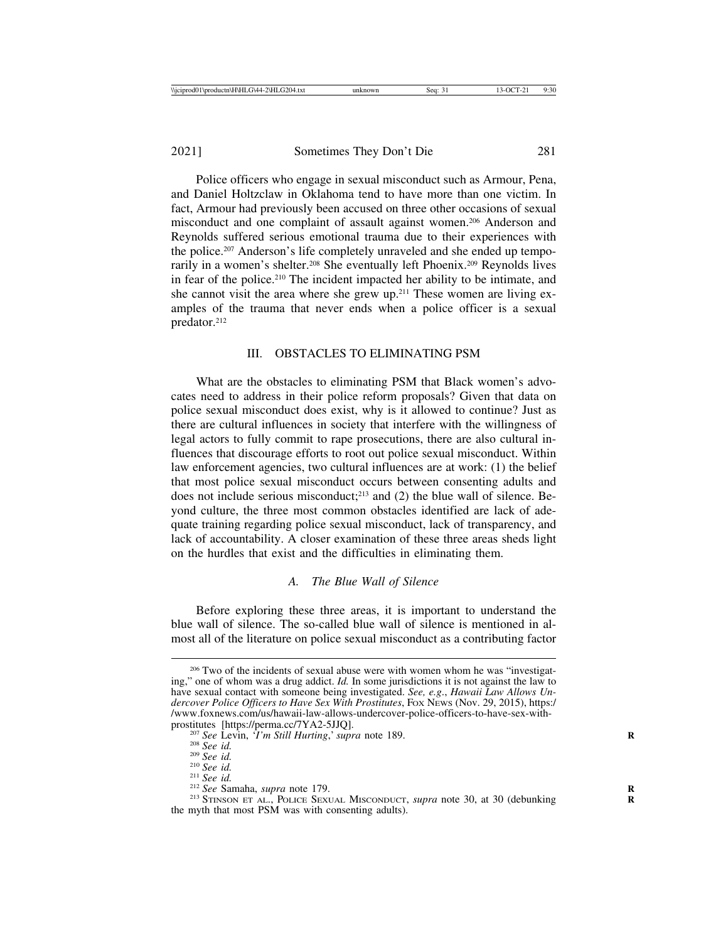Police officers who engage in sexual misconduct such as Armour, Pena, and Daniel Holtzclaw in Oklahoma tend to have more than one victim. In fact, Armour had previously been accused on three other occasions of sexual misconduct and one complaint of assault against women.206 Anderson and Reynolds suffered serious emotional trauma due to their experiences with the police.207 Anderson's life completely unraveled and she ended up temporarily in a women's shelter.<sup>208</sup> She eventually left Phoenix.<sup>209</sup> Reynolds lives in fear of the police.210 The incident impacted her ability to be intimate, and she cannot visit the area where she grew up.<sup>211</sup> These women are living examples of the trauma that never ends when a police officer is a sexual predator.212

# III. OBSTACLES TO ELIMINATING PSM

What are the obstacles to eliminating PSM that Black women's advocates need to address in their police reform proposals? Given that data on police sexual misconduct does exist, why is it allowed to continue? Just as there are cultural influences in society that interfere with the willingness of legal actors to fully commit to rape prosecutions, there are also cultural influences that discourage efforts to root out police sexual misconduct. Within law enforcement agencies, two cultural influences are at work: (1) the belief that most police sexual misconduct occurs between consenting adults and does not include serious misconduct;<sup>213</sup> and (2) the blue wall of silence. Beyond culture, the three most common obstacles identified are lack of adequate training regarding police sexual misconduct, lack of transparency, and lack of accountability. A closer examination of these three areas sheds light on the hurdles that exist and the difficulties in eliminating them.

#### *A. The Blue Wall of Silence*

Before exploring these three areas, it is important to understand the blue wall of silence. The so-called blue wall of silence is mentioned in almost all of the literature on police sexual misconduct as a contributing factor

<sup>&</sup>lt;sup>206</sup> Two of the incidents of sexual abuse were with women whom he was "investigating," one of whom was a drug addict. *Id.* In some jurisdictions it is not against the law to have sexual contact with someone being investigated. *See, e.g*., *Hawaii Law Allows Undercover Police Officers to Have Sex With Prostitutes*, FOX NEWS (Nov. 29, 2015), https:/ /www.foxnews.com/us/hawaii-law-allows-undercover-police-officers-to-have-sex-with-

<sup>&</sup>lt;sup>207</sup> See Levin, *T'm Still Hurting*,' *supra* note 189.<br>
<sup>208</sup> See id.<br>
<sup>209</sup> See id.<br>
<sup>210</sup> See id.<br>
<sup>212</sup> See Samaha, *supra* note 179.<br>
<sup>212</sup> See Samaha, *supra* note 179.<br>
<sup>213</sup> STINSON ET AL., POLICE SEXUAL MISCONDU the myth that most PSM was with consenting adults).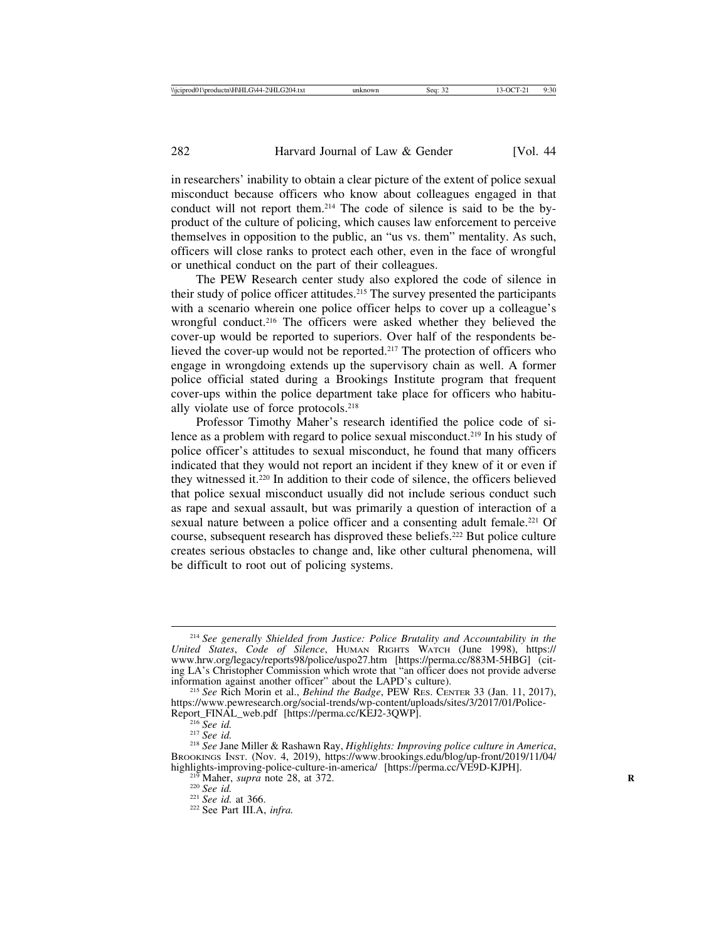in researchers' inability to obtain a clear picture of the extent of police sexual misconduct because officers who know about colleagues engaged in that conduct will not report them.214 The code of silence is said to be the byproduct of the culture of policing, which causes law enforcement to perceive themselves in opposition to the public, an "us vs. them" mentality. As such, officers will close ranks to protect each other, even in the face of wrongful or unethical conduct on the part of their colleagues.

The PEW Research center study also explored the code of silence in their study of police officer attitudes.215 The survey presented the participants with a scenario wherein one police officer helps to cover up a colleague's wrongful conduct.216 The officers were asked whether they believed the cover-up would be reported to superiors. Over half of the respondents believed the cover-up would not be reported.217 The protection of officers who engage in wrongdoing extends up the supervisory chain as well. A former police official stated during a Brookings Institute program that frequent cover-ups within the police department take place for officers who habitually violate use of force protocols.218

Professor Timothy Maher's research identified the police code of silence as a problem with regard to police sexual misconduct.<sup>219</sup> In his study of police officer's attitudes to sexual misconduct, he found that many officers indicated that they would not report an incident if they knew of it or even if they witnessed it.220 In addition to their code of silence, the officers believed that police sexual misconduct usually did not include serious conduct such as rape and sexual assault, but was primarily a question of interaction of a sexual nature between a police officer and a consenting adult female.<sup>221</sup> Of course, subsequent research has disproved these beliefs.222 But police culture creates serious obstacles to change and, like other cultural phenomena, will be difficult to root out of policing systems.

<sup>214</sup> *See generally Shielded from Justice: Police Brutality and Accountability in the United States*, *Code of Silence*, HUMAN RIGHTS WATCH (June 1998), https:// www.hrw.org/legacy/reports98/police/uspo27.htm [https://perma.cc/883M-5HBG] (citing LA's Christopher Commission which wrote that "an officer does not provide adverse information against another officer" about the LAPD's culture).

<sup>&</sup>lt;sup>215</sup> See Rich Morin et al., *Behind the Badge*, PEW RES. CENTER 33 (Jan. 11, 2017), https://www.pewresearch.org/social-trends/wp-content/uploads/sites/3/2017/01/Police-Report\_FINAL\_web.pdf [https://perma.cc/KEJ2-3QWP].

<sup>&</sup>lt;sup>216</sup> See id.<br><sup>217</sup> See id. 218 *See id.* 217 *See id.* 217 *See id.* 218 *See Jane Miller & Rashawn Ray, <i>Highlights: Improving police culture in America*, BROOKINGS INST. (Nov. 4, 2019), https://www.brookings.edu/blog/up-front/2019/11/04/ highlights-improving-police-culture-in-america/ [https://perma.cc/VE9D-KJPH].<br><sup>219</sup> Maher, *supra* note 28, at 372.<br><sup>220</sup> *See id.* at 366.<br><sup>222</sup> See Part III.A, *infra.*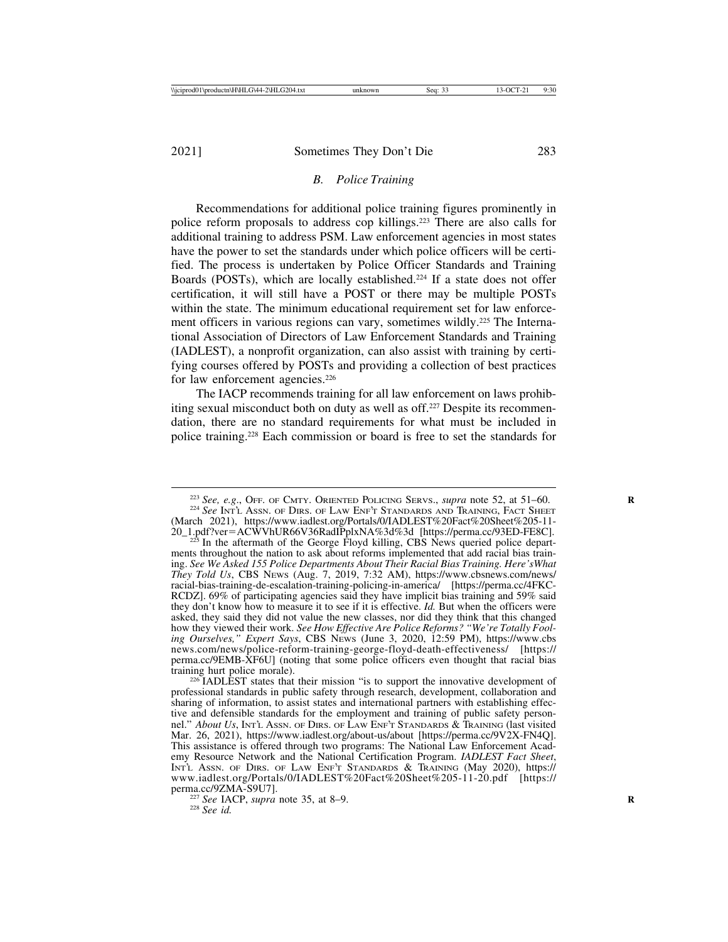### *B. Police Training*

Recommendations for additional police training figures prominently in police reform proposals to address cop killings.223 There are also calls for additional training to address PSM. Law enforcement agencies in most states have the power to set the standards under which police officers will be certified. The process is undertaken by Police Officer Standards and Training Boards (POSTs), which are locally established.<sup>224</sup> If a state does not offer certification, it will still have a POST or there may be multiple POSTs within the state. The minimum educational requirement set for law enforcement officers in various regions can vary, sometimes wildly.<sup>225</sup> The International Association of Directors of Law Enforcement Standards and Training (IADLEST), a nonprofit organization, can also assist with training by certifying courses offered by POSTs and providing a collection of best practices for law enforcement agencies.<sup>226</sup>

The IACP recommends training for all law enforcement on laws prohibiting sexual misconduct both on duty as well as off.227 Despite its recommendation, there are no standard requirements for what must be included in police training.228 Each commission or board is free to set the standards for

perma.cc/9ZMA-S9U7]. <sup>227</sup> *See* IACP, *supra* note 35, at 8–9. **<sup>R</sup>** <sup>228</sup> *See id.*

<sup>&</sup>lt;sup>223</sup> *See, e.g.*, Off. of CMTY. Oriented Policing Servs., *supra* note 52, at 51–60. <sup>224</sup> *See* Int'l Assn. of Dirs. of Law Enf't Standards and Training, Fact Sheet

<sup>(</sup>March 2021), https://www.iadlest.org/Portals/0/IADLEST%20Fact%20Sheet%205-11-<br>20\_1.pdf?ver=ACWVhUR66V36RadIPplxNA%3d%3d [https://perma.cc/93ED-FE8C].

 $225$  In the aftermath of the George Floyd killing, CBS News queried police departments throughout the nation to ask about reforms implemented that add racial bias training. *See We Asked 155 Police Departments About Their Racial Bias Training. Here'sWhat They Told Us*, CBS NEWS (Aug. 7, 2019, 7:32 AM), https://www.cbsnews.com/news/ racial-bias-training-de-escalation-training-policing-in-america/ [https://perma.cc/4FKC-RCDZ]. 69% of participating agencies said they have implicit bias training and 59% said they don't know how to measure it to see if it is effective. *Id.* But when the officers were asked, they said they did not value the new classes, nor did they think that this changed how they viewed their work. *See How Effective Are Police Reforms? "We're Totally Fooling Ourselves," Expert Says*, CBS NEWS (June 3, 2020, 12:59 PM), https://www.cbs news.com/news/police-reform-training-george-floyd-death-effectiveness/ [https:// perma.cc/9EMB-XF6U] (noting that some police officers even thought that racial bias

 $226$  IADLEST states that their mission "is to support the innovative development of professional standards in public safety through research, development, collaboration and sharing of information, to assist states and international partners with establishing effective and defensible standards for the employment and training of public safety personnel." *About Us*, INT'L ASSN. OF DIRS. OF LAW ENF'T STANDARDS & TRAINING (last visited Mar. 26, 2021), https://www.iadlest.org/about-us/about [https://perma.cc/9V2X-FN4Q]. This assistance is offered through two programs: The National Law Enforcement Academy Resource Network and the National Certification Program. *IADLEST Fact Sheet*, INT'L ASSN. OF DIRS. OF LAW ENF'T STANDARDS & TRAINING (May 2020), https:// www.iadlest.org/Portals/0/IADLEST%20Fact%20Sheet%205-11-20.pdf [https://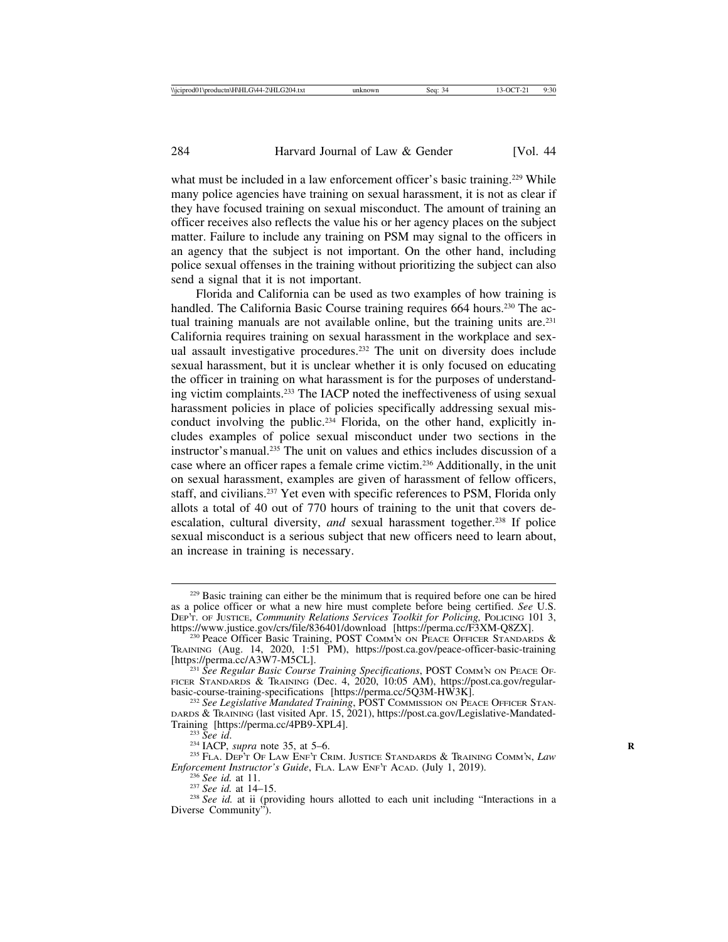what must be included in a law enforcement officer's basic training.<sup>229</sup> While many police agencies have training on sexual harassment, it is not as clear if they have focused training on sexual misconduct. The amount of training an officer receives also reflects the value his or her agency places on the subject matter. Failure to include any training on PSM may signal to the officers in an agency that the subject is not important. On the other hand, including police sexual offenses in the training without prioritizing the subject can also send a signal that it is not important.

Florida and California can be used as two examples of how training is handled. The California Basic Course training requires 664 hours.<sup>230</sup> The actual training manuals are not available online, but the training units are.<sup>231</sup> California requires training on sexual harassment in the workplace and sexual assault investigative procedures.232 The unit on diversity does include sexual harassment, but it is unclear whether it is only focused on educating the officer in training on what harassment is for the purposes of understanding victim complaints.233 The IACP noted the ineffectiveness of using sexual harassment policies in place of policies specifically addressing sexual misconduct involving the public.234 Florida, on the other hand, explicitly includes examples of police sexual misconduct under two sections in the instructor's manual.235 The unit on values and ethics includes discussion of a case where an officer rapes a female crime victim.236 Additionally, in the unit on sexual harassment, examples are given of harassment of fellow officers, staff, and civilians.<sup>237</sup> Yet even with specific references to PSM, Florida only allots a total of 40 out of 770 hours of training to the unit that covers deescalation, cultural diversity, *and* sexual harassment together.<sup>238</sup> If police sexual misconduct is a serious subject that new officers need to learn about, an increase in training is necessary.

<sup>&</sup>lt;sup>229</sup> Basic training can either be the minimum that is required before one can be hired as a police officer or what a new hire must complete before being certified. *See* U.S. DEP'T. OF JUSTICE, *Community Relations Services Toolkit for Policing*, POLICING 101 3, https://www.justice.gov/crs/file/836401/download [https://perma.cc/F3XM-Q8ZX].

<sup>&</sup>lt;sup>230</sup> Peace Officer Basic Training, POST COMM'N ON PEACE OFFICER STANDARDS  $\&$ TRAINING (Aug. 14, 2020, 1:51 PM), https://post.ca.gov/peace-officer-basic-training

<sup>&</sup>lt;sup>231</sup> See Regular Basic Course Training Specifications, POST COMM'N ON PEACE OF-FICER STANDARDS & TRAINING (Dec. 4, 2020, 10:05 AM), https://post.ca.gov/regular-basic-course-training-specifications [https://perma.cc/5Q3M-HW3K].

<sup>&</sup>lt;sup>232</sup> See Legislative Mandated Training, POST COMMISSION ON PEACE OFFICER STAN-DARDS & TRAINING (last visited Apr. 15, 2021), https://post.ca.gov/Legislative-Mandated-

<sup>&</sup>lt;sup>233</sup> See id. <sup>234</sup> IACP, *supra* note 35, at 5–6. <sup>234</sup> IACP, *supra* note 35, at 5–6. <sup>235</sup> FLA. DEP'T OF LAW ENF'T CRIM. JUSTICE STANDARDS & TRAINING COMM'N, *Law Enforcement Instructor's Guide*, FLA. LAW ENF'T ACAD.

<sup>&</sup>lt;sup>236</sup> *See id.* at 11.<br><sup>237</sup> *See id.* at 14–15. <sup>238</sup> *See id.* at ii (providing hours allotted to each unit including "Interactions in a Diverse Community").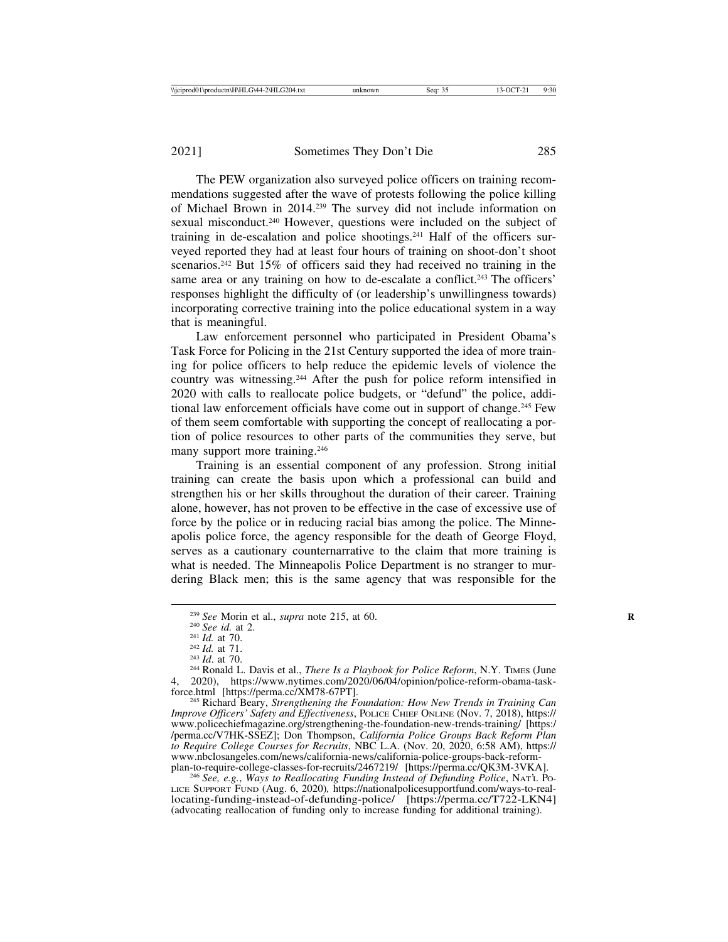The PEW organization also surveyed police officers on training recommendations suggested after the wave of protests following the police killing of Michael Brown in 2014.239 The survey did not include information on sexual misconduct.240 However, questions were included on the subject of training in de-escalation and police shootings.241 Half of the officers surveyed reported they had at least four hours of training on shoot-don't shoot scenarios.<sup>242</sup> But 15% of officers said they had received no training in the same area or any training on how to de-escalate a conflict.<sup>243</sup> The officers' responses highlight the difficulty of (or leadership's unwillingness towards) incorporating corrective training into the police educational system in a way that is meaningful.

Law enforcement personnel who participated in President Obama's Task Force for Policing in the 21st Century supported the idea of more training for police officers to help reduce the epidemic levels of violence the country was witnessing.244 After the push for police reform intensified in 2020 with calls to reallocate police budgets, or "defund" the police, additional law enforcement officials have come out in support of change.245 Few of them seem comfortable with supporting the concept of reallocating a portion of police resources to other parts of the communities they serve, but many support more training.<sup>246</sup>

Training is an essential component of any profession. Strong initial training can create the basis upon which a professional can build and strengthen his or her skills throughout the duration of their career. Training alone, however, has not proven to be effective in the case of excessive use of force by the police or in reducing racial bias among the police. The Minneapolis police force, the agency responsible for the death of George Floyd, serves as a cautionary counternarrative to the claim that more training is what is needed. The Minneapolis Police Department is no stranger to murdering Black men; this is the same agency that was responsible for the

<sup>245</sup> Richard Beary, *Strengthening the Foundation: How New Trends in Training Can Improve Officers' Safety and Effectiveness*, POLICE CHIEF ONLINE (Nov. 7, 2018), https:// www.policechiefmagazine.org/strengthening-the-foundation-new-trends-training/ [https:/ /perma.cc/V7HK-SSEZ]; Don Thompson, *California Police Groups Back Reform Plan to Require College Courses for Recruits*, NBC L.A. (Nov. 20, 2020, 6:58 AM), https:// www.nbclosangeles.com/news/california-news/california-police-groups-back-reform-

<sup>246</sup> See, e.g., Ways to Reallocating Funding Instead of Defunding Police, NAT'L PO-LICE SUPPORT FUND (Aug. 6, 2020)*,* https://nationalpolicesupportfund.com/ways-to-reallocating-funding-instead-of-defunding-police/ [https://perma.cc/T722-LKN4] (advocating reallocation of funding only to increase funding for additional training).

<sup>&</sup>lt;sup>239</sup> See Morin et al., *supra* note 215, at 60.<br>
<sup>240</sup> See id. at 2.<br>
<sup>241</sup> Id. at 70.<br>
<sup>242</sup> Id. at 71.<br>
<sup>243</sup> Id. at 70.<br>
<sup>243</sup> Ronald L. Davis et al., *There Is a Playbook for Police Reform*, N.Y. TIMES (June 4, 2020), https://www.nytimes.com/2020/06/04/opinion/police-reform-obama-task-<br>force.html [https://perma.cc/XM78-67PT].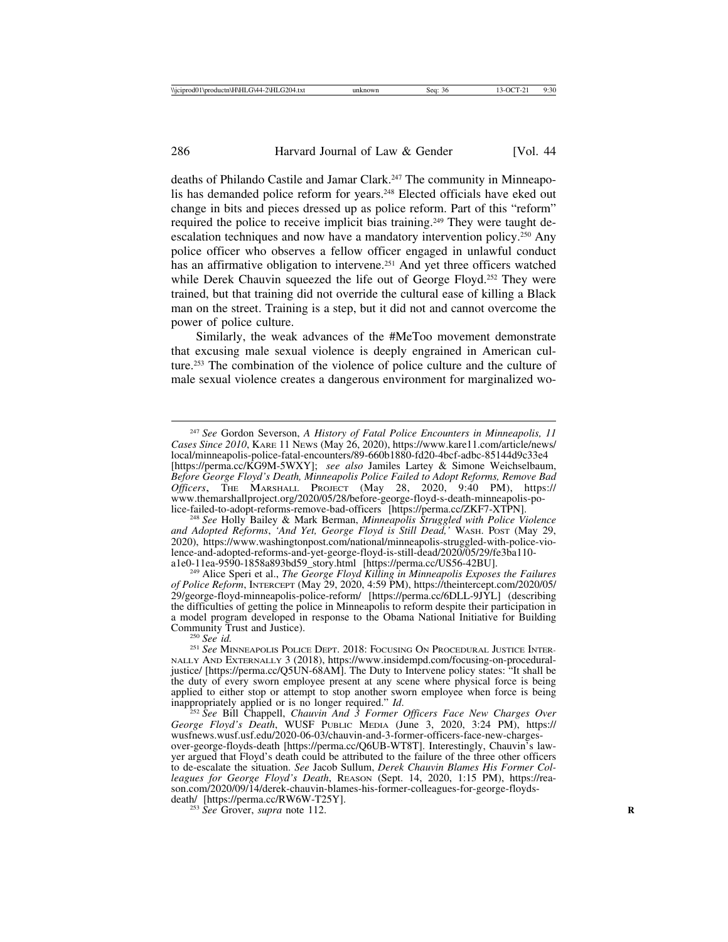deaths of Philando Castile and Jamar Clark.247 The community in Minneapolis has demanded police reform for years.248 Elected officials have eked out change in bits and pieces dressed up as police reform. Part of this "reform" required the police to receive implicit bias training.<sup>249</sup> They were taught deescalation techniques and now have a mandatory intervention policy.250 Any police officer who observes a fellow officer engaged in unlawful conduct has an affirmative obligation to intervene.<sup>251</sup> And yet three officers watched while Derek Chauvin squeezed the life out of George Floyd.<sup>252</sup> They were trained, but that training did not override the cultural ease of killing a Black man on the street. Training is a step, but it did not and cannot overcome the power of police culture.

Similarly, the weak advances of the #MeToo movement demonstrate that excusing male sexual violence is deeply engrained in American culture.253 The combination of the violence of police culture and the culture of male sexual violence creates a dangerous environment for marginalized wo-

<sup>248</sup> See Holly Bailey & Mark Berman, *Minneapolis Struggled with Police Violence and Adopted Reforms*, *'And Yet, George Floyd is Still Dead,'* WASH. POST (May 29, 2020), https://www.washingtonpost.com/national/minneapolis-struggled-with-police-violence-and-adopted-reforms-and-yet-george-floyd-is-still-dead/2020/05/29/fe3ba110-<br>a1e0-11ea-9590-1858a893bd59 story.html [https://perma.cc/US56-42BU].

<sup>249</sup> Alice Speri et al., *The George Floyd Killing in Minneapolis Exposes the Failures of Police Reform*, INTERCEPT (May 29, 2020, 4:59 PM), https://theintercept.com/2020/05/ 29/george-floyd-minneapolis-police-reform/ [https://perma.cc/6DLL-9JYL] (describing the difficulties of getting the police in Minneapolis to reform despite their participation in a model program developed in response to the Obama National Initiative for Building

Community Trust and Justice). <sup>250</sup> *See id.* <sup>251</sup> *See* MINNEAPOLIS POLICE DEPT. 2018: FOCUSING ON PROCEDURAL JUSTICE INTER-NALLY AND EXTERNALLY 3 (2018), https://www.insidempd.com/focusing-on-proceduraljustice/ [https://perma.cc/Q5UN-68AM]. The Duty to Intervene policy states: "It shall be the duty of every sworn employee present at any scene where physical force is being applied to either stop or attempt to stop another sworn employee when force is being inappropriately applied or is no longer required." *Id*. <sup>252</sup> *See* Bill Chappell, *Chauvin And 3 Former Officers Face New Charges Over*

*George Floyd's Death*, WUSF PUBLIC MEDIA (June 3, 2020, 3:24 PM), https:// wusfnews.wusf.usf.edu/2020-06-03/chauvin-and-3-former-officers-face-new-chargesover-george-floyds-death [https://perma.cc/Q6UB-WT8T]. Interestingly, Chauvin's lawyer argued that Floyd's death could be attributed to the failure of the three other officers to de-escalate the situation. *See* Jacob Sullum, *Derek Chauvin Blames His Former Colleagues for George Floyd's Death*, REASON (Sept. 14, 2020, 1:15 PM), https://reason.com/2020/09/14/derek-chauvin-blames-his-former-colleagues-for-george-floyds-death/ [https://perma.cc/RW6W-T25Y].

<sup>253</sup> See Grover, *supra* note 112.

<sup>247</sup> *See* Gordon Severson, *A History of Fatal Police Encounters in Minneapolis, 11 Cases Since 2010*, KARE 11 NEWS (May 26, 2020), https://www.kare11.com/article/news/ local/minneapolis-police-fatal-encounters/89-660b1880-fd20-4bcf-adbc-85144d9c33e4 [https://perma.cc/KG9M-5WXY]; *see also* Jamiles Lartey & Simone Weichselbaum, *Before George Floyd's Death, Minneapolis Police Failed to Adopt Reforms, Remove Bad Officers*, THE MARSHALL PROJECT (May 28, 2020, 9:40 PM), https:// www.themarshallproject.org/2020/05/28/before-george-floyd-s-death-minneapolis-po-<br>lice-failed-to-adopt-reforms-remove-bad-officers [https://perma.cc/ZKF7-XTPN].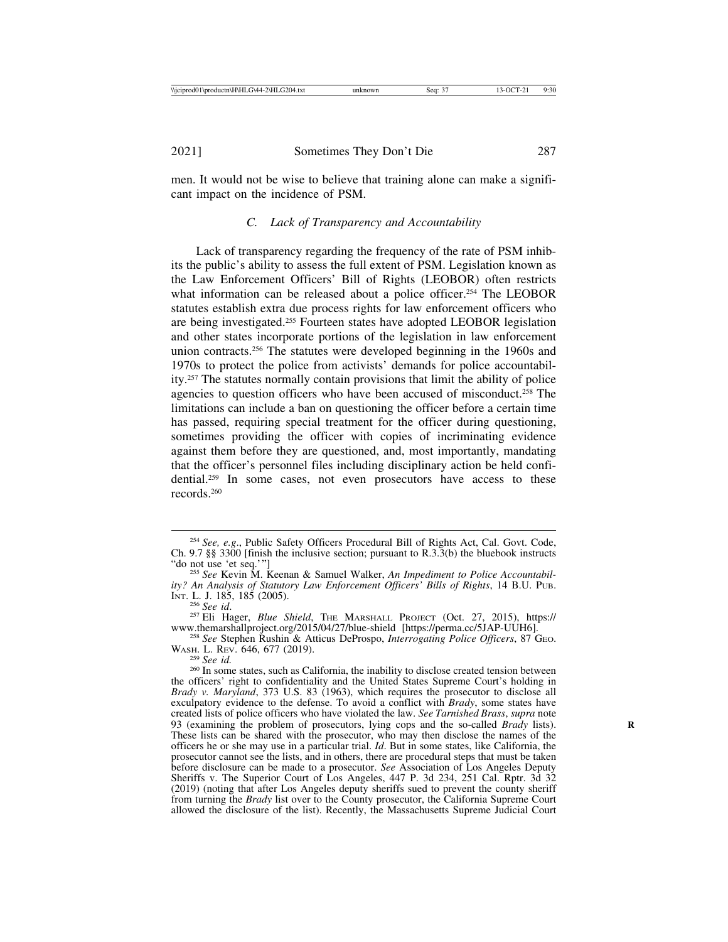men. It would not be wise to believe that training alone can make a significant impact on the incidence of PSM.

## *C. Lack of Transparency and Accountability*

Lack of transparency regarding the frequency of the rate of PSM inhibits the public's ability to assess the full extent of PSM. Legislation known as the Law Enforcement Officers' Bill of Rights (LEOBOR) often restricts what information can be released about a police officer.<sup>254</sup> The LEOBOR statutes establish extra due process rights for law enforcement officers who are being investigated.255 Fourteen states have adopted LEOBOR legislation and other states incorporate portions of the legislation in law enforcement union contracts.256 The statutes were developed beginning in the 1960s and 1970s to protect the police from activists' demands for police accountability.257 The statutes normally contain provisions that limit the ability of police agencies to question officers who have been accused of misconduct.258 The limitations can include a ban on questioning the officer before a certain time has passed, requiring special treatment for the officer during questioning, sometimes providing the officer with copies of incriminating evidence against them before they are questioned, and, most importantly, mandating that the officer's personnel files including disciplinary action be held confidential.<sup>259</sup> In some cases, not even prosecutors have access to these records.260

<sup>254</sup> *See, e.g*., Public Safety Officers Procedural Bill of Rights Act, Cal. Govt. Code, Ch. 9.7 §§ 3300 [finish the inclusive section; pursuant to R.3.3(b) the bluebook instructs "do not use 'et seq.'"]

<sup>&</sup>lt;sup>255</sup> See Kevin M. Keenan & Samuel Walker, *An Impediment to Police Accountability? An Analysis of Statutory Law Enforcement Officers' Bills of Rights*, 14 B.U. PUB.

<sup>&</sup>lt;sup>256</sup> See id. <sup>257</sup> Eli Hager, *Blue Shield*, The MARSHALL PROJECT (Oct. 27, 2015), https://<br>www.themarshallproject.org/2015/04/27/blue-shield [https://perma.cc/5JAP-UUH6].

<sup>&</sup>lt;sup>258</sup> See Stephen Rushin & Atticus DeProspo, *Interrogating Police Officers*, 87 Geo. WASH. L. REV. 646, 677 (2019).

<sup>&</sup>lt;sup>259</sup> See id.<br><sup>260</sup> In some states, such as California, the inability to disclose created tension between the officers' right to confidentiality and the United States Supreme Court's holding in *Brady v. Maryland*, 373 U.S. 83 (1963), which requires the prosecutor to disclose all exculpatory evidence to the defense. To avoid a conflict with *Brady*, some states have created lists of police officers who have violated the law. *See Tarnished Brass*, *supra* note 93 (examining the problem of prosecutors, lying cops and the so-called *Brady* lists). **R** These lists can be shared with the prosecutor, who may then disclose the names of the officers he or she may use in a particular trial. *Id*. But in some states, like California, the prosecutor cannot see the lists, and in others, there are procedural steps that must be taken before disclosure can be made to a prosecutor. *See* Association of Los Angeles Deputy Sheriffs v. The Superior Court of Los Angeles, 447 P. 3d 234, 251 Cal. Rptr. 3d 32 (2019) (noting that after Los Angeles deputy sheriffs sued to prevent the county sheriff from turning the *Brady* list over to the County prosecutor, the California Supreme Court allowed the disclosure of the list). Recently, the Massachusetts Supreme Judicial Court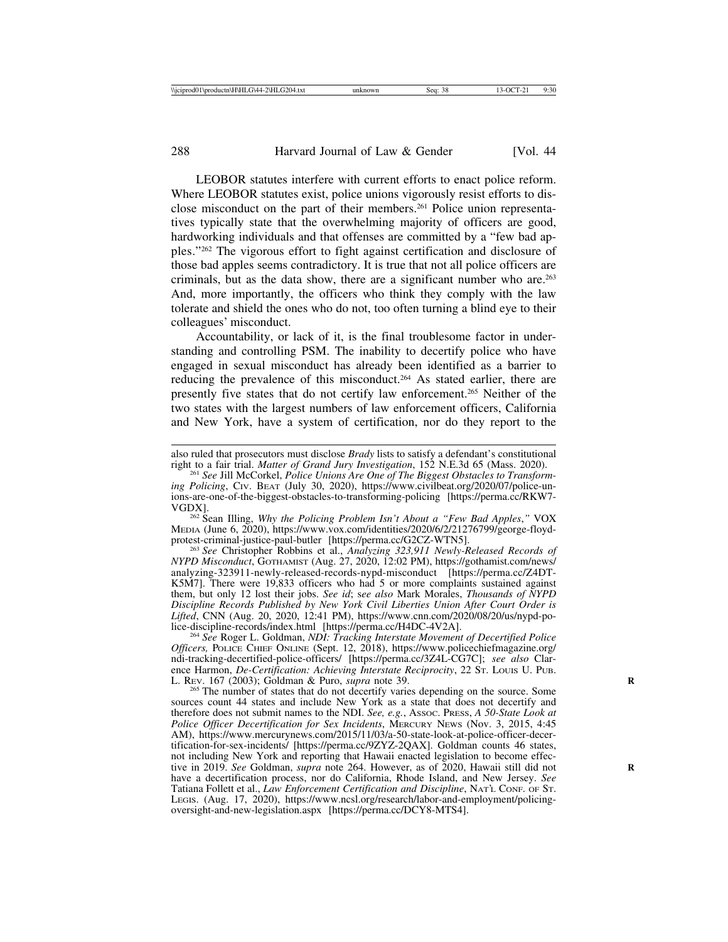LEOBOR statutes interfere with current efforts to enact police reform. Where LEOBOR statutes exist, police unions vigorously resist efforts to disclose misconduct on the part of their members.261 Police union representatives typically state that the overwhelming majority of officers are good, hardworking individuals and that offenses are committed by a "few bad apples."262 The vigorous effort to fight against certification and disclosure of those bad apples seems contradictory. It is true that not all police officers are criminals, but as the data show, there are a significant number who are.263 And, more importantly, the officers who think they comply with the law tolerate and shield the ones who do not, too often turning a blind eye to their colleagues' misconduct.

Accountability, or lack of it, is the final troublesome factor in understanding and controlling PSM. The inability to decertify police who have engaged in sexual misconduct has already been identified as a barrier to reducing the prevalence of this misconduct.264 As stated earlier, there are presently five states that do not certify law enforcement.265 Neither of the two states with the largest numbers of law enforcement officers, California and New York, have a system of certification, nor do they report to the

<sup>262</sup> Sean Illing, *Why the Policing Problem Isn't About a "Few Bad Apples,"* VOX MEDIA (June 6, 2020), https://www.vox.com/identities/2020/6/2/21276799/george-floyd-<br>protest-criminal-justice-paul-butler [https://perma.cc/G2CZ-WTN5].

<sup>263</sup> See Christopher Robbins et al., *Analyzing 323,911 Newly-Released Records of NYPD Misconduct*, GOTHAMIST (Aug. 27, 2020, 12:02 PM), https://gothamist.com/news/ analyzing-323911-newly-released-records-nypd-misconduct [https://perma.cc/Z4DT-K5M7]. There were 19,833 officers who had 5 or more complaints sustained against them, but only 12 lost their jobs. *See id*; s*ee also* Mark Morales, *Thousands of NYPD Discipline Records Published by New York Civil Liberties Union After Court Order is Lifted*, CNN (Aug. 20, 2020, 12:41 PM), https://www.cnn.com/2020/08/20/us/nypd-po-

<sup>264</sup> See Roger L. Goldman, *NDI: Tracking Interstate Movement of Decertified Police Officers,* POLICE CHIEF ONLINE (Sept. 12, 2018), https://www.policechiefmagazine.org/ ndi-tracking-decertified-police-officers/ [https://perma.cc/3Z4L-CG7C]; *see also* Clarence Harmon, *De-Certification: Achieving Interstate Reciprocity*, 22 ST. Louis U. Pub.<br>L. Rev. 167 (2003); Goldman & Puro, *supra* note 39.

<sup>265</sup> The number of states that do not decertify varies depending on the source. Some sources count 44 states and include New York as a state that does not decertify and therefore does not submit names to the NDI. *See, e.g.*, ASSOC. PRESS, *A 50-State Look at Police Officer Decertification for Sex Incidents*, MERCURY NEWS (Nov. 3, 2015, 4:45 AM), https://www.mercurynews.com/2015/11/03/a-50-state-look-at-police-officer-decertification-for-sex-incidents/ [https://perma.cc/9ZYZ-2QAX]. Goldman counts 46 states, not including New York and reporting that Hawaii enacted legislation to become effective in 2019. *See* Goldman, *supra* note 264. However, as of 2020, Hawaii still did not have a decertification process, nor do California, Rhode Island, and New Jersey. *See* Tatiana Follett et al., *Law Enforcement Certification and Discipline*, NAT'L CONF. OF ST. LEGIS. (Aug. 17, 2020), https://www.ncsl.org/research/labor-and-employment/policingoversight-and-new-legislation.aspx [https://perma.cc/DCY8-MTS4].

also ruled that prosecutors must disclose *Brady* lists to satisfy a defendant's constitutional right to a fair trial. *Matter of Grand Jury Investigation*, 152 N.E.3d 65 (Mass. 2020).

<sup>&</sup>lt;sup>261</sup> See Jill McCorkel, *Police Unions Are One of The Biggest Obstacles to Transforming Policing*, CIV. BEAT (July 30, 2020), https://www.civilbeat.org/2020/07/police-unions-are-one-of-the-biggest-obstacles-to-transforming-policing [https://perma.cc/RKW7-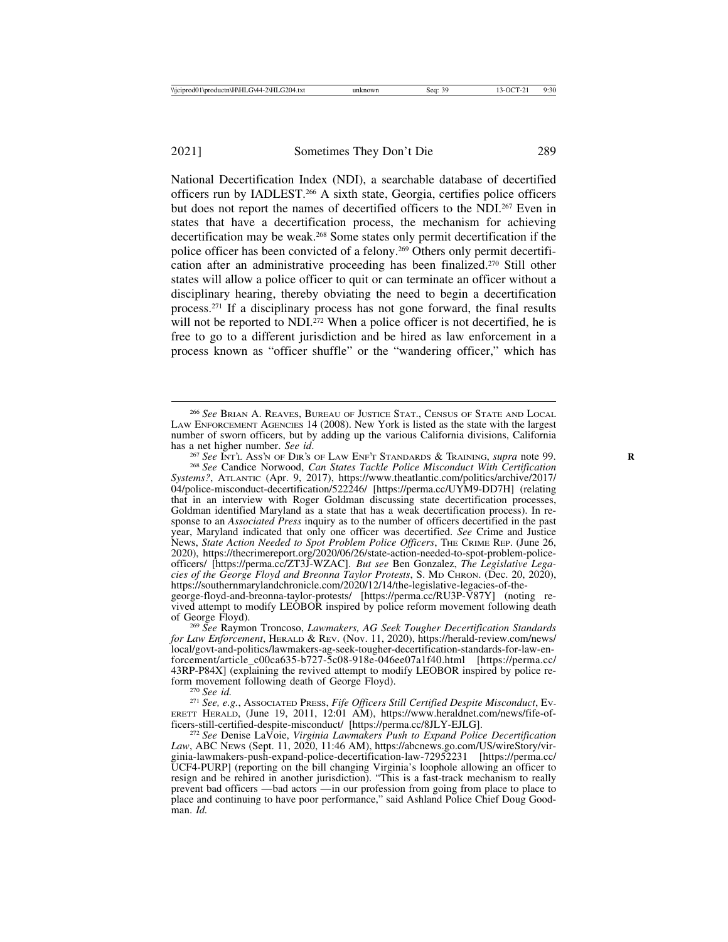National Decertification Index (NDI), a searchable database of decertified officers run by IADLEST.266 A sixth state, Georgia, certifies police officers but does not report the names of decertified officers to the NDI.267 Even in states that have a decertification process, the mechanism for achieving decertification may be weak.268 Some states only permit decertification if the police officer has been convicted of a felony.269 Others only permit decertification after an administrative proceeding has been finalized.270 Still other states will allow a police officer to quit or can terminate an officer without a disciplinary hearing, thereby obviating the need to begin a decertification process.271 If a disciplinary process has not gone forward, the final results will not be reported to NDI $^{272}$  When a police officer is not decertified, he is free to go to a different jurisdiction and be hired as law enforcement in a process known as "officer shuffle" or the "wandering officer," which has

has a net higher number. See id.<br><sup>267</sup> See Inr`t. Ass`N OF DIR's OF LAW ENF<sup>'</sup>T STANDARDS & TRAINING, supra note 99.<br><sup>268</sup> See Candice Norwood, *Can States Tackle Police Misconduct With Certification Systems?*, ATLANTIC (Apr. 9, 2017), https://www.theatlantic.com/politics/archive/2017/ 04/police-misconduct-decertification/522246/ [https://perma.cc/UYM9-DD7H] (relating that in an interview with Roger Goldman discussing state decertification processes, Goldman identified Maryland as a state that has a weak decertification process). In response to an *Associated Press* inquiry as to the number of officers decertified in the past year, Maryland indicated that only one officer was decertified. *See* Crime and Justice News, *State Action Needed to Spot Problem Police Officers*, THE CRIME REP. (June 26, 2020), https://thecrimereport.org/2020/06/26/state-action-needed-to-spot-problem-policeofficers/ [https://perma.cc/ZT3J-WZAC]. *But see* Ben Gonzalez, *The Legislative Legacies of the George Floyd and Breonna Taylor Protests*, S. MD CHRON. (Dec. 20, 2020), https://southernmarylandchronicle.com/2020/12/14/the-legislative-legacies-of-thegeorge-floyd-and-breonna-taylor-protests/ [https://perma.cc/RU3P-V87Y] (noting re-

vived attempt to modify LEOBOR inspired by police reform movement following death

<sup>269</sup> See Raymon Troncoso, *Lawmakers, AG Seek Tougher Decertification Standards for Law Enforcement*, HERALD & REV. (Nov. 11, 2020), https://herald-review.com/news/ local/govt-and-politics/lawmakers-ag-seek-tougher-decertification-standards-for-law-enforcement/article\_c00ca635-b727-5c08-918e-046ee07a1f40.html [https://perma.cc/ 43RP-P84X] (explaining the revived attempt to modify LEOBOR inspired by police reform movement following death of George Floyd).

form movement following death of George Floyd). <sup>270</sup> *See id.* <sup>271</sup> *See, e.g.*, ASSOCIATED PRESS, *Fife Officers Still Certified Despite Misconduct*, EV-ERETT HERALD, (June 19, 2011, 12:01 AM), https://www.heraldnet.com/news/fife-of-<br>ficers-still-certified-despite-misconduct/ [https://perma.cc/8JLY-EJLG].

<sup>266</sup> *See* BRIAN A. REAVES, BUREAU OF JUSTICE STAT., CENSUS OF STATE AND LOCAL LAW ENFORCEMENT AGENCIES 14 (2008). New York is listed as the state with the largest number of sworn officers, but by adding up the various California divisions, California has a net higher number. See id.

ficers-still-certified-despite-misconduct/ [https://perma.cc/8JLY-EJLG]. <sup>272</sup> *See* Denise LaVoie, *Virginia Lawmakers Push to Expand Police Decertification Law*, ABC NEWS (Sept. 11, 2020, 11:46 AM), https://abcnews.go.com/US/wireStory/virginia-lawmakers-push-expand-police-decertification-law-72952231 [https://perma.cc/ UCF4-PURP] (reporting on the bill changing Virginia's loophole allowing an officer to resign and be rehired in another jurisdiction). "This is a fast-track mechanism to really prevent bad officers — bad actors — in our profession from going from place to place to place and continuing to have poor performance," said Ashland Police Chief Doug Goodman. *Id.*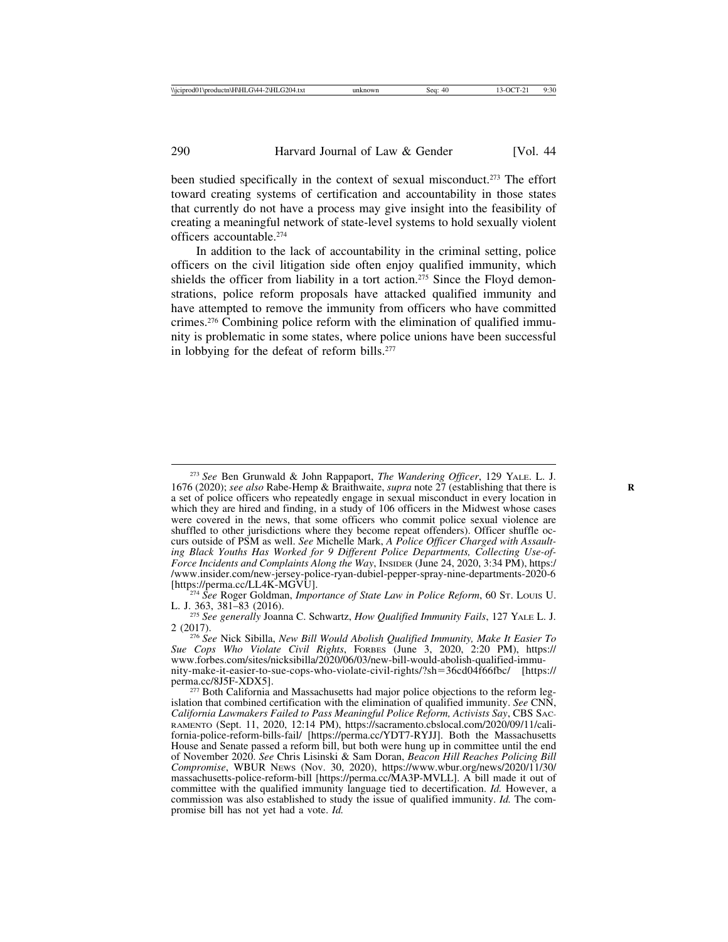been studied specifically in the context of sexual misconduct.<sup>273</sup> The effort toward creating systems of certification and accountability in those states that currently do not have a process may give insight into the feasibility of creating a meaningful network of state-level systems to hold sexually violent officers accountable.274

In addition to the lack of accountability in the criminal setting, police officers on the civil litigation side often enjoy qualified immunity, which shields the officer from liability in a tort action.<sup>275</sup> Since the Floyd demonstrations, police reform proposals have attacked qualified immunity and have attempted to remove the immunity from officers who have committed crimes.276 Combining police reform with the elimination of qualified immunity is problematic in some states, where police unions have been successful in lobbying for the defeat of reform bills.277

<sup>273</sup> *See* Ben Grunwald & John Rappaport, *The Wandering Officer*, 129 YALE. L. J. 1676 (2020); *see also* Rabe-Hemp & Braithwaite, *supra* note 27 (establishing that there is **R** a set of police officers who repeatedly engage in sexual misconduct in every location in which they are hired and finding, in a study of 106 officers in the Midwest whose cases were covered in the news, that some officers who commit police sexual violence are shuffled to other jurisdictions where they become repeat offenders). Officer shuffle occurs outside of PSM as well. *See* Michelle Mark, *A Police Officer Charged with Assaulting Black Youths Has Worked for 9 Different Police Departments, Collecting Use-of-Force Incidents and Complaints Along the Way*, INSIDER (June 24, 2020, 3:34 PM), https:/ /www.insider.com/new-jersey-police-ryan-dubiel-pepper-spray-nine-departments-2020-6

<sup>&</sup>lt;sup>274</sup> See Roger Goldman, *Importance of State Law in Police Reform*, 60 St. Louis U. L. J. 363, 381–83 (2016). <sup>275</sup> *See generally* Joanna C. Schwartz, *How Qualified Immunity Fails*, 127 YALE L. J.

<sup>2 (2017).</sup> <sup>276</sup> *See* Nick Sibilla, *New Bill Would Abolish Qualified Immunity, Make It Easier To Sue Cops Who Violate Civil Rights*, FORBES (June 3, 2020, 2:20 PM), https:// www.forbes.com/sites/nicksibilla/2020/06/03/new-bill-would-abolish-qualified-immunity-make-it-easier-to-sue-cops-who-violate-civil-rights/?sh=36cd04f66fbc/ [https://

 $277$  Both California and Massachusetts had major police objections to the reform legislation that combined certification with the elimination of qualified immunity. *See* CNN, *California Lawmakers Failed to Pass Meaningful Police Reform, Activists Say*, CBS SAC-RAMENTO (Sept. 11, 2020, 12:14 PM), https://sacramento.cbslocal.com/2020/09/11/california-police-reform-bills-fail/ [https://perma.cc/YDT7-RYJJ]. Both the Massachusetts House and Senate passed a reform bill, but both were hung up in committee until the end of November 2020. *See* Chris Lisinski & Sam Doran, *Beacon Hill Reaches Policing Bill Compromise*, WBUR NEWS (Nov. 30, 2020), https://www.wbur.org/news/2020/11/30/ massachusetts-police-reform-bill [https://perma.cc/MA3P-MVLL]. A bill made it out of committee with the qualified immunity language tied to decertification. *Id.* However, a commission was also established to study the issue of qualified immunity. *Id.* The compromise bill has not yet had a vote. *Id.*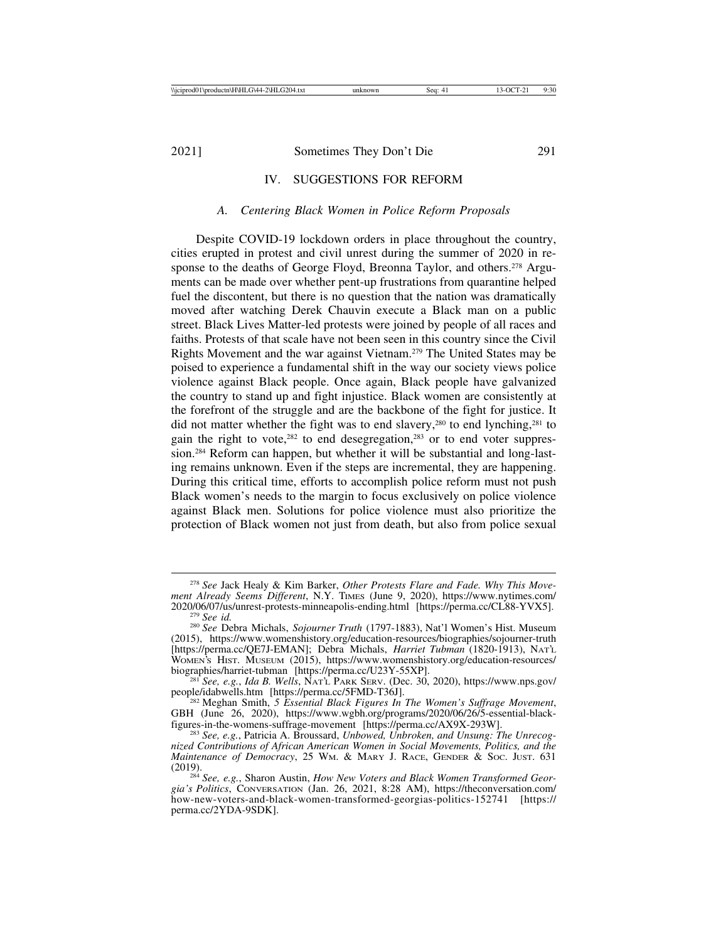## IV. SUGGESTIONS FOR REFORM

#### *A. Centering Black Women in Police Reform Proposals*

Despite COVID-19 lockdown orders in place throughout the country, cities erupted in protest and civil unrest during the summer of 2020 in response to the deaths of George Floyd, Breonna Taylor, and others.<sup>278</sup> Arguments can be made over whether pent-up frustrations from quarantine helped fuel the discontent, but there is no question that the nation was dramatically moved after watching Derek Chauvin execute a Black man on a public street. Black Lives Matter-led protests were joined by people of all races and faiths. Protests of that scale have not been seen in this country since the Civil Rights Movement and the war against Vietnam.279 The United States may be poised to experience a fundamental shift in the way our society views police violence against Black people. Once again, Black people have galvanized the country to stand up and fight injustice. Black women are consistently at the forefront of the struggle and are the backbone of the fight for justice. It did not matter whether the fight was to end slavery,<sup>280</sup> to end lynching,<sup>281</sup> to gain the right to vote, $282$  to end desegregation, $283$  or to end voter suppression.284 Reform can happen, but whether it will be substantial and long-lasting remains unknown. Even if the steps are incremental, they are happening. During this critical time, efforts to accomplish police reform must not push Black women's needs to the margin to focus exclusively on police violence against Black men. Solutions for police violence must also prioritize the protection of Black women not just from death, but also from police sexual

<sup>278</sup> *See* Jack Healy & Kim Barker, *Other Protests Flare and Fade. Why This Movement Already Seems Different*, N.Y. TIMES (June 9, 2020), https://www.nytimes.com/ <sup>279</sup> See id.<br><sup>280</sup> See Debra Michals, *Sojourner Truth* (1797-1883), Nat'l Women's Hist. Museum

<sup>(2015),</sup> https://www.womenshistory.org/education-resources/biographies/sojourner-truth [https://perma.cc/QE7J-EMAN]; Debra Michals, *Harriet Tubman* (1820-1913), NAT'L WOMEN'S HIST. MUSEUM (2015), https://www.womenshistory.org/education-resources/<br>biographies/harriet-tubman [https://perma.cc/U23Y-55XP].

<sup>&</sup>lt;sup>281</sup> See, e.g., *Ida B. Wells*, NAT'L PARK SERV. (Dec. 30, 2020), https://www.nps.gov/ people/idabwells.htm [https://perma.cc/5FMD-T36J]. <sup>282</sup> Meghan Smith, *5 Essential Black Figures In The Women's Suffrage Movement*,

GBH (June 26, 2020), https://www.wgbh.org/programs/2020/06/26/5-essential-black-<br>figures-in-the-womens-suffrage-movement [https://perma.cc/AX9X-293W].

<sup>&</sup>lt;sup>283</sup> See, e.g., Patricia A. Broussard, *Unbowed, Unbroken, and Unsung: The Unrecognized Contributions of African American Women in Social Movements, Politics, and the Maintenance of Democracy*, 25 Wm. & MARY J. RACE, GENDER & Soc. JUST. 631 (2019).

<sup>&</sup>lt;sup>284</sup> See, e.g., Sharon Austin, *How New Voters and Black Women Transformed Georgia's Politics*, CONVERSATION (Jan. 26, 2021, 8:28 AM), https://theconversation.com/ how-new-voters-and-black-women-transformed-georgias-politics-152741 [https:// perma.cc/2YDA-9SDK].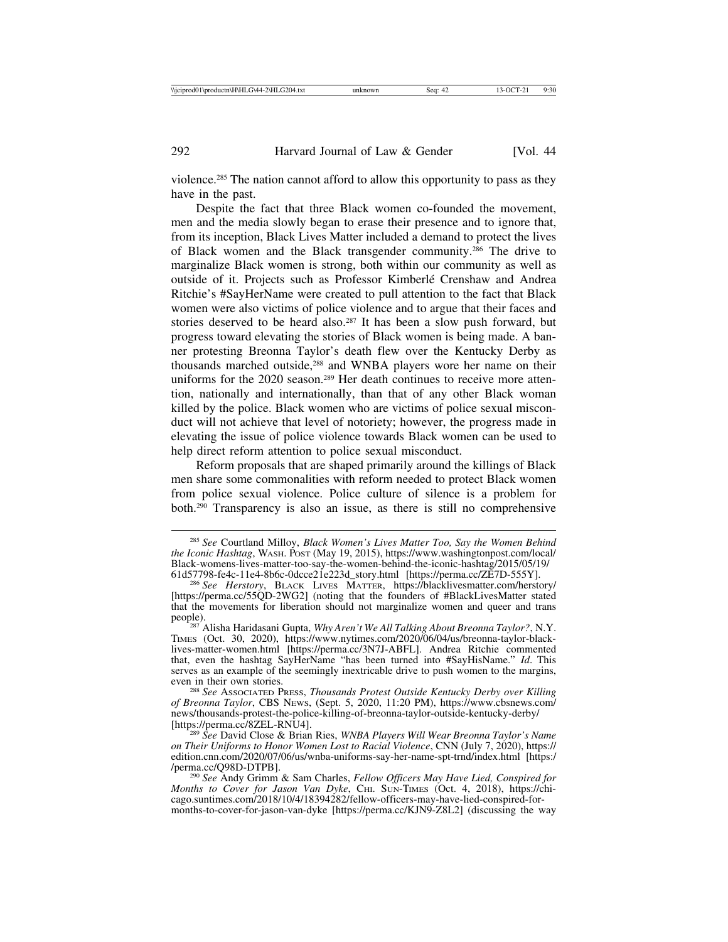violence.285 The nation cannot afford to allow this opportunity to pass as they have in the past.

Despite the fact that three Black women co-founded the movement, men and the media slowly began to erase their presence and to ignore that, from its inception, Black Lives Matter included a demand to protect the lives of Black women and the Black transgender community.286 The drive to marginalize Black women is strong, both within our community as well as outside of it. Projects such as Professor Kimberlé Crenshaw and Andrea Ritchie's #SayHerName were created to pull attention to the fact that Black women were also victims of police violence and to argue that their faces and stories deserved to be heard also.<sup>287</sup> It has been a slow push forward, but progress toward elevating the stories of Black women is being made. A banner protesting Breonna Taylor's death flew over the Kentucky Derby as thousands marched outside,<sup>288</sup> and WNBA players wore her name on their uniforms for the 2020 season.<sup>289</sup> Her death continues to receive more attention, nationally and internationally, than that of any other Black woman killed by the police. Black women who are victims of police sexual misconduct will not achieve that level of notoriety; however, the progress made in elevating the issue of police violence towards Black women can be used to help direct reform attention to police sexual misconduct.

Reform proposals that are shaped primarily around the killings of Black men share some commonalities with reform needed to protect Black women from police sexual violence. Police culture of silence is a problem for both.290 Transparency is also an issue, as there is still no comprehensive

<sup>285</sup> *See* Courtland Milloy, *Black Women's Lives Matter Too, Say the Women Behind the Iconic Hashtag*, WASH. POST (May 19, 2015), https://www.washingtonpost.com/local/ Black-womens-lives-matter-too-say-the-women-behind-the-iconic-hashtag/2015/05/19/

<sup>&</sup>lt;sup>286</sup> See Herstory, BLACK LIVES MATTER, https://blacklivesmatter.com/herstory/ [https://perma.cc/55QD-2WG2] (noting that the founders of #BlackLivesMatter stated that the movements for liberation should not marginalize women and queer and trans people). <sup>287</sup> Alisha Haridasani Gupta, *Why Aren't We All Talking About Breonna Taylor?*, N.Y.

TIMES (Oct. 30, 2020), https://www.nytimes.com/2020/06/04/us/breonna-taylor-blacklives-matter-women.html [https://perma.cc/3N7J-ABFL]. Andrea Ritchie commented that, even the hashtag SayHerName "has been turned into #SayHisName." *Id*. This serves as an example of the seemingly inextricable drive to push women to the margins, even in their own stories.

<sup>&</sup>lt;sup>288</sup> See Associated Press, *Thousands Protest Outside Kentucky Derby over Killing of Breonna Taylor*, CBS NEWS, (Sept. 5, 2020, 11:20 PM), https://www.cbsnews.com/ news/thousands-protest-the-police-killing-of-breonna-taylor-outside-kentucky-derby/

<sup>&</sup>lt;sup>289</sup> See David Close & Brian Ries, *WNBA Players Will Wear Breonna Taylor's Name on Their Uniforms to Honor Women Lost to Racial Violence*, CNN (July 7, 2020), https:// edition.cnn.com/2020/07/06/us/wnba-uniforms-say-her-name-spt-trnd/index.html [https://perma.cc/Q98D-DTPB].

<sup>&</sup>lt;sup>290</sup> See Andy Grimm & Sam Charles, *Fellow Officers May Have Lied, Conspired for Months to Cover for Jason Van Dyke*, CHI. SUN-TIMES (Oct. 4, 2018), https://chicago.suntimes.com/2018/10/4/18394282/fellow-officers-may-have-lied-conspired-formonths-to-cover-for-jason-van-dyke [https://perma.cc/KJN9-Z8L2] (discussing the way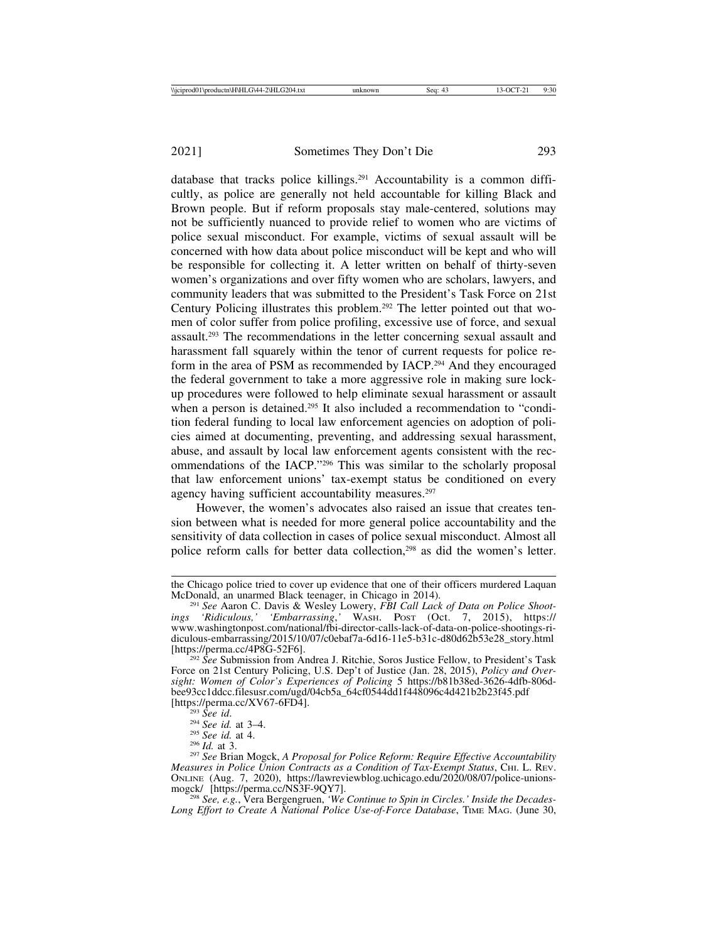database that tracks police killings.291 Accountability is a common difficultly, as police are generally not held accountable for killing Black and Brown people. But if reform proposals stay male-centered, solutions may not be sufficiently nuanced to provide relief to women who are victims of police sexual misconduct. For example, victims of sexual assault will be concerned with how data about police misconduct will be kept and who will be responsible for collecting it. A letter written on behalf of thirty-seven women's organizations and over fifty women who are scholars, lawyers, and community leaders that was submitted to the President's Task Force on 21st Century Policing illustrates this problem.292 The letter pointed out that women of color suffer from police profiling, excessive use of force, and sexual assault.293 The recommendations in the letter concerning sexual assault and harassment fall squarely within the tenor of current requests for police reform in the area of PSM as recommended by IACP.294 And they encouraged the federal government to take a more aggressive role in making sure lockup procedures were followed to help eliminate sexual harassment or assault when a person is detained.<sup>295</sup> It also included a recommendation to "condition federal funding to local law enforcement agencies on adoption of policies aimed at documenting, preventing, and addressing sexual harassment, abuse, and assault by local law enforcement agents consistent with the recommendations of the IACP."296 This was similar to the scholarly proposal that law enforcement unions' tax-exempt status be conditioned on every agency having sufficient accountability measures.<sup>297</sup>

However, the women's advocates also raised an issue that creates tension between what is needed for more general police accountability and the sensitivity of data collection in cases of police sexual misconduct. Almost all police reform calls for better data collection,<sup>298</sup> as did the women's letter.

<sup>298</sup> See, e.g., Vera Bergengruen, *'We Continue to Spin in Circles.' Inside the Decades-Long Effort to Create A National Police Use-of-Force Database*, TIME MAG. (June 30,

the Chicago police tried to cover up evidence that one of their officers murdered Laquan McDonald, an unarmed Black teenager, in Chicago in 2014).

McDonald, an unarmed Black teenager, in Chicago in 2014). <sup>291</sup> *See* Aaron C. Davis & Wesley Lowery, *FBI Call Lack of Data on Police Shootings 'Ridiculous,' 'Embarrassing*,*'* WASH. POST (Oct. 7, 2015), https:// www.washingtonpost.com/national/fbi-director-calls-lack-of-data-on-police-shootings-ridiculous-embarrassing/2015/10/07/c0ebaf7a-6d16-11e5-b31c-d80d62b53e28\_story.html<br>[https://perma.cc/4P8G-52F6].

<sup>&</sup>lt;sup>292</sup> *See* Submission from Andrea J. Ritchie, Soros Justice Fellow, to President's Task Force on 21st Century Policing, U.S. Dep't of Justice (Jan. 28, 2015), *Policy and Oversight: Women of Color's Experiences of Policing* 5 https://b81b38ed-3626-4dfb-806dbee93cc1ddcc.filesusr.com/ugd/04cb5a\_64cf0544dd1f448096c4d421b2b23f45.pdf<br>[https://perma.cc/XV67-6FD4].

<sup>[</sup>https://perma.cc/XV67-6FD4]. <sup>293</sup> *See id*. <sup>294</sup> *See id.* at 3–4. <sup>295</sup> *See id.* at 4. <sup>296</sup> *Id.* at 3. <sup>297</sup> *See* Brian Mogck, *A Proposal for Police Reform: Require Effective Accountability Measures in Police Union Contracts as a Condition of Tax-Exempt Status*, CHI. L. REV. ONLINE (Aug. 7, 2020), https://lawreviewblog.uchicago.edu/2020/08/07/police-unions-<br>mogck/ [https://perma.cc/NS3F-9QY7].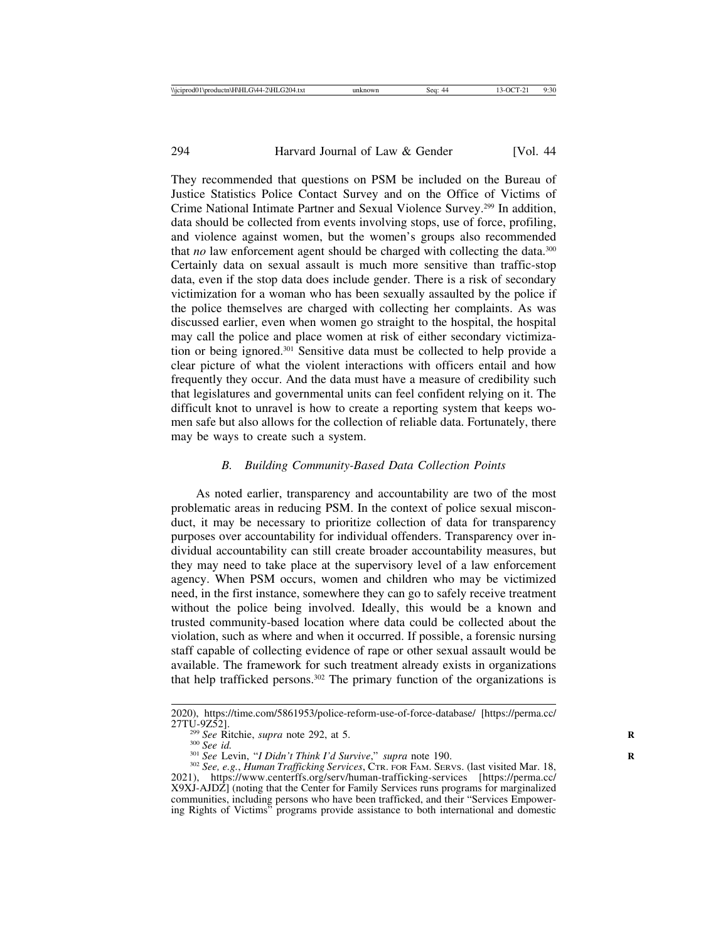They recommended that questions on PSM be included on the Bureau of Justice Statistics Police Contact Survey and on the Office of Victims of Crime National Intimate Partner and Sexual Violence Survey.299 In addition, data should be collected from events involving stops, use of force, profiling, and violence against women, but the women's groups also recommended that *no* law enforcement agent should be charged with collecting the data.<sup>300</sup> Certainly data on sexual assault is much more sensitive than traffic-stop data, even if the stop data does include gender. There is a risk of secondary victimization for a woman who has been sexually assaulted by the police if the police themselves are charged with collecting her complaints. As was discussed earlier, even when women go straight to the hospital, the hospital may call the police and place women at risk of either secondary victimization or being ignored.301 Sensitive data must be collected to help provide a clear picture of what the violent interactions with officers entail and how frequently they occur. And the data must have a measure of credibility such that legislatures and governmental units can feel confident relying on it. The difficult knot to unravel is how to create a reporting system that keeps women safe but also allows for the collection of reliable data. Fortunately, there may be ways to create such a system.

## *B. Building Community-Based Data Collection Points*

As noted earlier, transparency and accountability are two of the most problematic areas in reducing PSM. In the context of police sexual misconduct, it may be necessary to prioritize collection of data for transparency purposes over accountability for individual offenders. Transparency over individual accountability can still create broader accountability measures, but they may need to take place at the supervisory level of a law enforcement agency. When PSM occurs, women and children who may be victimized need, in the first instance, somewhere they can go to safely receive treatment without the police being involved. Ideally, this would be a known and trusted community-based location where data could be collected about the violation, such as where and when it occurred. If possible, a forensic nursing staff capable of collecting evidence of rape or other sexual assault would be available. The framework for such treatment already exists in organizations that help trafficked persons.302 The primary function of the organizations is

<sup>2020),</sup> https://time.com/5861953/police-reform-use-of-force-database/ [https://perma.cc/

<sup>&</sup>lt;sup>299</sup> See Ritchie, *supra* note 292, at 5.<br><sup>300</sup> See id.<br><sup>301</sup> See Levin, "I Didn't Think I'd Survive," *supra* note 190.<br><sup>302</sup> See, e.g., Human Trafficking Services, CTR. FOR FAM. SERVS. (last visited Mar. 18, 2021), https://www.centerffs.org/serv/human-trafficking-services [https://perma.cc/ X9XJ-AJDZ] (noting that the Center for Family Services runs programs for marginalized communities, including persons who have been trafficked, and their "Services Empowering Rights of Victims" programs provide assistance to both international and domestic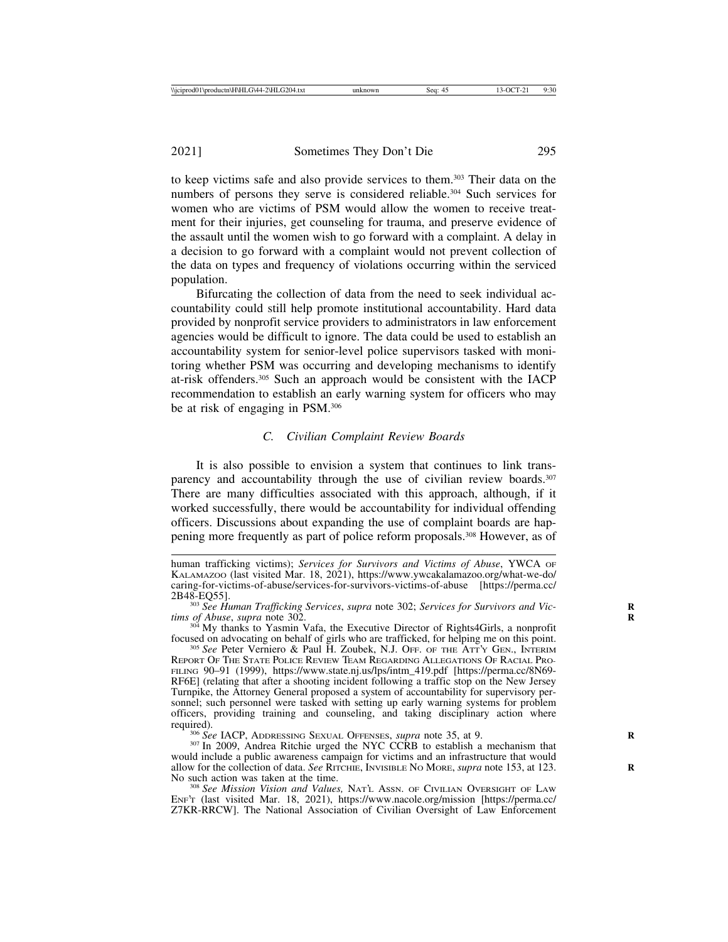to keep victims safe and also provide services to them.303 Their data on the numbers of persons they serve is considered reliable.<sup>304</sup> Such services for women who are victims of PSM would allow the women to receive treatment for their injuries, get counseling for trauma, and preserve evidence of the assault until the women wish to go forward with a complaint. A delay in a decision to go forward with a complaint would not prevent collection of the data on types and frequency of violations occurring within the serviced population.

Bifurcating the collection of data from the need to seek individual accountability could still help promote institutional accountability. Hard data provided by nonprofit service providers to administrators in law enforcement agencies would be difficult to ignore. The data could be used to establish an accountability system for senior-level police supervisors tasked with monitoring whether PSM was occurring and developing mechanisms to identify at-risk offenders.305 Such an approach would be consistent with the IACP recommendation to establish an early warning system for officers who may be at risk of engaging in PSM.306

#### *C. Civilian Complaint Review Boards*

It is also possible to envision a system that continues to link transparency and accountability through the use of civilian review boards.<sup>307</sup> There are many difficulties associated with this approach, although, if it worked successfully, there would be accountability for individual offending officers. Discussions about expanding the use of complaint boards are happening more frequently as part of police reform proposals.308 However, as of

would include a public awareness campaign for victims and an infrastructure that would allow for the collection of data. *See* RITCHIE, INVISIBLE NO MORE, *supra* note 153, at 123. No such action was taken at the time.

<sup>308</sup> See Mission Vision and Values, NAT'L ASSN. OF CIVILIAN OVERSIGHT OF LAW ENF'T (last visited Mar. 18, 2021), https://www.nacole.org/mission [https://perma.cc/ Z7KR-RRCW]. The National Association of Civilian Oversight of Law Enforcement

human trafficking victims); *Services for Survivors and Victims of Abuse*, YWCA OF KALAMAZOO (last visited Mar. 18, 2021), https://www.ywcakalamazoo.org/what-we-do/ caring-for-victims-of-abuse/services-for-survivors-victims-of-abuse [https://perma.cc/

<sup>&</sup>lt;sup>303</sup> *See Human Trafficking Services, supra note 302; <i>Services for Survivors and Victims of Abuse, supra note 302.* 

<sup>&</sup>lt;sup>304</sup> My thanks to Yasmin Vafa, the Executive Director of Rights4Girls, a nonprofit focused on advocating on behalf of girls who are trafficked, for helping me on this point.

<sup>&</sup>lt;sup>305</sup> See Peter Verniero & Paul H. Zoubek, N.J. OFF. OF THE ATT'Y GEN., INTERIM REPORT OF THE STATE POLICE REVIEW TEAM REGARDING ALLEGATIONS OF RACIAL PRO-FILING 90–91 (1999), https://www.state.nj.us/lps/intm\_419.pdf [https://perma.cc/8N69- RF6E] (relating that after a shooting incident following a traffic stop on the New Jersey Turnpike, the Attorney General proposed a system of accountability for supervisory personnel; such personnel were tasked with setting up early warning systems for problem officers, providing training and counseling, and taking disciplinary action where required). <sup>306</sup> *See* IACP, ADDRESSING SEXUAL OFFENSES, *supra* note 35, at 9. <sup>307</sup> In 2009, Andrea Ritchie urged the NYC CCRB to establish a mechanism that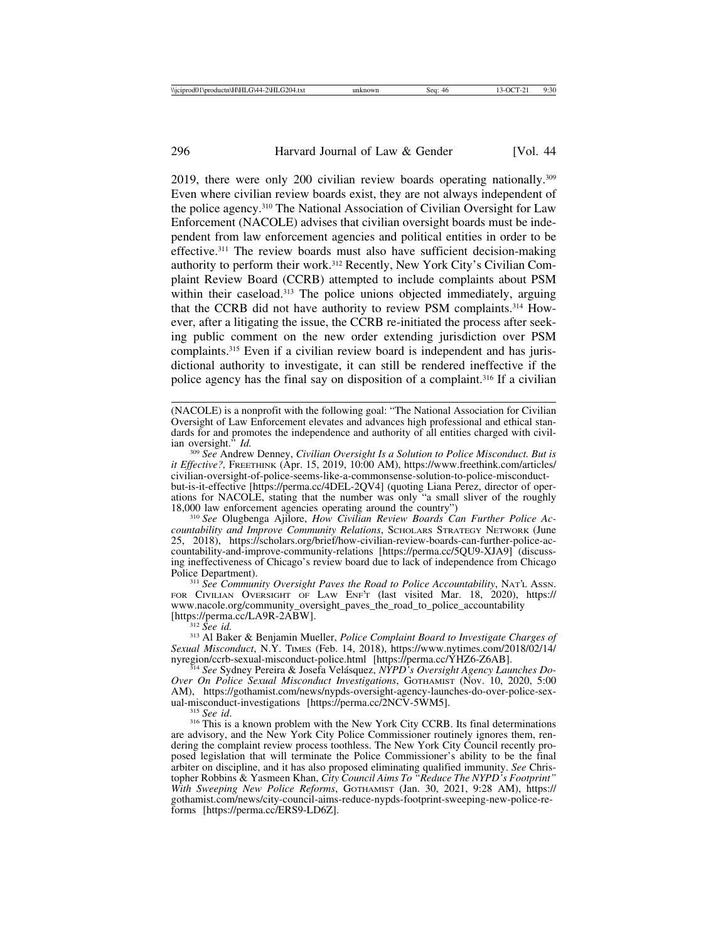2019, there were only 200 civilian review boards operating nationally.309 Even where civilian review boards exist, they are not always independent of the police agency.310 The National Association of Civilian Oversight for Law Enforcement (NACOLE) advises that civilian oversight boards must be independent from law enforcement agencies and political entities in order to be effective.311 The review boards must also have sufficient decision-making authority to perform their work.312 Recently, New York City's Civilian Complaint Review Board (CCRB) attempted to include complaints about PSM within their caseload.<sup>313</sup> The police unions objected immediately, arguing that the CCRB did not have authority to review PSM complaints.314 However, after a litigating the issue, the CCRB re-initiated the process after seeking public comment on the new order extending jurisdiction over PSM complaints.315 Even if a civilian review board is independent and has jurisdictional authority to investigate, it can still be rendered ineffective if the police agency has the final say on disposition of a complaint.316 If a civilian

<sup>309</sup> See Andrew Denney, *Civilian Oversight Is a Solution to Police Misconduct. But is it Effective?,* FREETHINK (Apr. 15, 2019, 10:00 AM), https://www.freethink.com/articles/ civilian-oversight-of-police-seems-like-a-commonsense-solution-to-police-misconduct-

but-is-it-effective [https://perma.cc/4DEL-2QV4] (quoting Liana Perez, director of operations for NACOLE, stating that the number was only "a small sliver of the roughly 18,000 law enforcement agencies operating around the country")

<sup>310</sup> See Olugbenga Ajilore, *How Civilian Review Boards Can Further Police Accountability and Improve Community Relations*, SCHOLARS STRATEGY NETWORK (June 25, 2018), https://scholars.org/brief/how-civilian-review-boards-can-further-police-accountability-and-improve-community-relations [https://perma.cc/5QU9-XJA9] (discussing ineffectiveness of Chicago's review board due to lack of independence from Chicago

<sup>311</sup> See Community Oversight Paves the Road to Police Accountability, NAT'L Assn. FOR CIVILIAN OVERSIGHT OF LAW ENF'T (last visited Mar. 18, 2020), https:// www.nacole.org/community\_oversight\_paves\_the\_road\_to\_police\_accountability

[https://perma.cc/LA9R-2ABW]. <sup>312</sup> *See id.* <sup>313</sup> Al Baker & Benjamin Mueller, *Police Complaint Board to Investigate Charges of Sexual Misconduct*, N.Y. TIMES (Feb. 14, 2018), https://www.nytimes.com/2018/02/14/

<sup>314</sup> See Sydney Pereira & Josefa Velásquez, *NYPD's Oversight Agency Launches Do-Over On Police Sexual Misconduct Investigations*, GOTHAMIST (Nov. 10, 2020, 5:00 AM), https://gothamist.com/news/nypds-oversight-agency-launches-do-over-police-sex-<br>ual-misconduct-investigations [https://perma.cc/2NCV-5WM5].

<sup>315</sup> See id. <sup>316</sup> This is a known problem with the New York City CCRB. Its final determinations are advisory, and the New York City Police Commissioner routinely ignores them, rendering the complaint review process toothless. The New York City Council recently proposed legislation that will terminate the Police Commissioner's ability to be the final arbiter on discipline, and it has also proposed eliminating qualified immunity. *See* Christopher Robbins & Yasmeen Khan, *City Council Aims To "Reduce The NYPD's Footprint" With Sweeping New Police Reforms*, GOTHAMIST (Jan. 30, 2021, 9:28 AM), https:// gothamist.com/news/city-council-aims-reduce-nypds-footprint-sweeping-new-police-reforms [https://perma.cc/ERS9-LD6Z].

<sup>(</sup>NACOLE) is a nonprofit with the following goal: "The National Association for Civilian Oversight of Law Enforcement elevates and advances high professional and ethical standards for and promotes the independence and authority of all entities charged with civil-<br>ian oversight."  $Id$ .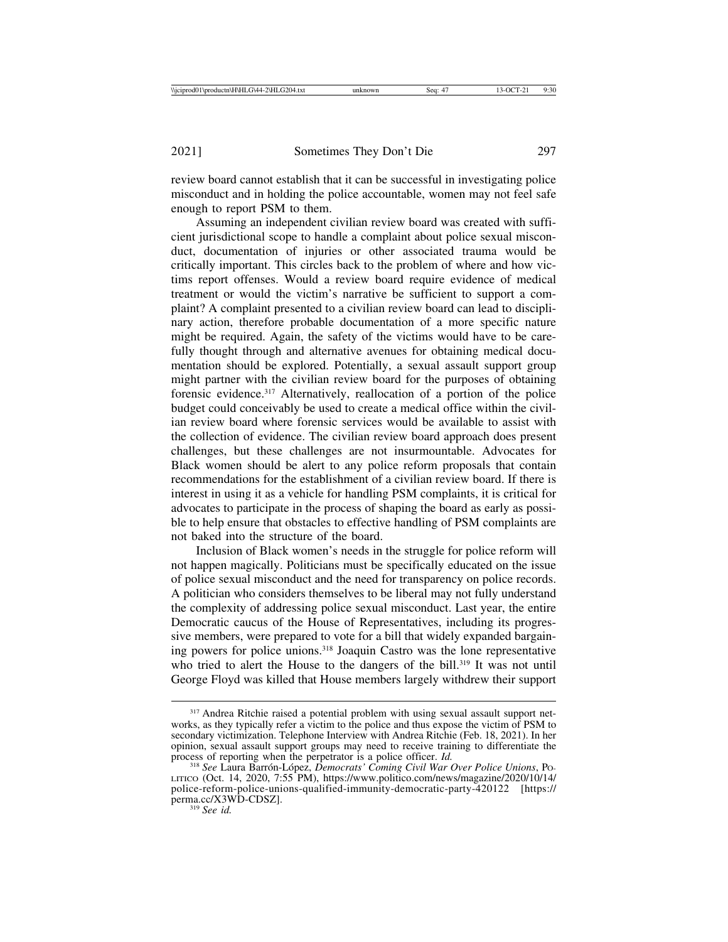review board cannot establish that it can be successful in investigating police misconduct and in holding the police accountable, women may not feel safe enough to report PSM to them.

Assuming an independent civilian review board was created with sufficient jurisdictional scope to handle a complaint about police sexual misconduct, documentation of injuries or other associated trauma would be critically important. This circles back to the problem of where and how victims report offenses. Would a review board require evidence of medical treatment or would the victim's narrative be sufficient to support a complaint? A complaint presented to a civilian review board can lead to disciplinary action, therefore probable documentation of a more specific nature might be required. Again, the safety of the victims would have to be carefully thought through and alternative avenues for obtaining medical documentation should be explored. Potentially, a sexual assault support group might partner with the civilian review board for the purposes of obtaining forensic evidence.317 Alternatively, reallocation of a portion of the police budget could conceivably be used to create a medical office within the civilian review board where forensic services would be available to assist with the collection of evidence. The civilian review board approach does present challenges, but these challenges are not insurmountable. Advocates for Black women should be alert to any police reform proposals that contain recommendations for the establishment of a civilian review board. If there is interest in using it as a vehicle for handling PSM complaints, it is critical for advocates to participate in the process of shaping the board as early as possible to help ensure that obstacles to effective handling of PSM complaints are not baked into the structure of the board.

Inclusion of Black women's needs in the struggle for police reform will not happen magically. Politicians must be specifically educated on the issue of police sexual misconduct and the need for transparency on police records. A politician who considers themselves to be liberal may not fully understand the complexity of addressing police sexual misconduct. Last year, the entire Democratic caucus of the House of Representatives, including its progressive members, were prepared to vote for a bill that widely expanded bargaining powers for police unions.318 Joaquin Castro was the lone representative who tried to alert the House to the dangers of the bill.<sup>319</sup> It was not until George Floyd was killed that House members largely withdrew their support

<sup>317</sup> Andrea Ritchie raised a potential problem with using sexual assault support networks, as they typically refer a victim to the police and thus expose the victim of PSM to secondary victimization. Telephone Interview with Andrea Ritchie (Feb. 18, 2021). In her opinion, sexual assault support groups may need to receive training to differentiate the process of reporting when the perpetrator is a police officer. *Id.* <sup>318</sup> *See* Laura Barrón-López, *Democrats' Coming Civil War Over Police Unions*, Po-

LITICO (Oct. 14, 2020, 7:55 PM), https://www.politico.com/news/magazine/2020/10/14/ police-reform-police-unions-qualified-immunity-democratic-party-420122 [https:// perma.cc/X3WD-CDSZ]. <sup>319</sup> *See id.*